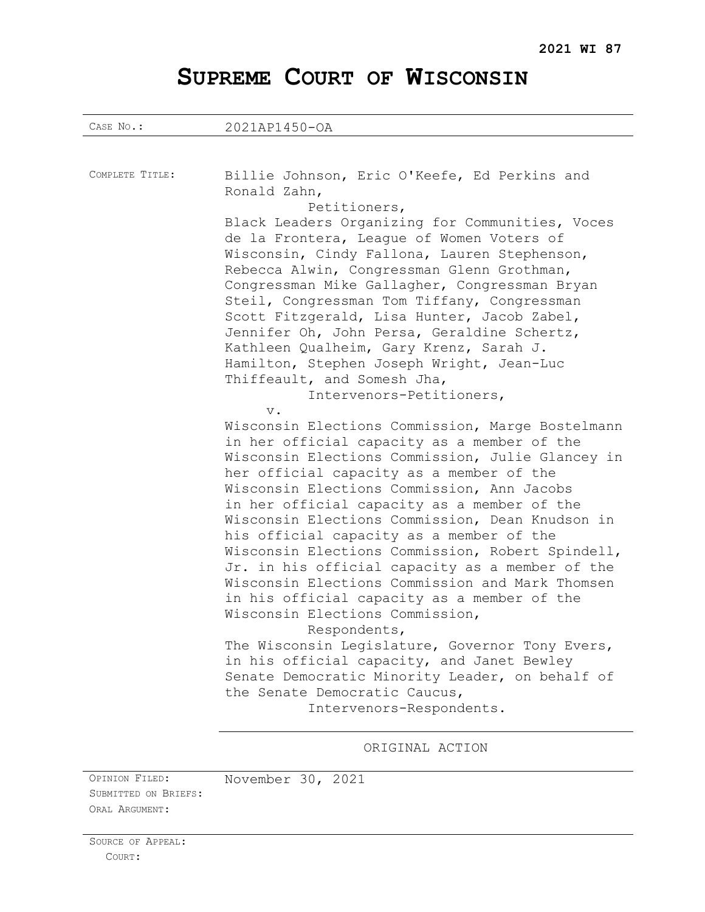# **SUPREME COURT OF WISCONSIN**

| CASE No.:       | 2021AP1450-OA                                                                                                                                                                                                                                                                                                                                                                                                                                                                                                                                                                                                                                                                                                                                                                                                                                                                                                                                                                                                                                                                                                                                                                                                                                                                                                                                                                                                                                       |
|-----------------|-----------------------------------------------------------------------------------------------------------------------------------------------------------------------------------------------------------------------------------------------------------------------------------------------------------------------------------------------------------------------------------------------------------------------------------------------------------------------------------------------------------------------------------------------------------------------------------------------------------------------------------------------------------------------------------------------------------------------------------------------------------------------------------------------------------------------------------------------------------------------------------------------------------------------------------------------------------------------------------------------------------------------------------------------------------------------------------------------------------------------------------------------------------------------------------------------------------------------------------------------------------------------------------------------------------------------------------------------------------------------------------------------------------------------------------------------------|
|                 |                                                                                                                                                                                                                                                                                                                                                                                                                                                                                                                                                                                                                                                                                                                                                                                                                                                                                                                                                                                                                                                                                                                                                                                                                                                                                                                                                                                                                                                     |
| COMPLETE TITLE: | Billie Johnson, Eric O'Keefe, Ed Perkins and<br>Ronald Zahn,<br>Petitioners,<br>Black Leaders Organizing for Communities, Voces<br>de la Frontera, League of Women Voters of<br>Wisconsin, Cindy Fallona, Lauren Stephenson,<br>Rebecca Alwin, Congressman Glenn Grothman,<br>Congressman Mike Gallagher, Congressman Bryan<br>Steil, Congressman Tom Tiffany, Congressman<br>Scott Fitzgerald, Lisa Hunter, Jacob Zabel,<br>Jennifer Oh, John Persa, Geraldine Schertz,<br>Kathleen Qualheim, Gary Krenz, Sarah J.<br>Hamilton, Stephen Joseph Wright, Jean-Luc<br>Thiffeault, and Somesh Jha,<br>Intervenors-Petitioners,<br>$V$ .<br>Wisconsin Elections Commission, Marge Bostelmann<br>in her official capacity as a member of the<br>Wisconsin Elections Commission, Julie Glancey in<br>her official capacity as a member of the<br>Wisconsin Elections Commission, Ann Jacobs<br>in her official capacity as a member of the<br>Wisconsin Elections Commission, Dean Knudson in<br>his official capacity as a member of the<br>Wisconsin Elections Commission, Robert Spindell,<br>Jr. in his official capacity as a member of the<br>Wisconsin Elections Commission and Mark Thomsen<br>in his official capacity as a member of the<br>Wisconsin Elections Commission,<br>Respondents,<br>The Wisconsin Legislature, Governor Tony Evers,<br>in his official capacity, and Janet Bewley<br>Senate Democratic Minority Leader, on behalf of |
|                 | the Senate Democratic Caucus,<br>Intervenors-Respondents.                                                                                                                                                                                                                                                                                                                                                                                                                                                                                                                                                                                                                                                                                                                                                                                                                                                                                                                                                                                                                                                                                                                                                                                                                                                                                                                                                                                           |
|                 |                                                                                                                                                                                                                                                                                                                                                                                                                                                                                                                                                                                                                                                                                                                                                                                                                                                                                                                                                                                                                                                                                                                                                                                                                                                                                                                                                                                                                                                     |
|                 | ORIGINAL ACTION                                                                                                                                                                                                                                                                                                                                                                                                                                                                                                                                                                                                                                                                                                                                                                                                                                                                                                                                                                                                                                                                                                                                                                                                                                                                                                                                                                                                                                     |

OPINION FILED: November 30, 2021 SUBMITTED ON BRIEFS: ORAL ARGUMENT: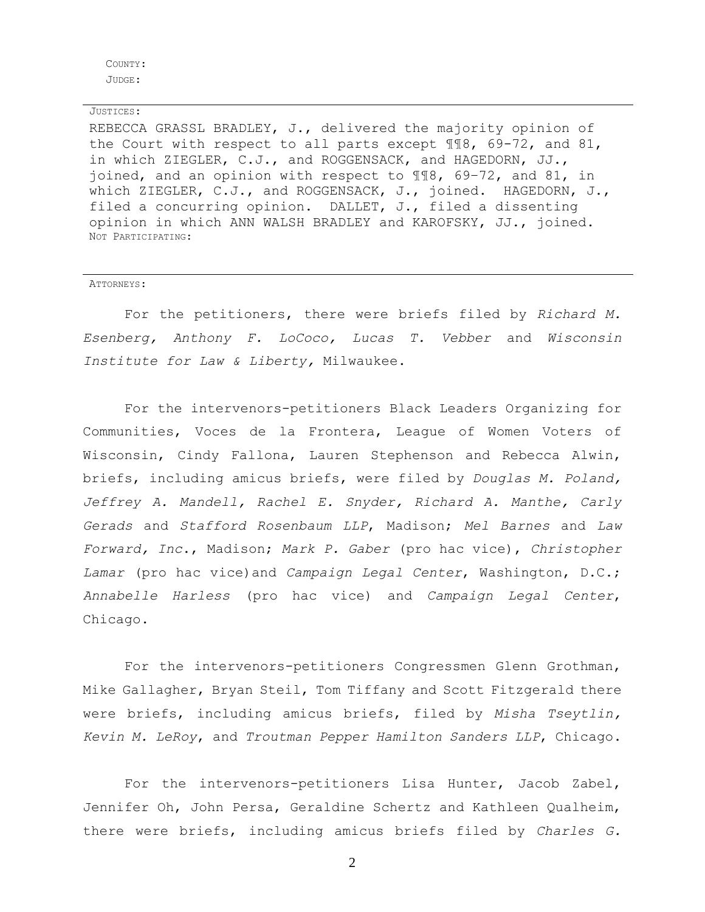COUNTY: JUDGE:

#### JUSTICES:

REBECCA GRASSL BRADLEY, J., delivered the majority opinion of the Court with respect to all parts except ¶¶8, 69-72, and 81, in which ZIEGLER, C.J., and ROGGENSACK, and HAGEDORN, JJ., joined, and an opinion with respect to ¶¶8, 69–72, and 81, in which ZIEGLER, C.J., and ROGGENSACK, J., joined. HAGEDORN, J., filed a concurring opinion. DALLET, J., filed a dissenting opinion in which ANN WALSH BRADLEY and KAROFSKY, JJ., joined. NOT PARTICIPATING:

#### ATTORNEYS:

For the petitioners, there were briefs filed by *Richard M. Esenberg, Anthony F. LoCoco, Lucas T. Vebber* and *Wisconsin Institute for Law & Liberty,* Milwaukee.

For the intervenors-petitioners Black Leaders Organizing for Communities, Voces de la Frontera, League of Women Voters of Wisconsin, Cindy Fallona, Lauren Stephenson and Rebecca Alwin, briefs, including amicus briefs, were filed by *Douglas M. Poland, Jeffrey A. Mandell, Rachel E. Snyder, Richard A. Manthe, Carly Gerads* and *Stafford Rosenbaum LLP*, Madison; *Mel Barnes* and *Law Forward, Inc*., Madison; *Mark P. Gaber* (pro hac vice), *Christopher Lamar* (pro hac vice)and *Campaign Legal Center*, Washington, D.C.; *Annabelle Harless* (pro hac vice) and *Campaign Legal Center*, Chicago.

For the intervenors-petitioners Congressmen Glenn Grothman, Mike Gallagher, Bryan Steil, Tom Tiffany and Scott Fitzgerald there were briefs, including amicus briefs, filed by *Misha Tseytlin, Kevin M. LeRoy*, and *Troutman Pepper Hamilton Sanders LLP*, Chicago.

For the intervenors-petitioners Lisa Hunter, Jacob Zabel, Jennifer Oh, John Persa, Geraldine Schertz and Kathleen Qualheim, there were briefs, including amicus briefs filed by *Charles G.*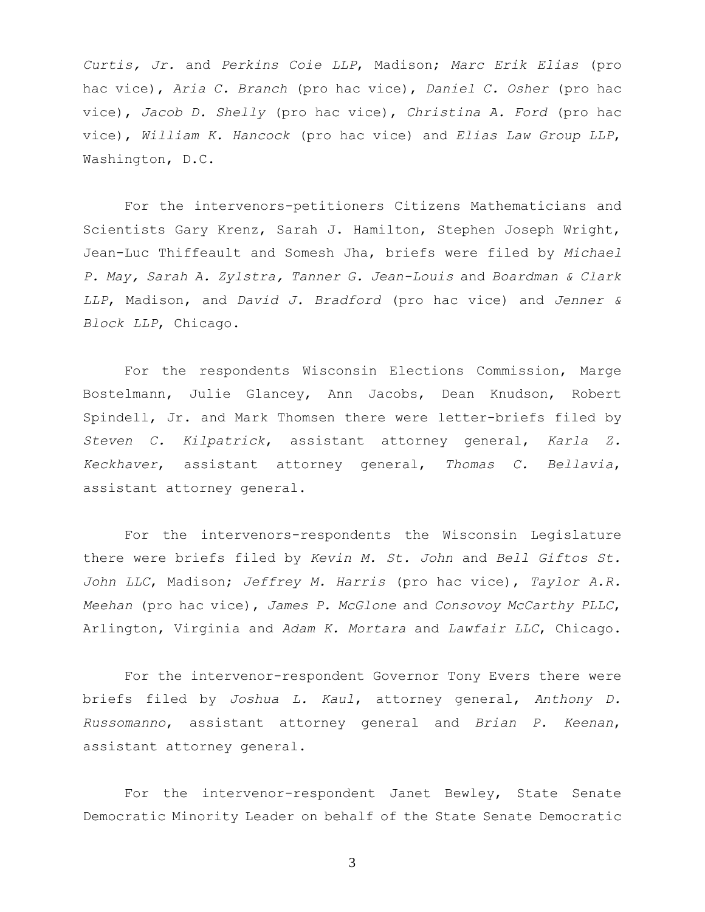*Curtis, Jr.* and *Perkins Coie LLP*, Madison; *Marc Erik Elias* (pro hac vice), *Aria C. Branch* (pro hac vice), *Daniel C. Osher* (pro hac vice), *Jacob D. Shelly* (pro hac vice), *Christina A. Ford* (pro hac vice), *William K. Hancock* (pro hac vice) and *Elias Law Group LLP*, Washington, D.C.

For the intervenors-petitioners Citizens Mathematicians and Scientists Gary Krenz, Sarah J. Hamilton, Stephen Joseph Wright, Jean-Luc Thiffeault and Somesh Jha, briefs were filed by *Michael P. May, Sarah A. Zylstra, Tanner G. Jean-Louis* and *Boardman & Clark LLP*, Madison, and *David J. Bradford* (pro hac vice) and *Jenner & Block LLP*, Chicago.

For the respondents Wisconsin Elections Commission, Marge Bostelmann, Julie Glancey, Ann Jacobs, Dean Knudson, Robert Spindell, Jr. and Mark Thomsen there were letter-briefs filed by *Steven C. Kilpatrick*, assistant attorney general, *Karla Z. Keckhaver*, assistant attorney general, *Thomas C. Bellavia*, assistant attorney general.

For the intervenors-respondents the Wisconsin Legislature there were briefs filed by *Kevin M. St. John* and *Bell Giftos St. John LLC*, Madison; *Jeffrey M. Harris* (pro hac vice), *Taylor A.R. Meehan* (pro hac vice), *James P. McGlone* and *Consovoy McCarthy PLLC*, Arlington, Virginia and *Adam K. Mortara* and *Lawfair LLC*, Chicago.

For the intervenor-respondent Governor Tony Evers there were briefs filed by *Joshua L. Kaul*, attorney general, *Anthony D. Russomanno*, assistant attorney general and *Brian P. Keenan*, assistant attorney general.

For the intervenor-respondent Janet Bewley, State Senate Democratic Minority Leader on behalf of the State Senate Democratic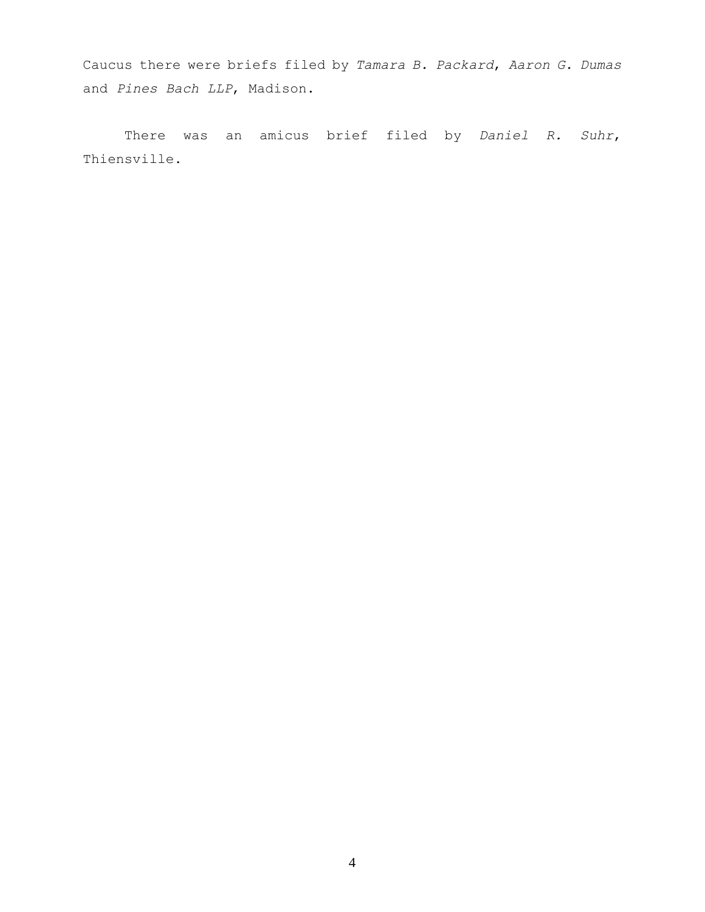Caucus there were briefs filed by *Tamara B. Packard*, *Aaron G. Dumas* and *Pines Bach LLP*, Madison.

There was an amicus brief filed by *Daniel R. Suhr*, Thiensville.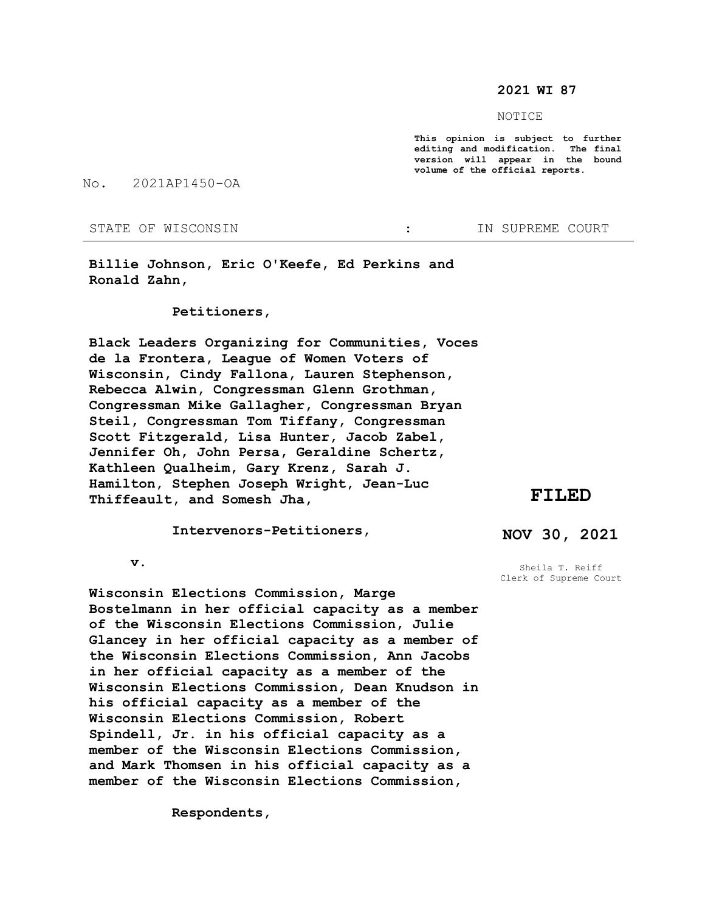#### **2021 WI 87**

NOTICE

**This opinion is subject to further editing and modification. The final version will appear in the bound volume of the official reports.** 

No. 2021AP1450-OA

STATE OF WISCONSIN THE STATE OF WISCONSIN THE STATE OF STATE OF STATE OF STATE OF STATE OF STATE OF STATE OF STATE OF STATE OF STATE OF STATE OF STATE OF STATE OF STATE OF STATE OF STATE OF STATE OF STATE OF STATE OF STATE

**Billie Johnson, Eric O'Keefe, Ed Perkins and Ronald Zahn,**

 **Petitioners,**

**Black Leaders Organizing for Communities, Voces de la Frontera, League of Women Voters of Wisconsin, Cindy Fallona, Lauren Stephenson, Rebecca Alwin, Congressman Glenn Grothman, Congressman Mike Gallagher, Congressman Bryan Steil, Congressman Tom Tiffany, Congressman Scott Fitzgerald, Lisa Hunter, Jacob Zabel, Jennifer Oh, John Persa, Geraldine Schertz, Kathleen Qualheim, Gary Krenz, Sarah J. Hamilton, Stephen Joseph Wright, Jean-Luc Thiffeault, and Somesh Jha,** 

 **Intervenors-Petitioners,**

**FILED**

**NOV 30, 2021**

 **v.**

**Wisconsin Elections Commission, Marge Bostelmann in her official capacity as a member of the Wisconsin Elections Commission, Julie Glancey in her official capacity as a member of the Wisconsin Elections Commission, Ann Jacobs in her official capacity as a member of the Wisconsin Elections Commission, Dean Knudson in his official capacity as a member of the Wisconsin Elections Commission, Robert Spindell, Jr. in his official capacity as a member of the Wisconsin Elections Commission, and Mark Thomsen in his official capacity as a member of the Wisconsin Elections Commission,**

 **Respondents,**

Sheila T. Reiff Clerk of Supreme Court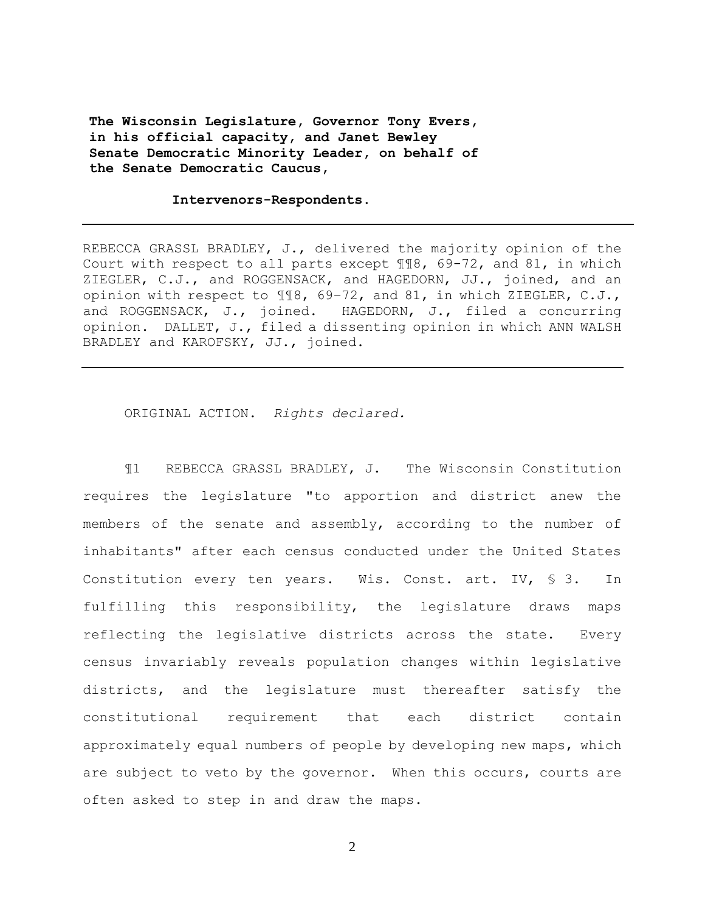**The Wisconsin Legislature, Governor Tony Evers, in his official capacity, and Janet Bewley Senate Democratic Minority Leader, on behalf of the Senate Democratic Caucus,**

#### **Intervenors-Respondents.**

REBECCA GRASSL BRADLEY, J., delivered the majority opinion of the Court with respect to all parts except ¶¶8, 69-72, and 81, in which ZIEGLER, C.J., and ROGGENSACK, and HAGEDORN, JJ., joined, and an opinion with respect to ¶¶8, 69–72, and 81, in which ZIEGLER, C.J., and ROGGENSACK, J., joined. HAGEDORN, J., filed a concurring opinion. DALLET, J., filed a dissenting opinion in which ANN WALSH BRADLEY and KAROFSKY, JJ., joined.

ORIGINAL ACTION. *Rights declared.*

¶1 REBECCA GRASSL BRADLEY, J. The Wisconsin Constitution requires the legislature "to apportion and district anew the members of the senate and assembly, according to the number of inhabitants" after each census conducted under the United States Constitution every ten years. Wis. Const. art. IV, § 3. In fulfilling this responsibility, the legislature draws maps reflecting the legislative districts across the state. Every census invariably reveals population changes within legislative districts, and the legislature must thereafter satisfy the constitutional requirement that each district contain approximately equal numbers of people by developing new maps, which are subject to veto by the governor. When this occurs, courts are often asked to step in and draw the maps.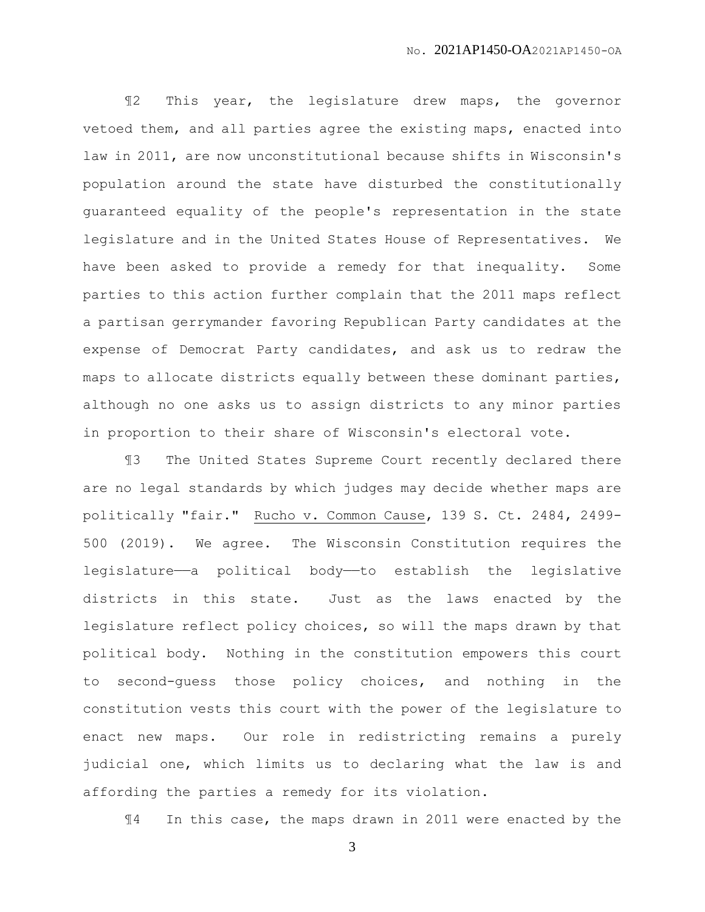¶2 This year, the legislature drew maps, the governor vetoed them, and all parties agree the existing maps, enacted into law in 2011, are now unconstitutional because shifts in Wisconsin's population around the state have disturbed the constitutionally guaranteed equality of the people's representation in the state legislature and in the United States House of Representatives. We have been asked to provide a remedy for that inequality. Some parties to this action further complain that the 2011 maps reflect a partisan gerrymander favoring Republican Party candidates at the expense of Democrat Party candidates, and ask us to redraw the maps to allocate districts equally between these dominant parties, although no one asks us to assign districts to any minor parties in proportion to their share of Wisconsin's electoral vote.

¶3 The United States Supreme Court recently declared there are no legal standards by which judges may decide whether maps are politically "fair." Rucho v. Common Cause, 139 S. Ct. 2484, 2499- 500 (2019). We agree. The Wisconsin Constitution requires the legislature—a political body—to establish the legislative districts in this state. Just as the laws enacted by the legislature reflect policy choices, so will the maps drawn by that political body. Nothing in the constitution empowers this court to second-guess those policy choices, and nothing in the constitution vests this court with the power of the legislature to enact new maps. Our role in redistricting remains a purely judicial one, which limits us to declaring what the law is and affording the parties a remedy for its violation.

¶4 In this case, the maps drawn in 2011 were enacted by the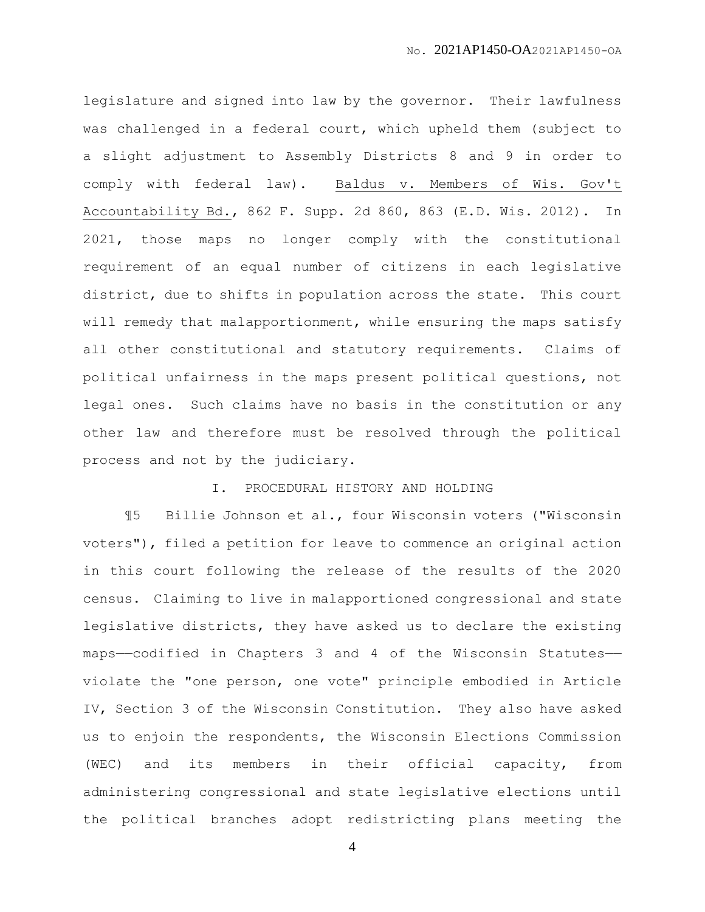legislature and signed into law by the governor. Their lawfulness was challenged in a federal court, which upheld them (subject to a slight adjustment to Assembly Districts 8 and 9 in order to comply with federal law). Baldus v. Members of Wis. Gov't Accountability Bd., 862 F. Supp. 2d 860, 863 (E.D. Wis. 2012). In 2021, those maps no longer comply with the constitutional requirement of an equal number of citizens in each legislative district, due to shifts in population across the state. This court will remedy that malapportionment, while ensuring the maps satisfy all other constitutional and statutory requirements. Claims of political unfairness in the maps present political questions, not legal ones. Such claims have no basis in the constitution or any other law and therefore must be resolved through the political process and not by the judiciary.

## I. PROCEDURAL HISTORY AND HOLDING

¶5 Billie Johnson et al., four Wisconsin voters ("Wisconsin voters"), filed a petition for leave to commence an original action in this court following the release of the results of the 2020 census. Claiming to live in malapportioned congressional and state legislative districts, they have asked us to declare the existing maps——codified in Chapters 3 and 4 of the Wisconsin Statutes— violate the "one person, one vote" principle embodied in Article IV, Section 3 of the Wisconsin Constitution. They also have asked us to enjoin the respondents, the Wisconsin Elections Commission (WEC) and its members in their official capacity, from administering congressional and state legislative elections until the political branches adopt redistricting plans meeting the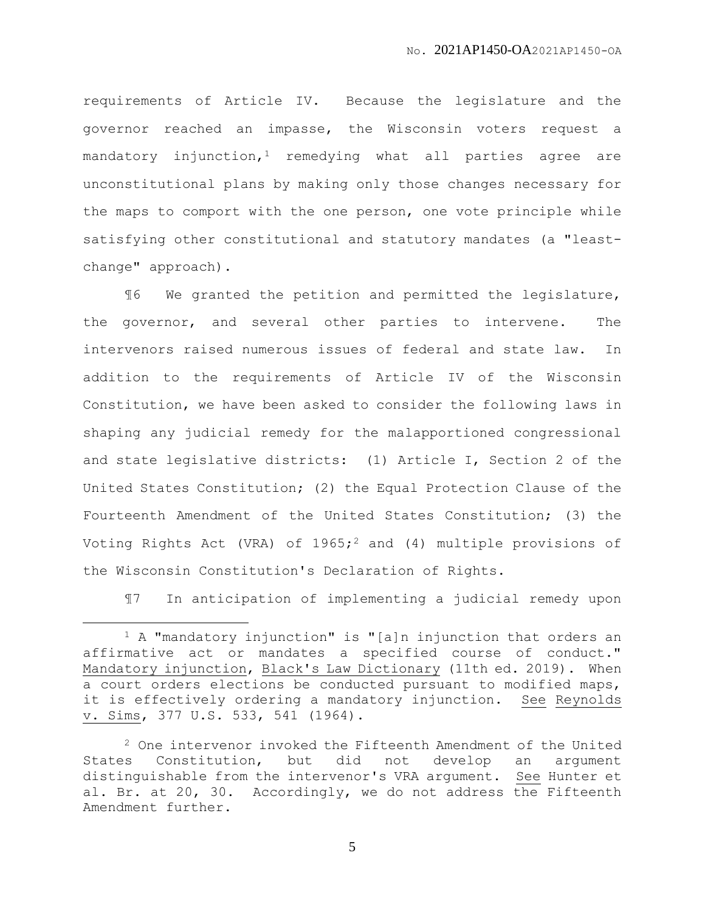requirements of Article IV. Because the legislature and the governor reached an impasse, the Wisconsin voters request a mandatory injunction,<sup>1</sup> remedying what all parties agree are unconstitutional plans by making only those changes necessary for the maps to comport with the one person, one vote principle while satisfying other constitutional and statutory mandates (a "leastchange" approach).

¶6 We granted the petition and permitted the legislature, the governor, and several other parties to intervene. The intervenors raised numerous issues of federal and state law. In addition to the requirements of Article IV of the Wisconsin Constitution, we have been asked to consider the following laws in shaping any judicial remedy for the malapportioned congressional and state legislative districts: (1) Article I, Section 2 of the United States Constitution; (2) the Equal Protection Clause of the Fourteenth Amendment of the United States Constitution; (3) the Voting Rights Act (VRA) of  $1965;$ <sup>2</sup> and (4) multiple provisions of the Wisconsin Constitution's Declaration of Rights.

¶7 In anticipation of implementing a judicial remedy upon

 $\overline{a}$ 

<sup>1</sup> A "mandatory injunction" is "[a]n injunction that orders an affirmative act or mandates a specified course of conduct." Mandatory injunction, Black's Law Dictionary (11th ed. 2019). When a court orders elections be conducted pursuant to modified maps, it is effectively ordering a mandatory injunction. See Reynolds v. Sims, 377 U.S. 533, 541 (1964).

<sup>2</sup> One intervenor invoked the Fifteenth Amendment of the United States Constitution, but did not develop an argument distinguishable from the intervenor's VRA argument. See Hunter et al. Br. at 20, 30. Accordingly, we do not address the Fifteenth Amendment further.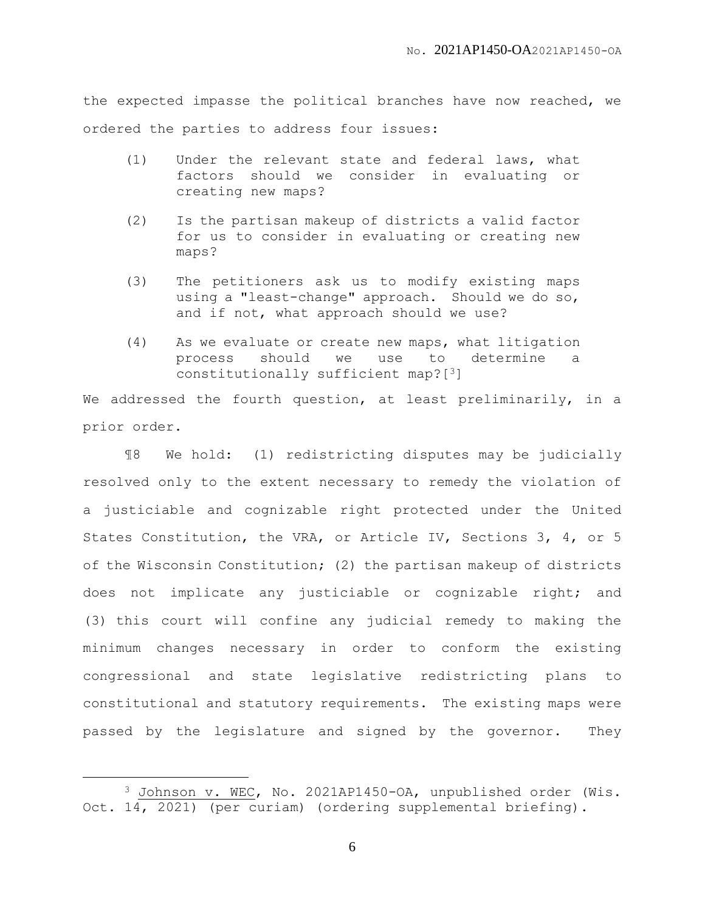the expected impasse the political branches have now reached, we ordered the parties to address four issues:

- (1) Under the relevant state and federal laws, what factors should we consider in evaluating or creating new maps?
- (2) Is the partisan makeup of districts a valid factor for us to consider in evaluating or creating new maps?
- (3) The petitioners ask us to modify existing maps using a "least-change" approach. Should we do so, and if not, what approach should we use?
- (4) As we evaluate or create new maps, what litigation process should we use to determine a constitutionally sufficient map?[3]

We addressed the fourth question, at least preliminarily, in a prior order.

¶8 We hold: (1) redistricting disputes may be judicially resolved only to the extent necessary to remedy the violation of a justiciable and cognizable right protected under the United States Constitution, the VRA, or Article IV, Sections 3, 4, or 5 of the Wisconsin Constitution; (2) the partisan makeup of districts does not implicate any justiciable or cognizable right; and (3) this court will confine any judicial remedy to making the minimum changes necessary in order to conform the existing congressional and state legislative redistricting plans to constitutional and statutory requirements. The existing maps were passed by the legislature and signed by the governor. They

 $\overline{a}$ 

<sup>3</sup> Johnson v. WEC, No. 2021AP1450-OA, unpublished order (Wis. Oct. 14, 2021) (per curiam) (ordering supplemental briefing).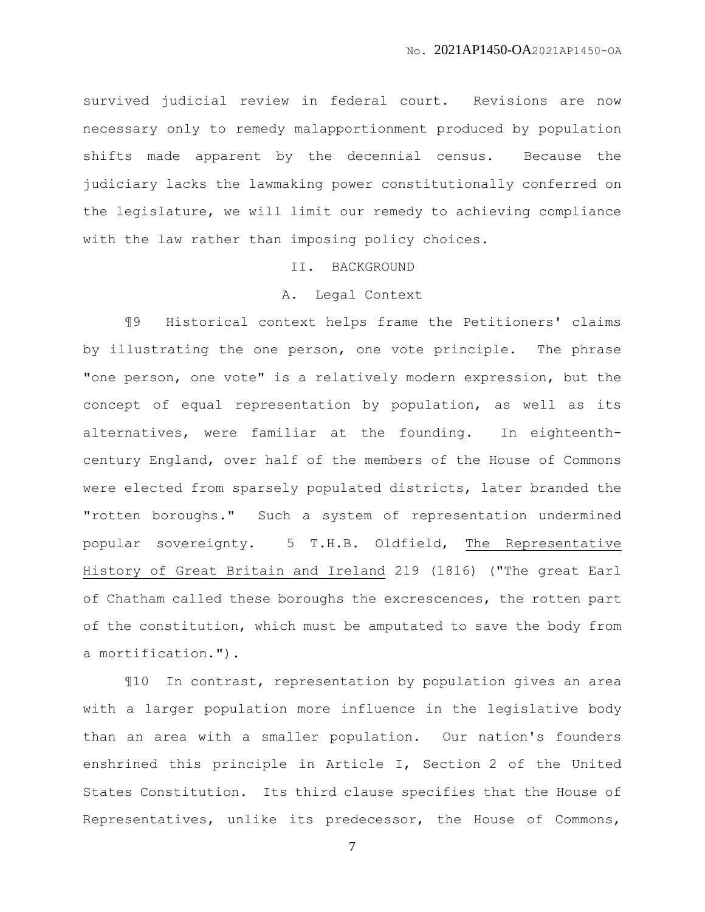survived judicial review in federal court. Revisions are now necessary only to remedy malapportionment produced by population shifts made apparent by the decennial census. Because the judiciary lacks the lawmaking power constitutionally conferred on the legislature, we will limit our remedy to achieving compliance with the law rather than imposing policy choices.

# II. BACKGROUND

## A. Legal Context

¶9 Historical context helps frame the Petitioners' claims by illustrating the one person, one vote principle. The phrase "one person, one vote" is a relatively modern expression, but the concept of equal representation by population, as well as its alternatives, were familiar at the founding. In eighteenthcentury England, over half of the members of the House of Commons were elected from sparsely populated districts, later branded the "rotten boroughs." Such a system of representation undermined popular sovereignty. 5 T.H.B. Oldfield, The Representative History of Great Britain and Ireland 219 (1816) ("The great Earl of Chatham called these boroughs the excrescences, the rotten part of the constitution, which must be amputated to save the body from a mortification.").

¶10 In contrast, representation by population gives an area with a larger population more influence in the legislative body than an area with a smaller population. Our nation's founders enshrined this principle in Article I, Section 2 of the United States Constitution. Its third clause specifies that the House of Representatives, unlike its predecessor, the House of Commons,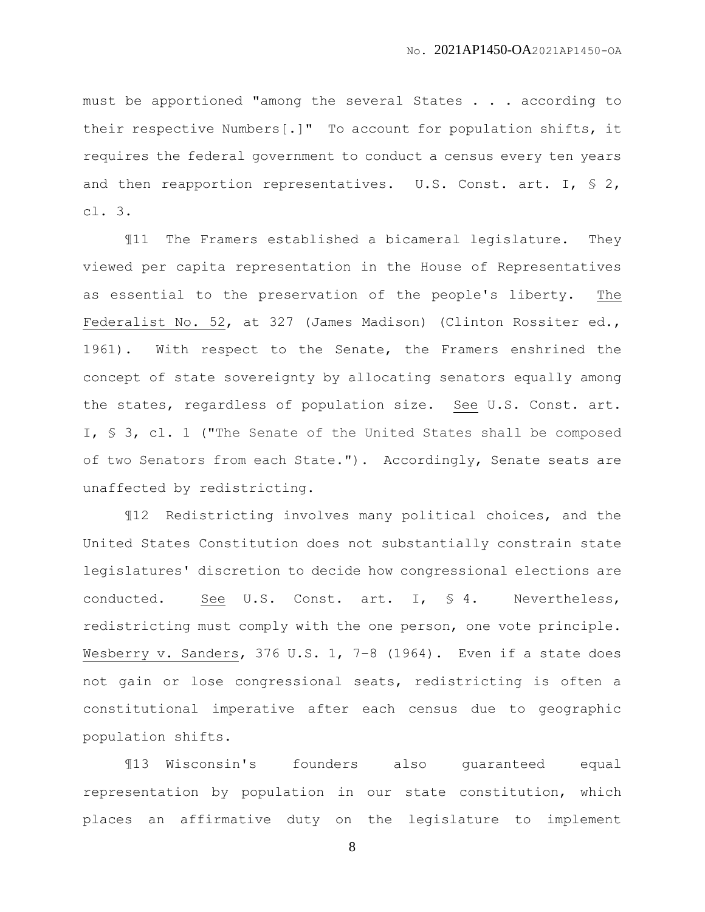must be apportioned "among the several States . . . according to their respective Numbers[.]" To account for population shifts, it requires the federal government to conduct a census every ten years and then reapportion representatives. U.S. Const. art. I, § 2, cl. 3.

¶11 The Framers established a bicameral legislature. They viewed per capita representation in the House of Representatives as essential to the preservation of the people's liberty. The Federalist No. 52, at 327 (James Madison) (Clinton Rossiter ed., 1961). With respect to the Senate, the Framers enshrined the concept of state sovereignty by allocating senators equally among the states, regardless of population size. See U.S. Const. art. I, § 3, cl. 1 ("The Senate of the United States shall be composed of two Senators from each State."). Accordingly, Senate seats are unaffected by redistricting.

¶12 Redistricting involves many political choices, and the United States Constitution does not substantially constrain state legislatures' discretion to decide how congressional elections are conducted. See U.S. Const. art. I, § 4. Nevertheless, redistricting must comply with the one person, one vote principle. Wesberry v. Sanders, 376 U.S. 1, 7-8 (1964). Even if a state does not gain or lose congressional seats, redistricting is often a constitutional imperative after each census due to geographic population shifts.

¶13 Wisconsin's founders also guaranteed equal representation by population in our state constitution, which places an affirmative duty on the legislature to implement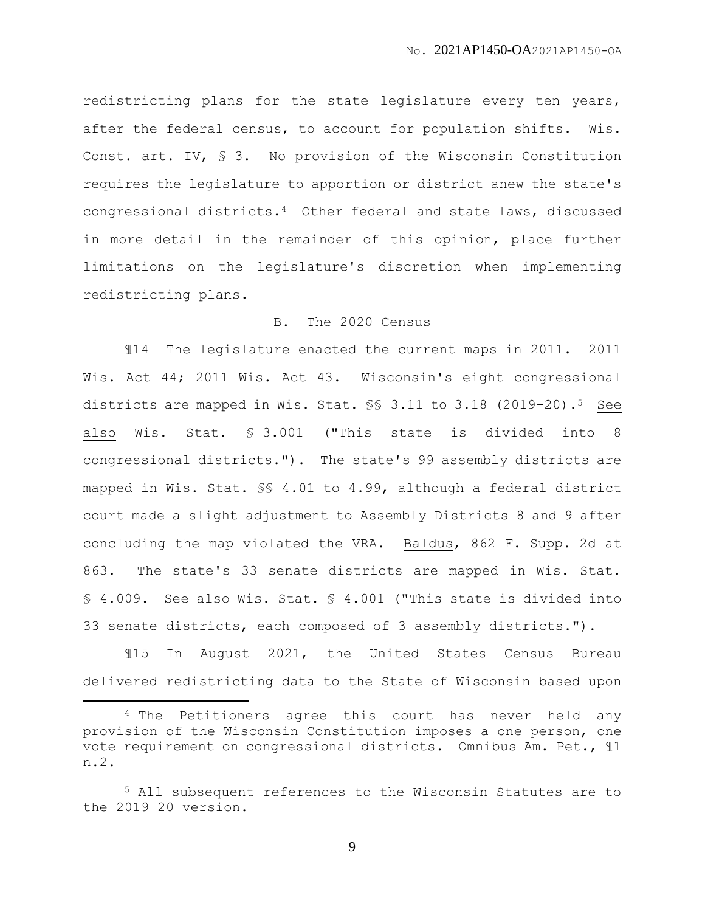redistricting plans for the state legislature every ten years, after the federal census, to account for population shifts. Wis. Const. art. IV, § 3. No provision of the Wisconsin Constitution requires the legislature to apportion or district anew the state's congressional districts.4 Other federal and state laws, discussed in more detail in the remainder of this opinion, place further limitations on the legislature's discretion when implementing redistricting plans.

## B. The 2020 Census

¶14 The legislature enacted the current maps in 2011. 2011 Wis. Act 44; 2011 Wis. Act 43. Wisconsin's eight congressional districts are mapped in Wis. Stat. §§ 3.11 to 3.18 (2019–20).5 See also Wis. Stat. § 3.001 ("This state is divided into 8 congressional districts."). The state's 99 assembly districts are mapped in Wis. Stat. §§ 4.01 to 4.99, although a federal district court made a slight adjustment to Assembly Districts 8 and 9 after concluding the map violated the VRA. Baldus, 862 F. Supp. 2d at 863. The state's 33 senate districts are mapped in Wis. Stat. § 4.009. See also Wis. Stat. § 4.001 ("This state is divided into 33 senate districts, each composed of 3 assembly districts.").

¶15 In August 2021, the United States Census Bureau delivered redistricting data to the State of Wisconsin based upon

 $\overline{a}$ 

<sup>&</sup>lt;sup>4</sup> The Petitioners agree this court has never held any provision of the Wisconsin Constitution imposes a one person, one vote requirement on congressional districts. Omnibus Am. Pet., ¶1 n.2.

<sup>5</sup> All subsequent references to the Wisconsin Statutes are to the 2019–20 version.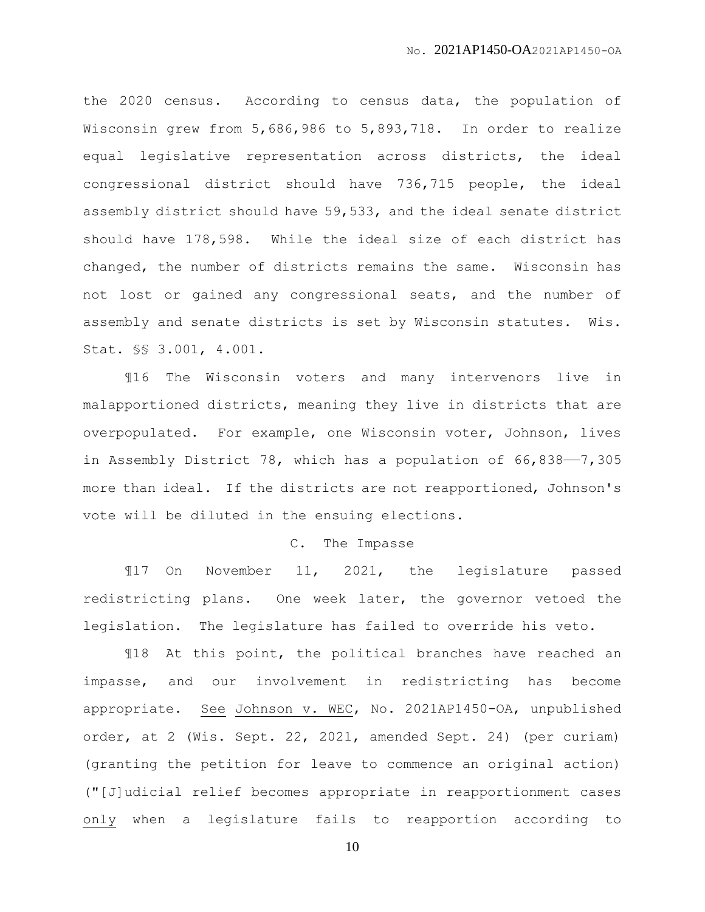the 2020 census. According to census data, the population of Wisconsin grew from 5,686,986 to 5,893,718. In order to realize equal legislative representation across districts, the ideal congressional district should have 736,715 people, the ideal assembly district should have 59,533, and the ideal senate district should have 178,598. While the ideal size of each district has changed, the number of districts remains the same. Wisconsin has not lost or gained any congressional seats, and the number of assembly and senate districts is set by Wisconsin statutes. Wis. Stat. §§ 3.001, 4.001.

¶16 The Wisconsin voters and many intervenors live in malapportioned districts, meaning they live in districts that are overpopulated. For example, one Wisconsin voter, Johnson, lives in Assembly District 78, which has a population of 66,838——7,305 more than ideal. If the districts are not reapportioned, Johnson's vote will be diluted in the ensuing elections.

## C. The Impasse

¶17 On November 11, 2021, the legislature passed redistricting plans. One week later, the governor vetoed the legislation. The legislature has failed to override his veto.

¶18 At this point, the political branches have reached an impasse, and our involvement in redistricting has become appropriate. See Johnson v. WEC, No. 2021AP1450-OA, unpublished order, at 2 (Wis. Sept. 22, 2021, amended Sept. 24) (per curiam) (granting the petition for leave to commence an original action) ("[J]udicial relief becomes appropriate in reapportionment cases only when a legislature fails to reapportion according to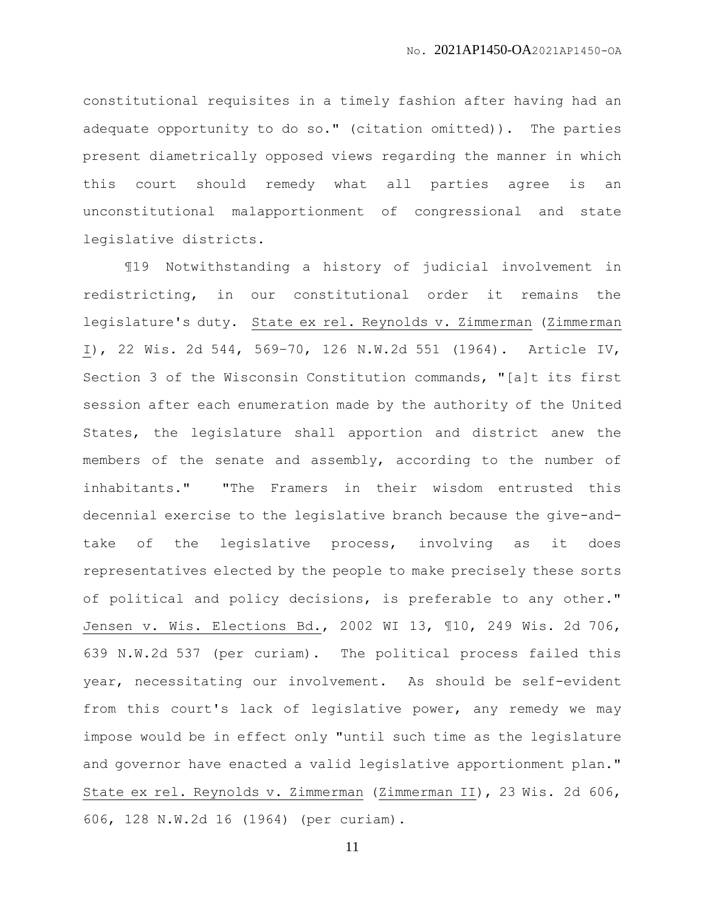constitutional requisites in a timely fashion after having had an adequate opportunity to do so." (citation omitted)). The parties present diametrically opposed views regarding the manner in which this court should remedy what all parties agree is an unconstitutional malapportionment of congressional and state legislative districts.

¶19 Notwithstanding a history of judicial involvement in redistricting, in our constitutional order it remains the legislature's duty. State ex rel. Reynolds v. Zimmerman (Zimmerman I), 22 Wis. 2d 544, 569–70, 126 N.W.2d 551 (1964). Article IV, Section 3 of the Wisconsin Constitution commands, "[a]t its first session after each enumeration made by the authority of the United States, the legislature shall apportion and district anew the members of the senate and assembly, according to the number of inhabitants." "The Framers in their wisdom entrusted this decennial exercise to the legislative branch because the give-andtake of the legislative process, involving as it does representatives elected by the people to make precisely these sorts of political and policy decisions, is preferable to any other." Jensen v. Wis. Elections Bd., 2002 WI 13, ¶10, 249 Wis. 2d 706, 639 N.W.2d 537 (per curiam). The political process failed this year, necessitating our involvement. As should be self-evident from this court's lack of legislative power, any remedy we may impose would be in effect only "until such time as the legislature and governor have enacted a valid legislative apportionment plan." State ex rel. Reynolds v. Zimmerman (Zimmerman II), 23 Wis. 2d 606, 606, 128 N.W.2d 16 (1964) (per curiam).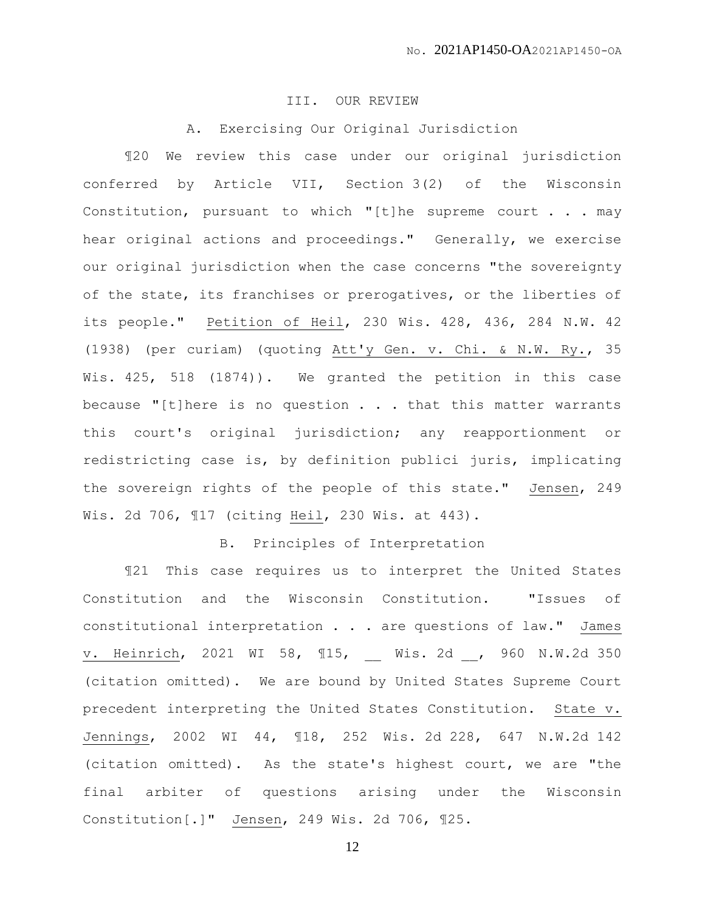### III. OUR REVIEW

A. Exercising Our Original Jurisdiction

¶20 We review this case under our original jurisdiction conferred by Article VII, Section 3(2) of the Wisconsin Constitution, pursuant to which "[t]he supreme court . . . may hear original actions and proceedings." Generally, we exercise our original jurisdiction when the case concerns "the sovereignty of the state, its franchises or prerogatives, or the liberties of its people." Petition of Heil, 230 Wis. 428, 436, 284 N.W. 42 (1938) (per curiam) (quoting Att'y Gen. v. Chi. & N.W. Ry., 35 Wis. 425, 518 (1874)). We granted the petition in this case because "[t]here is no question . . . that this matter warrants this court's original jurisdiction; any reapportionment or redistricting case is, by definition publici juris, implicating the sovereign rights of the people of this state." Jensen, 249 Wis. 2d 706, ¶17 (citing Heil, 230 Wis. at 443).

## B. Principles of Interpretation

¶21 This case requires us to interpret the United States Constitution and the Wisconsin Constitution. "Issues of constitutional interpretation . . . are questions of law." James v. Heinrich, 2021 WI 58, ¶15, \_\_ Wis. 2d \_\_, 960 N.W.2d 350 (citation omitted). We are bound by United States Supreme Court precedent interpreting the United States Constitution. State v. Jennings, 2002 WI 44, ¶18, 252 Wis. 2d 228, 647 N.W.2d 142 (citation omitted). As the state's highest court, we are "the final arbiter of questions arising under the Wisconsin Constitution[.]" Jensen, 249 Wis. 2d 706, ¶25.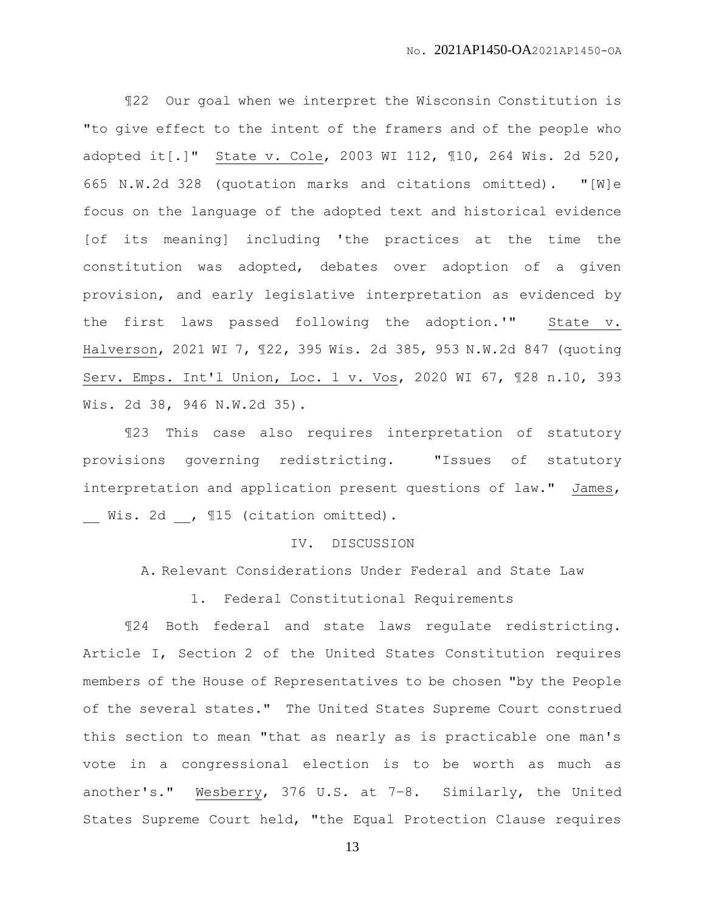¶22 Our goal when we interpret the Wisconsin Constitution is "to give effect to the intent of the framers and of the people who adopted it[.]" State v. Cole, 2003 WI 112, ¶10, 264 Wis. 2d 520, 665 N.W.2d 328 (quotation marks and citations omitted). "[W]e focus on the language of the adopted text and historical evidence [of its meaning] including 'the practices at the time the constitution was adopted, debates over adoption of a given provision, and early legislative interpretation as evidenced by the first laws passed following the adoption.'" State v. Halverson, 2021 WI 7, ¶22, 395 Wis. 2d 385, 953 N.W.2d 847 (quoting Serv. Emps. Int'l Union, Loc. 1 v. Vos, 2020 WI 67, ¶28 n.10, 393 Wis. 2d 38, 946 N.W.2d 35).

¶23 This case also requires interpretation of statutory provisions governing redistricting. "Issues of statutory interpretation and application present questions of law." James, Wis. 2d , 115 (citation omitted).

#### IV. DISCUSSION

A. Relevant Considerations Under Federal and State Law

1. Federal Constitutional Requirements

¶24 Both federal and state laws regulate redistricting. Article I, Section 2 of the United States Constitution requires members of the House of Representatives to be chosen "by the People of the several states." The United States Supreme Court construed this section to mean "that as nearly as is practicable one man's vote in a congressional election is to be worth as much as another's." Wesberry, 376 U.S. at 7–8. Similarly, the United States Supreme Court held, "the Equal Protection Clause requires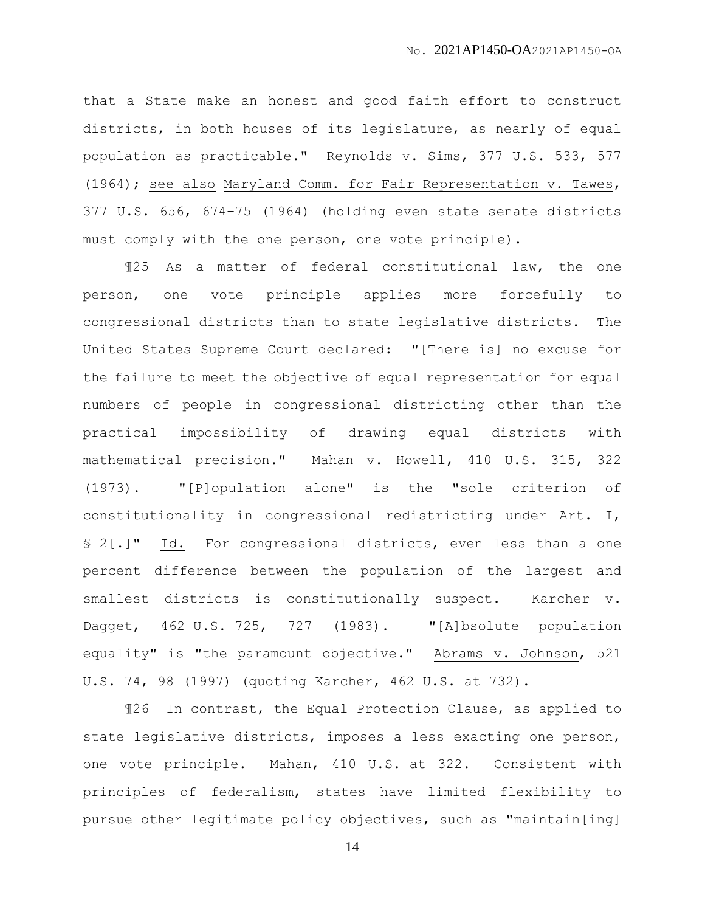that a State make an honest and good faith effort to construct districts, in both houses of its legislature, as nearly of equal population as practicable." Reynolds v. Sims, 377 U.S. 533, 577 (1964); see also Maryland Comm. for Fair Representation v. Tawes, 377 U.S. 656, 674–75 (1964) (holding even state senate districts must comply with the one person, one vote principle).

¶25 As a matter of federal constitutional law, the one person, one vote principle applies more forcefully to congressional districts than to state legislative districts. The United States Supreme Court declared: "[There is] no excuse for the failure to meet the objective of equal representation for equal numbers of people in congressional districting other than the practical impossibility of drawing equal districts with mathematical precision." Mahan v. Howell, 410 U.S. 315, 322 (1973). "[P]opulation alone" is the "sole criterion of constitutionality in congressional redistricting under Art. I, § 2[.]" Id. For congressional districts, even less than a one percent difference between the population of the largest and smallest districts is constitutionally suspect. Karcher v. Dagget, 462 U.S. 725, 727 (1983). "[A]bsolute population equality" is "the paramount objective." Abrams v. Johnson, 521 U.S. 74, 98 (1997) (quoting Karcher, 462 U.S. at 732).

¶26 In contrast, the Equal Protection Clause, as applied to state legislative districts, imposes a less exacting one person, one vote principle. Mahan, 410 U.S. at 322. Consistent with principles of federalism, states have limited flexibility to pursue other legitimate policy objectives, such as "maintain[ing]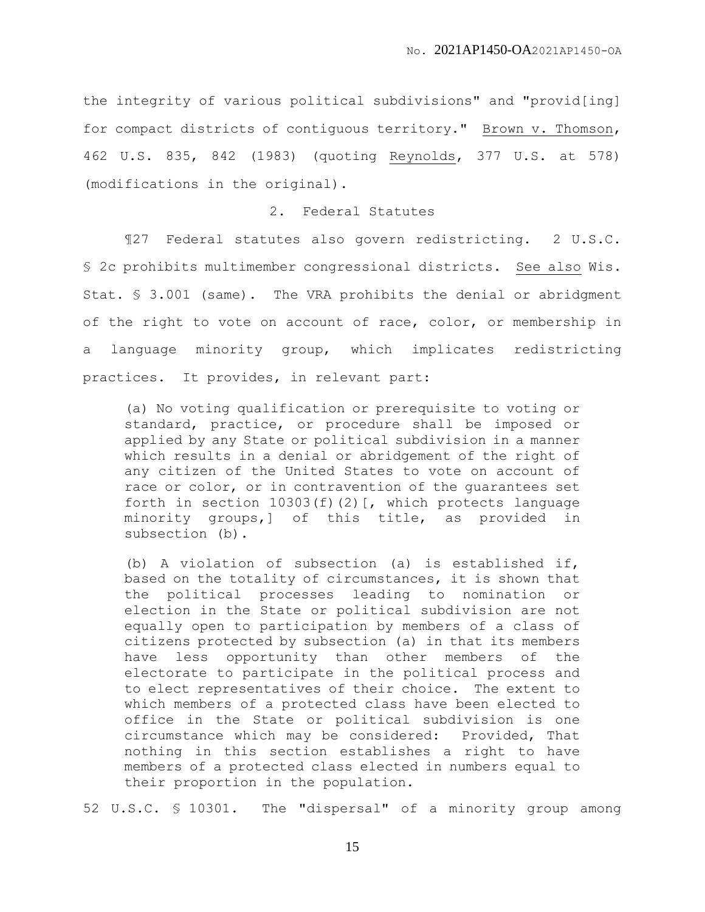the integrity of various political subdivisions" and "provid[ing] for compact districts of contiguous territory." Brown v. Thomson, 462 U.S. 835, 842 (1983) (quoting Reynolds, 377 U.S. at 578) (modifications in the original).

#### 2. Federal Statutes

¶27 Federal statutes also govern redistricting. 2 U.S.C. § 2c prohibits multimember congressional districts. See also Wis. Stat. § 3.001 (same). The VRA prohibits the denial or abridgment of the right to vote on account of race, color, or membership in a language minority group, which implicates redistricting practices. It provides, in relevant part:

(a) No voting qualification or prerequisite to voting or standard, practice, or procedure shall be imposed or applied by any State or political subdivision in a manner which results in a denial or abridgement of the right of any citizen of the United States to vote on account of race or color, or in contravention of the guarantees set forth in section  $10303(f)(2)$  [, which protects language minority groups,] of this title, as provided in subsection (b).

(b) A violation of subsection (a) is established if, based on the totality of circumstances, it is shown that the political processes leading to nomination or election in the State or political subdivision are not equally open to participation by members of a class of citizens protected by subsection (a) in that its members have less opportunity than other members of the electorate to participate in the political process and to elect representatives of their choice. The extent to which members of a protected class have been elected to office in the State or political subdivision is one circumstance which may be considered: Provided, That nothing in this section establishes a right to have members of a protected class elected in numbers equal to their proportion in the population.

52 U.S.C. § 10301. The "dispersal" of a minority group among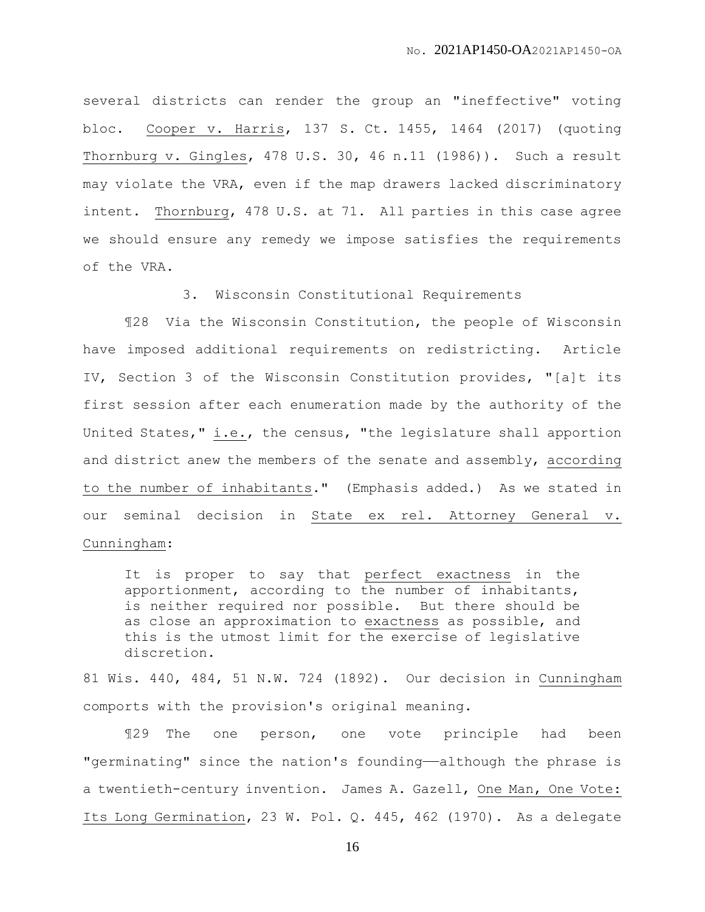several districts can render the group an "ineffective" voting bloc. Cooper v. Harris, 137 S. Ct. 1455, 1464 (2017) (quoting Thornburg v. Gingles, 478 U.S. 30, 46 n.11 (1986)). Such a result may violate the VRA, even if the map drawers lacked discriminatory intent. Thornburg, 478 U.S. at 71. All parties in this case agree we should ensure any remedy we impose satisfies the requirements of the VRA.

3. Wisconsin Constitutional Requirements

¶28 Via the Wisconsin Constitution, the people of Wisconsin have imposed additional requirements on redistricting. Article IV, Section 3 of the Wisconsin Constitution provides, "[a]t its first session after each enumeration made by the authority of the United States," i.e., the census, "the legislature shall apportion and district anew the members of the senate and assembly, according to the number of inhabitants." (Emphasis added.) As we stated in our seminal decision in State ex rel. Attorney General v. Cunningham:

It is proper to say that perfect exactness in the apportionment, according to the number of inhabitants, is neither required nor possible. But there should be as close an approximation to exactness as possible, and this is the utmost limit for the exercise of legislative discretion.

81 Wis. 440, 484, 51 N.W. 724 (1892). Our decision in Cunningham comports with the provision's original meaning.

¶29 The one person, one vote principle had been "germinating" since the nation's founding——although the phrase is a twentieth-century invention. James A. Gazell, One Man, One Vote: Its Long Germination, 23 W. Pol. Q. 445, 462 (1970). As a delegate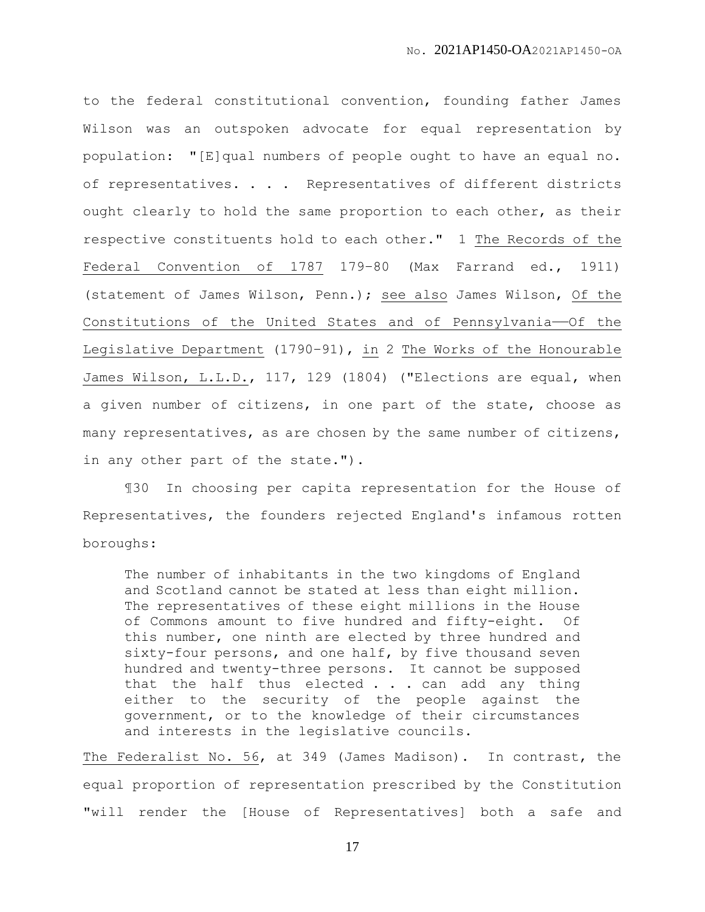to the federal constitutional convention, founding father James Wilson was an outspoken advocate for equal representation by population: "[E]qual numbers of people ought to have an equal no. of representatives. . . . Representatives of different districts ought clearly to hold the same proportion to each other, as their respective constituents hold to each other." 1 The Records of the Federal Convention of 1787 179–80 (Max Farrand ed., 1911) (statement of James Wilson, Penn.); see also James Wilson, Of the Constitutions of the United States and of Pennsylvania——Of the Legislative Department (1790-91), in 2 The Works of the Honourable James Wilson, L.L.D., 117, 129 (1804) ("Elections are equal, when a given number of citizens, in one part of the state, choose as many representatives, as are chosen by the same number of citizens, in any other part of the state.").

¶30 In choosing per capita representation for the House of Representatives, the founders rejected England's infamous rotten boroughs:

The number of inhabitants in the two kingdoms of England and Scotland cannot be stated at less than eight million. The representatives of these eight millions in the House of Commons amount to five hundred and fifty-eight. Of this number, one ninth are elected by three hundred and sixty-four persons, and one half, by five thousand seven hundred and twenty-three persons. It cannot be supposed that the half thus elected  $\ldots$  can add any thing either to the security of the people against the government, or to the knowledge of their circumstances and interests in the legislative councils.

The Federalist No. 56, at 349 (James Madison). In contrast, the equal proportion of representation prescribed by the Constitution "will render the [House of Representatives] both a safe and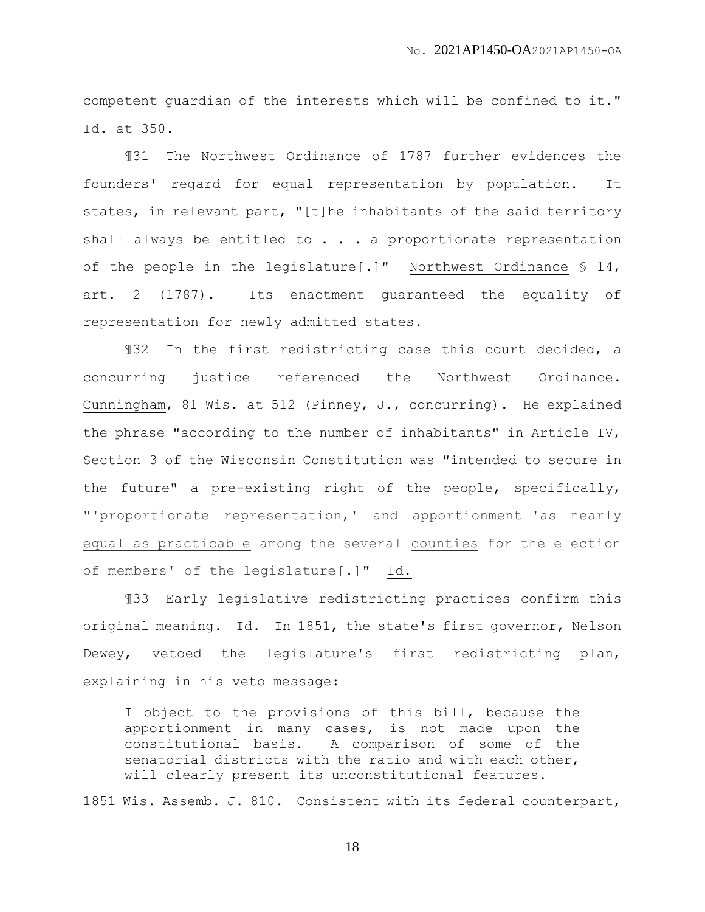competent guardian of the interests which will be confined to it." Id. at 350.

¶31 The Northwest Ordinance of 1787 further evidences the founders' regard for equal representation by population. It states, in relevant part, "[t]he inhabitants of the said territory shall always be entitled to . . . a proportionate representation of the people in the legislature[.]" Northwest Ordinance § 14, art. 2 (1787). Its enactment guaranteed the equality of representation for newly admitted states.

¶32 In the first redistricting case this court decided, a concurring justice referenced the Northwest Ordinance. Cunningham, 81 Wis. at 512 (Pinney, J., concurring). He explained the phrase "according to the number of inhabitants" in Article IV, Section 3 of the Wisconsin Constitution was "intended to secure in the future" a pre-existing right of the people, specifically, "'proportionate representation,' and apportionment 'as nearly equal as practicable among the several counties for the election of members' of the legislature[.]" Id.

¶33 Early legislative redistricting practices confirm this original meaning. Id. In 1851, the state's first governor, Nelson Dewey, vetoed the legislature's first redistricting plan, explaining in his veto message:

I object to the provisions of this bill, because the apportionment in many cases, is not made upon the constitutional basis. A comparison of some of the senatorial districts with the ratio and with each other, will clearly present its unconstitutional features.

1851 Wis. Assemb. J. 810. Consistent with its federal counterpart,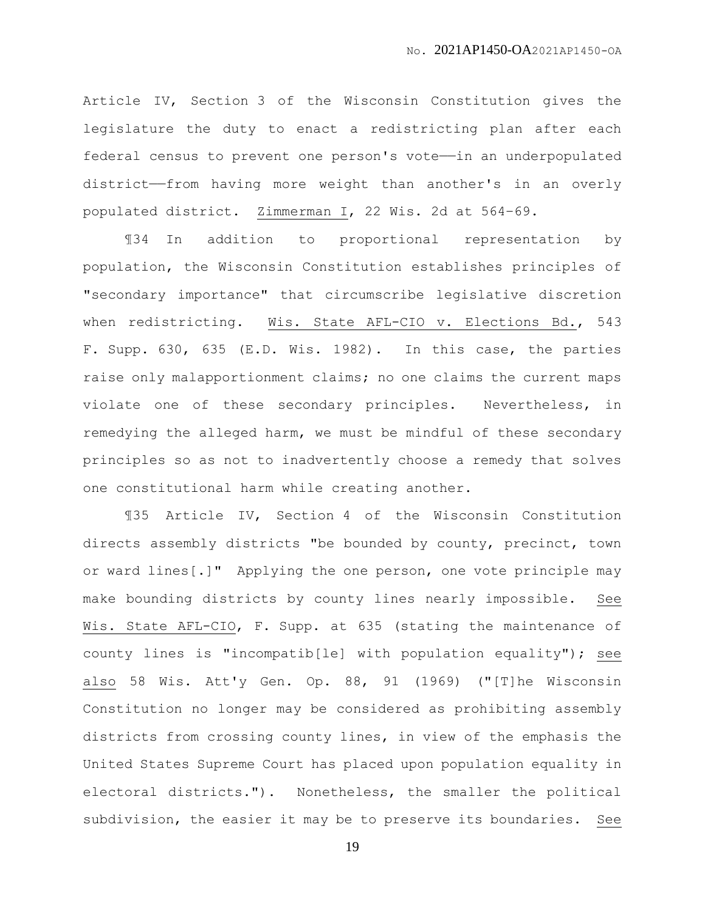Article IV, Section 3 of the Wisconsin Constitution gives the legislature the duty to enact a redistricting plan after each federal census to prevent one person's vote——in an underpopulated district——from having more weight than another's in an overly populated district. Zimmerman I, 22 Wis. 2d at 564–69.

¶34 In addition to proportional representation by population, the Wisconsin Constitution establishes principles of "secondary importance" that circumscribe legislative discretion when redistricting. Wis. State AFL-CIO v. Elections Bd., 543 F. Supp. 630, 635 (E.D. Wis. 1982). In this case, the parties raise only malapportionment claims; no one claims the current maps violate one of these secondary principles. Nevertheless, in remedying the alleged harm, we must be mindful of these secondary principles so as not to inadvertently choose a remedy that solves one constitutional harm while creating another.

¶35 Article IV, Section 4 of the Wisconsin Constitution directs assembly districts "be bounded by county, precinct, town or ward lines[.]" Applying the one person, one vote principle may make bounding districts by county lines nearly impossible. See Wis. State AFL-CIO, F. Supp. at 635 (stating the maintenance of county lines is "incompatib[le] with population equality"); see also 58 Wis. Att'y Gen. Op. 88, 91 (1969) ("[T]he Wisconsin Constitution no longer may be considered as prohibiting assembly districts from crossing county lines, in view of the emphasis the United States Supreme Court has placed upon population equality in electoral districts."). Nonetheless, the smaller the political subdivision, the easier it may be to preserve its boundaries. See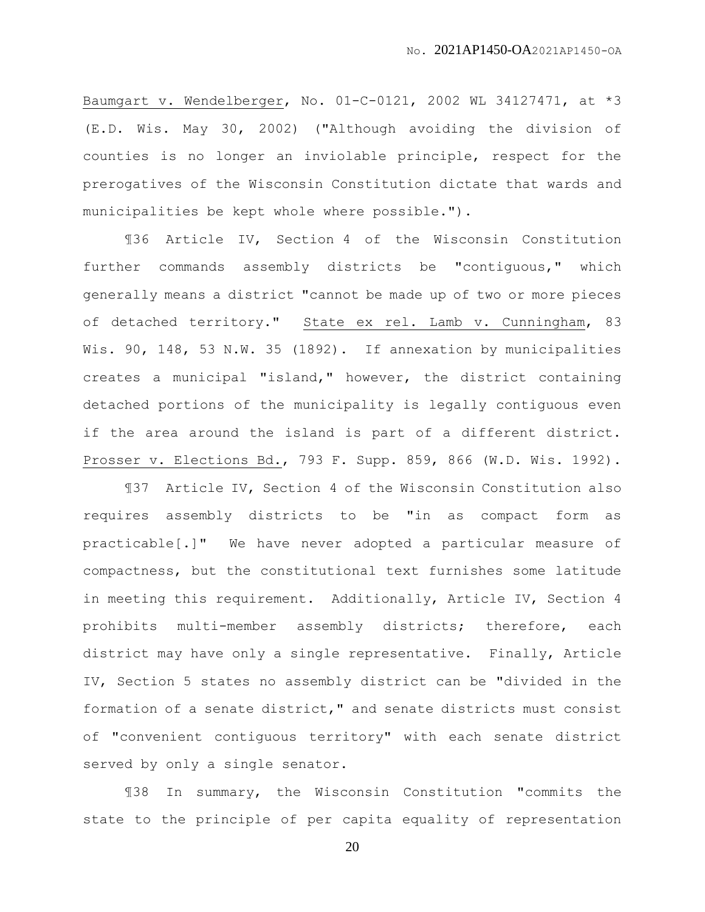Baumgart v. Wendelberger, No. 01-C-0121, 2002 WL 34127471, at \*3 (E.D. Wis. May 30, 2002) ("Although avoiding the division of counties is no longer an inviolable principle, respect for the prerogatives of the Wisconsin Constitution dictate that wards and municipalities be kept whole where possible.").

¶36 Article IV, Section 4 of the Wisconsin Constitution further commands assembly districts be "contiguous," which generally means a district "cannot be made up of two or more pieces of detached territory." State ex rel. Lamb v. Cunningham, 83 Wis. 90, 148, 53 N.W. 35 (1892). If annexation by municipalities creates a municipal "island," however, the district containing detached portions of the municipality is legally contiguous even if the area around the island is part of a different district. Prosser v. Elections Bd., 793 F. Supp. 859, 866 (W.D. Wis. 1992).

¶37 Article IV, Section 4 of the Wisconsin Constitution also requires assembly districts to be "in as compact form as practicable[.]" We have never adopted a particular measure of compactness, but the constitutional text furnishes some latitude in meeting this requirement. Additionally, Article IV, Section 4 prohibits multi-member assembly districts; therefore, each district may have only a single representative. Finally, Article IV, Section 5 states no assembly district can be "divided in the formation of a senate district," and senate districts must consist of "convenient contiguous territory" with each senate district served by only a single senator.

¶38 In summary, the Wisconsin Constitution "commits the state to the principle of per capita equality of representation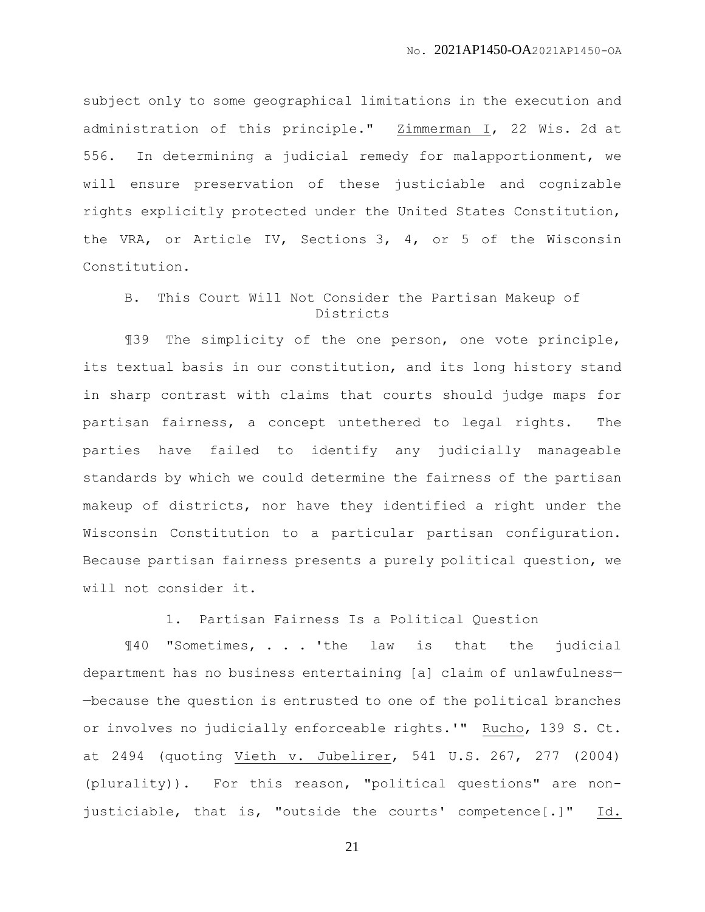subject only to some geographical limitations in the execution and administration of this principle." Zimmerman I, 22 Wis. 2d at 556. In determining a judicial remedy for malapportionment, we will ensure preservation of these justiciable and cognizable rights explicitly protected under the United States Constitution, the VRA, or Article IV, Sections 3, 4, or 5 of the Wisconsin Constitution.

## B. This Court Will Not Consider the Partisan Makeup of Districts

¶39 The simplicity of the one person, one vote principle, its textual basis in our constitution, and its long history stand in sharp contrast with claims that courts should judge maps for partisan fairness, a concept untethered to legal rights. The parties have failed to identify any judicially manageable standards by which we could determine the fairness of the partisan makeup of districts, nor have they identified a right under the Wisconsin Constitution to a particular partisan configuration. Because partisan fairness presents a purely political question, we will not consider it.

1. Partisan Fairness Is a Political Question

¶40 "Sometimes, . . . 'the law is that the judicial department has no business entertaining [a] claim of unlawfulness— —because the question is entrusted to one of the political branches or involves no judicially enforceable rights.'" Rucho, 139 S. Ct. at 2494 (quoting Vieth v. Jubelirer, 541 U.S. 267, 277 (2004) (plurality)). For this reason, "political questions" are nonjusticiable, that is, "outside the courts' competence[.]" Id.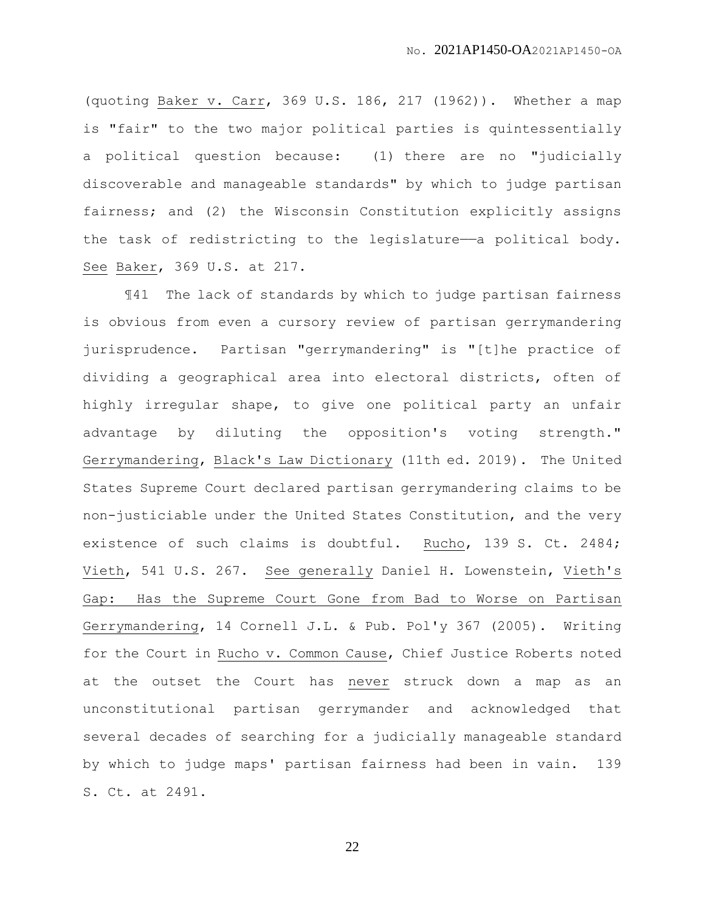(quoting Baker v. Carr, 369 U.S. 186, 217 (1962)). Whether a map is "fair" to the two major political parties is quintessentially a political question because: (1) there are no "judicially discoverable and manageable standards" by which to judge partisan fairness; and (2) the Wisconsin Constitution explicitly assigns the task of redistricting to the legislature—a political body. See Baker, 369 U.S. at 217.

¶41 The lack of standards by which to judge partisan fairness is obvious from even a cursory review of partisan gerrymandering jurisprudence. Partisan "gerrymandering" is "[t]he practice of dividing a geographical area into electoral districts, often of highly irregular shape, to give one political party an unfair advantage by diluting the opposition's voting strength." Gerrymandering, Black's Law Dictionary (11th ed. 2019). The United States Supreme Court declared partisan gerrymandering claims to be non-justiciable under the United States Constitution, and the very existence of such claims is doubtful. Rucho, 139 S. Ct. 2484; Vieth, 541 U.S. 267. See generally Daniel H. Lowenstein, Vieth's Gap: Has the Supreme Court Gone from Bad to Worse on Partisan Gerrymandering, 14 Cornell J.L. & Pub. Pol'y 367 (2005). Writing for the Court in Rucho v. Common Cause, Chief Justice Roberts noted at the outset the Court has never struck down a map as an unconstitutional partisan gerrymander and acknowledged that several decades of searching for a judicially manageable standard by which to judge maps' partisan fairness had been in vain. 139 S. Ct. at 2491.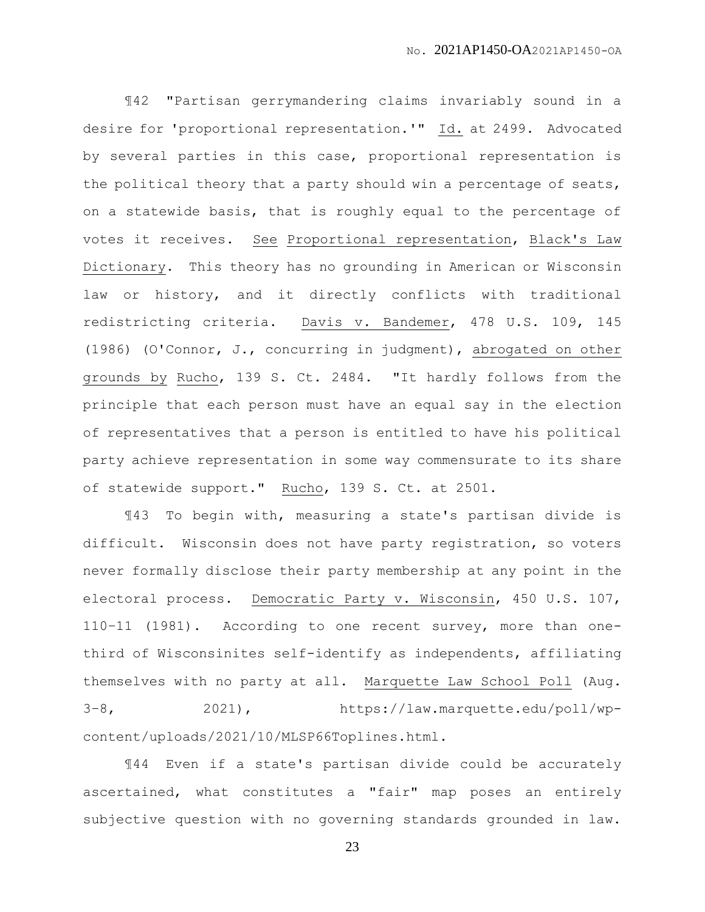¶42 "Partisan gerrymandering claims invariably sound in a desire for 'proportional representation.'" Id. at 2499. Advocated by several parties in this case, proportional representation is the political theory that a party should win a percentage of seats, on a statewide basis, that is roughly equal to the percentage of votes it receives. See Proportional representation, Black's Law Dictionary. This theory has no grounding in American or Wisconsin law or history, and it directly conflicts with traditional redistricting criteria. Davis v. Bandemer, 478 U.S. 109, 145 (1986) (O'Connor, J., concurring in judgment), abrogated on other grounds by Rucho, 139 S. Ct. 2484. "It hardly follows from the principle that each person must have an equal say in the election of representatives that a person is entitled to have his political party achieve representation in some way commensurate to its share of statewide support." Rucho, 139 S. Ct. at 2501.

¶43 To begin with, measuring a state's partisan divide is difficult. Wisconsin does not have party registration, so voters never formally disclose their party membership at any point in the electoral process. Democratic Party v. Wisconsin, 450 U.S. 107, 110–11 (1981). According to one recent survey, more than onethird of Wisconsinites self-identify as independents, affiliating themselves with no party at all. Marquette Law School Poll (Aug. 3–8, 2021), https://law.marquette.edu/poll/wpcontent/uploads/2021/10/MLSP66Toplines.html.

¶44 Even if a state's partisan divide could be accurately ascertained, what constitutes a "fair" map poses an entirely subjective question with no governing standards grounded in law.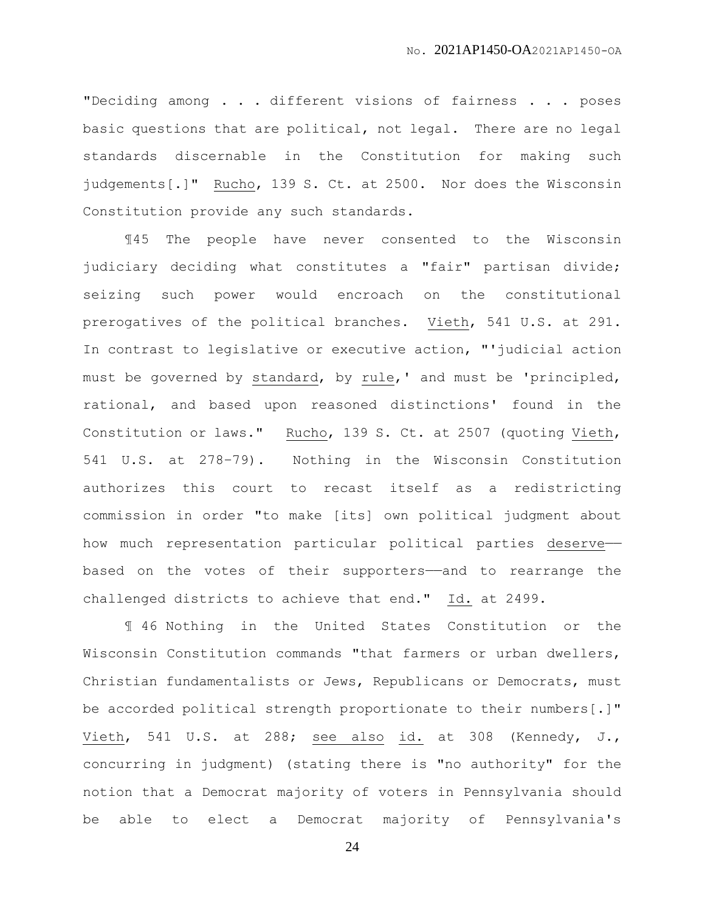"Deciding among . . . different visions of fairness . . . poses basic questions that are political, not legal. There are no legal standards discernable in the Constitution for making such judgements[.]" Rucho, 139 S. Ct. at 2500. Nor does the Wisconsin Constitution provide any such standards.

¶45 The people have never consented to the Wisconsin judiciary deciding what constitutes a "fair" partisan divide; seizing such power would encroach on the constitutional prerogatives of the political branches. Vieth, 541 U.S. at 291. In contrast to legislative or executive action, "'judicial action must be governed by standard, by rule,' and must be 'principled, rational, and based upon reasoned distinctions' found in the Constitution or laws." Rucho, 139 S. Ct. at 2507 (quoting Vieth, 541 U.S. at 278–79). Nothing in the Wisconsin Constitution authorizes this court to recast itself as a redistricting commission in order "to make [its] own political judgment about how much representation particular political parties deserve— based on the votes of their supporters——and to rearrange the challenged districts to achieve that end." Id. at 2499.

¶ 46 Nothing in the United States Constitution or the Wisconsin Constitution commands "that farmers or urban dwellers, Christian fundamentalists or Jews, Republicans or Democrats, must be accorded political strength proportionate to their numbers[.]" Vieth, 541 U.S. at 288; see also id. at 308 (Kennedy, J., concurring in judgment) (stating there is "no authority" for the notion that a Democrat majority of voters in Pennsylvania should be able to elect a Democrat majority of Pennsylvania's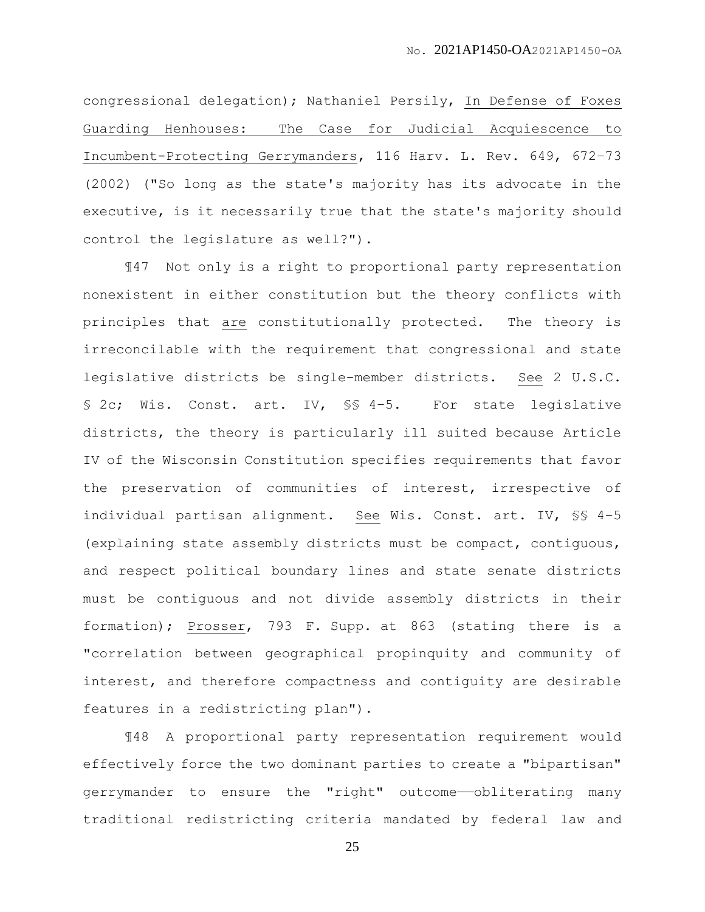congressional delegation); Nathaniel Persily, In Defense of Foxes Guarding Henhouses: The Case for Judicial Acquiescence to Incumbent-Protecting Gerrymanders, 116 Harv. L. Rev. 649, 672–73 (2002) ("So long as the state's majority has its advocate in the executive, is it necessarily true that the state's majority should control the legislature as well?").

¶47 Not only is a right to proportional party representation nonexistent in either constitution but the theory conflicts with principles that are constitutionally protected. The theory is irreconcilable with the requirement that congressional and state legislative districts be single-member districts. See 2 U.S.C. § 2c; Wis. Const. art. IV, §§ 4-5. For state legislative districts, the theory is particularly ill suited because Article IV of the Wisconsin Constitution specifies requirements that favor the preservation of communities of interest, irrespective of individual partisan alignment. See Wis. Const. art. IV, §§ 4–5 (explaining state assembly districts must be compact, contiguous, and respect political boundary lines and state senate districts must be contiguous and not divide assembly districts in their formation); Prosser, 793 F. Supp. at 863 (stating there is a "correlation between geographical propinquity and community of interest, and therefore compactness and contiguity are desirable features in a redistricting plan").

¶48 A proportional party representation requirement would effectively force the two dominant parties to create a "bipartisan" gerrymander to ensure the "right" outcome-obliterating many traditional redistricting criteria mandated by federal law and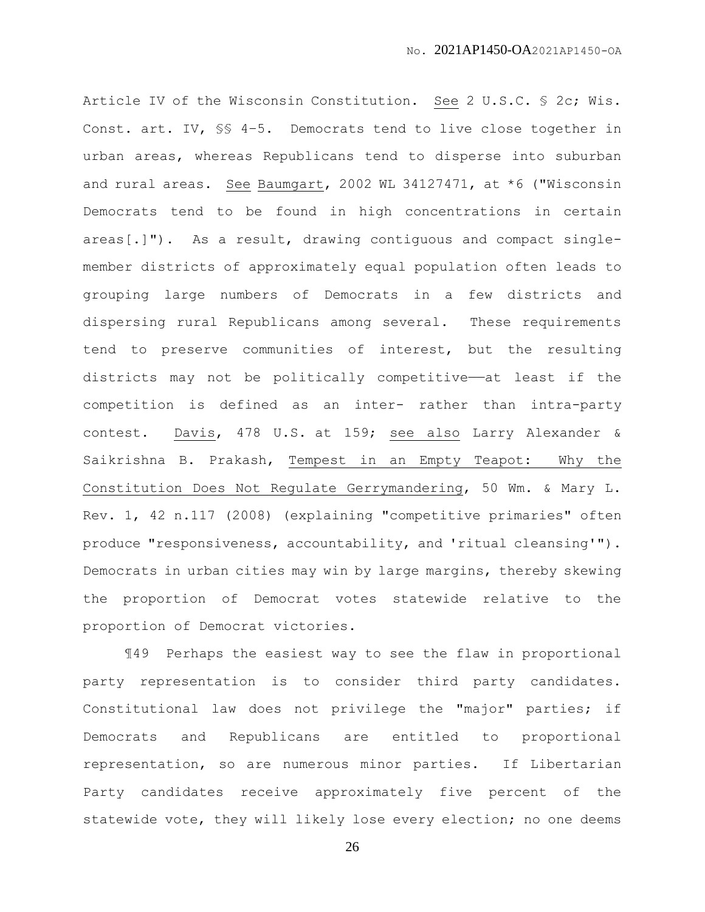Article IV of the Wisconsin Constitution. See 2 U.S.C. § 2c; Wis. Const. art. IV, §§ 4–5. Democrats tend to live close together in urban areas, whereas Republicans tend to disperse into suburban and rural areas. See Baumgart, 2002 WL 34127471, at \*6 ("Wisconsin Democrats tend to be found in high concentrations in certain areas[.]"). As a result, drawing contiguous and compact singlemember districts of approximately equal population often leads to grouping large numbers of Democrats in a few districts and dispersing rural Republicans among several. These requirements tend to preserve communities of interest, but the resulting districts may not be politically competitive——at least if the competition is defined as an inter- rather than intra-party contest. Davis, 478 U.S. at 159; see also Larry Alexander & Saikrishna B. Prakash, Tempest in an Empty Teapot: Why the Constitution Does Not Regulate Gerrymandering, 50 Wm. & Mary L. Rev. 1, 42 n.117 (2008) (explaining "competitive primaries" often produce "responsiveness, accountability, and 'ritual cleansing'"). Democrats in urban cities may win by large margins, thereby skewing the proportion of Democrat votes statewide relative to the proportion of Democrat victories.

¶49 Perhaps the easiest way to see the flaw in proportional party representation is to consider third party candidates. Constitutional law does not privilege the "major" parties; if Democrats and Republicans are entitled to proportional representation, so are numerous minor parties. If Libertarian Party candidates receive approximately five percent of the statewide vote, they will likely lose every election; no one deems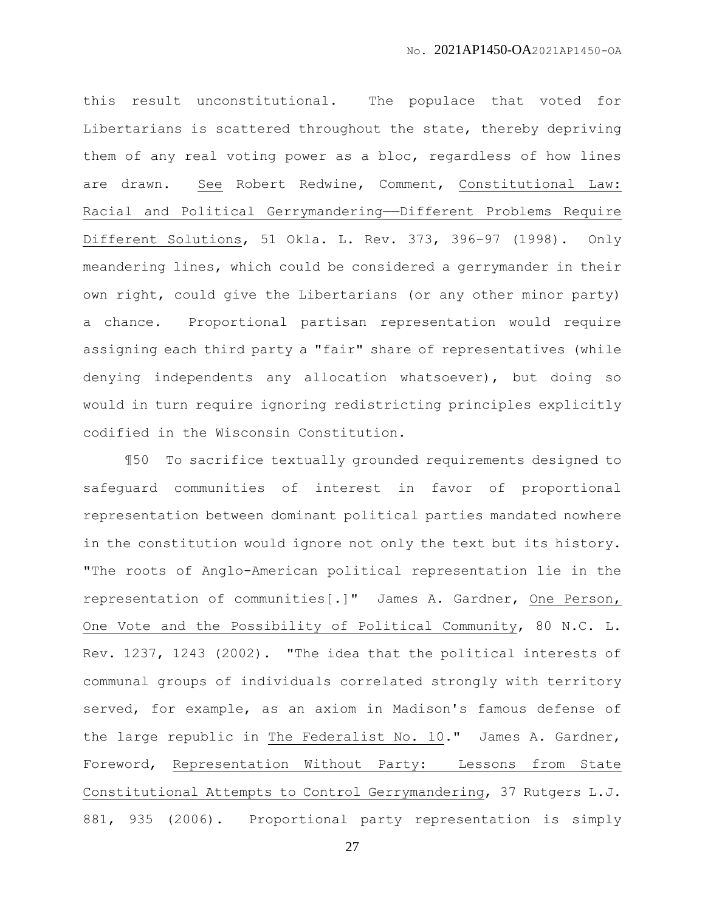this result unconstitutional. The populace that voted for Libertarians is scattered throughout the state, thereby depriving them of any real voting power as a bloc, regardless of how lines are drawn. See Robert Redwine, Comment, Constitutional Law: Racial and Political Gerrymandering——Different Problems Require Different Solutions, 51 Okla. L. Rev. 373, 396–97 (1998). Only meandering lines, which could be considered a gerrymander in their own right, could give the Libertarians (or any other minor party) a chance. Proportional partisan representation would require assigning each third party a "fair" share of representatives (while denying independents any allocation whatsoever), but doing so would in turn require ignoring redistricting principles explicitly codified in the Wisconsin Constitution.

¶50 To sacrifice textually grounded requirements designed to safeguard communities of interest in favor of proportional representation between dominant political parties mandated nowhere in the constitution would ignore not only the text but its history. "The roots of Anglo-American political representation lie in the representation of communities[.]" James A. Gardner, One Person, One Vote and the Possibility of Political Community, 80 N.C. L. Rev. 1237, 1243 (2002). "The idea that the political interests of communal groups of individuals correlated strongly with territory served, for example, as an axiom in Madison's famous defense of the large republic in The Federalist No. 10." James A. Gardner, Foreword, Representation Without Party: Lessons from State Constitutional Attempts to Control Gerrymandering, 37 Rutgers L.J. 881, 935 (2006). Proportional party representation is simply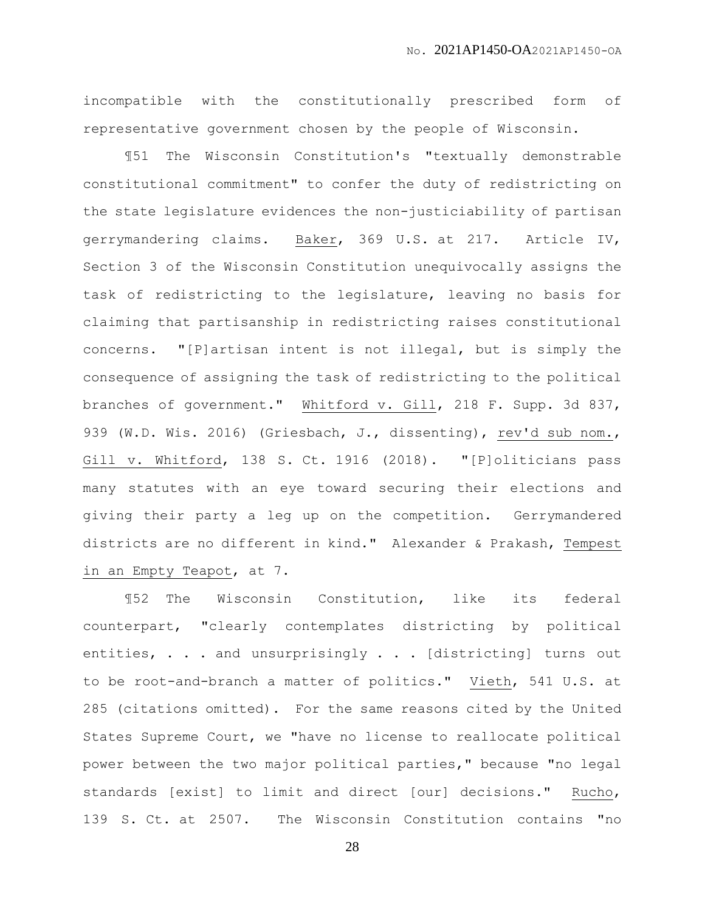incompatible with the constitutionally prescribed form of representative government chosen by the people of Wisconsin.

¶51 The Wisconsin Constitution's "textually demonstrable constitutional commitment" to confer the duty of redistricting on the state legislature evidences the non-justiciability of partisan gerrymandering claims. Baker, 369 U.S. at 217. Article IV, Section 3 of the Wisconsin Constitution unequivocally assigns the task of redistricting to the legislature, leaving no basis for claiming that partisanship in redistricting raises constitutional concerns. "[P]artisan intent is not illegal, but is simply the consequence of assigning the task of redistricting to the political branches of government." Whitford v. Gill, 218 F. Supp. 3d 837, 939 (W.D. Wis. 2016) (Griesbach, J., dissenting), rev'd sub nom., Gill v. Whitford, 138 S. Ct. 1916 (2018). "[P]oliticians pass many statutes with an eye toward securing their elections and giving their party a leg up on the competition. Gerrymandered districts are no different in kind." Alexander & Prakash, Tempest in an Empty Teapot, at 7.

¶52 The Wisconsin Constitution, like its federal counterpart, "clearly contemplates districting by political entities, . . . and unsurprisingly . . . [districting] turns out to be root-and-branch a matter of politics." Vieth, 541 U.S. at 285 (citations omitted). For the same reasons cited by the United States Supreme Court, we "have no license to reallocate political power between the two major political parties," because "no legal standards [exist] to limit and direct [our] decisions." Rucho, 139 S. Ct. at 2507. The Wisconsin Constitution contains "no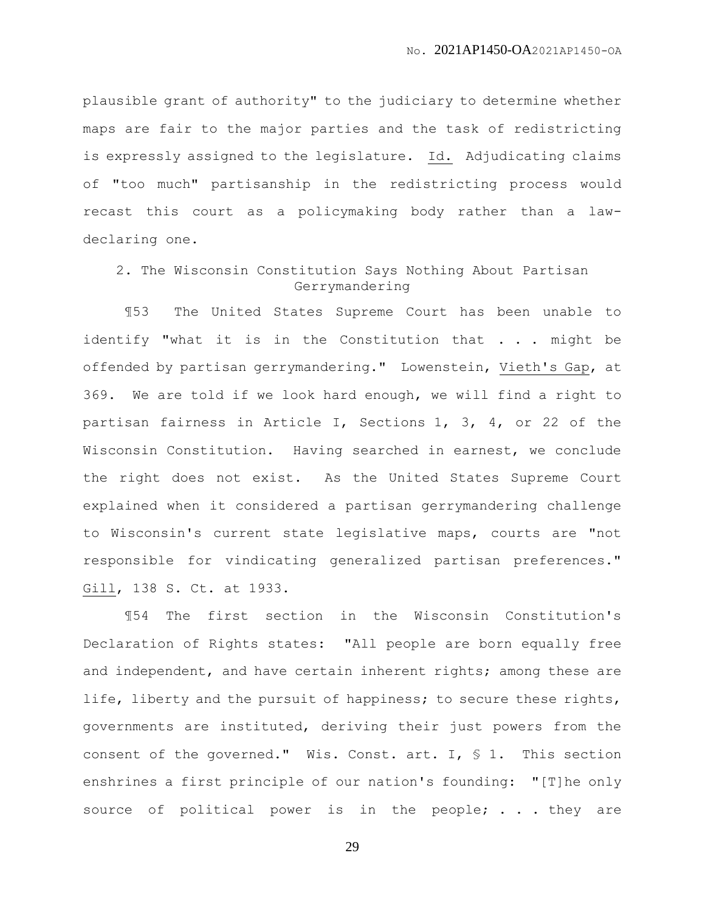plausible grant of authority" to the judiciary to determine whether maps are fair to the major parties and the task of redistricting is expressly assigned to the legislature. Id. Adjudicating claims of "too much" partisanship in the redistricting process would recast this court as a policymaking body rather than a lawdeclaring one.

# 2. The Wisconsin Constitution Says Nothing About Partisan Gerrymandering

¶53 The United States Supreme Court has been unable to identify "what it is in the Constitution that  $\ldots$  might be offended by partisan gerrymandering." Lowenstein, Vieth's Gap, at 369. We are told if we look hard enough, we will find a right to partisan fairness in Article I, Sections 1, 3, 4, or 22 of the Wisconsin Constitution. Having searched in earnest, we conclude the right does not exist. As the United States Supreme Court explained when it considered a partisan gerrymandering challenge to Wisconsin's current state legislative maps, courts are "not responsible for vindicating generalized partisan preferences." Gill, 138 S. Ct. at 1933.

¶54 The first section in the Wisconsin Constitution's Declaration of Rights states: "All people are born equally free and independent, and have certain inherent rights; among these are life, liberty and the pursuit of happiness; to secure these rights, governments are instituted, deriving their just powers from the consent of the governed." Wis. Const. art. I, § 1. This section enshrines a first principle of our nation's founding: "[T]he only source of political power is in the people; . . . they are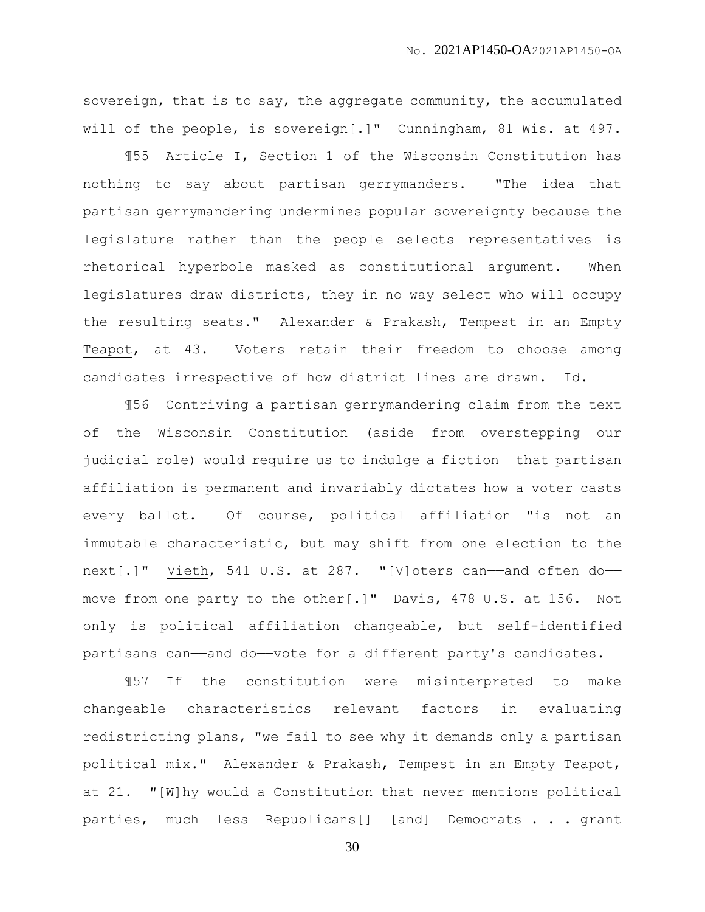sovereign, that is to say, the aggregate community, the accumulated will of the people, is sovereign[.]" Cunningham, 81 Wis. at 497.

¶55 Article I, Section 1 of the Wisconsin Constitution has nothing to say about partisan gerrymanders. "The idea that partisan gerrymandering undermines popular sovereignty because the legislature rather than the people selects representatives is rhetorical hyperbole masked as constitutional argument. When legislatures draw districts, they in no way select who will occupy the resulting seats." Alexander & Prakash, Tempest in an Empty Teapot, at 43. Voters retain their freedom to choose among candidates irrespective of how district lines are drawn. Id.

¶56 Contriving a partisan gerrymandering claim from the text of the Wisconsin Constitution (aside from overstepping our judicial role) would require us to indulge a fiction—that partisan affiliation is permanent and invariably dictates how a voter casts every ballot. Of course, political affiliation "is not an immutable characteristic, but may shift from one election to the next[.]" Vieth, 541 U.S. at 287. "[V]oters can——and often do— move from one party to the other[.]" Davis, 478 U.S. at 156. Not only is political affiliation changeable, but self-identified partisans can—and do—vote for a different party's candidates.

¶57 If the constitution were misinterpreted to make changeable characteristics relevant factors in evaluating redistricting plans, "we fail to see why it demands only a partisan political mix." Alexander & Prakash, Tempest in an Empty Teapot, at 21. "[W]hy would a Constitution that never mentions political parties, much less Republicans[] [and] Democrats . . . grant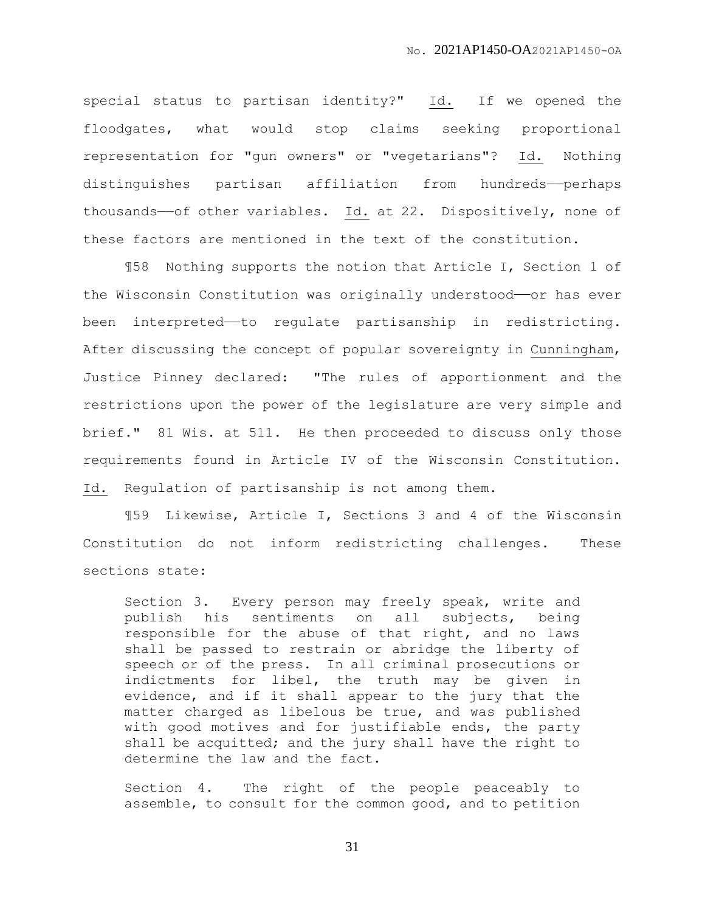special status to partisan identity?" Id. If we opened the floodgates, what would stop claims seeking proportional representation for "gun owners" or "vegetarians"? Id. Nothing distinguishes partisan affiliation from hundreds——perhaps thousands--of other variables. Id. at 22. Dispositively, none of these factors are mentioned in the text of the constitution.

¶58 Nothing supports the notion that Article I, Section 1 of the Wisconsin Constitution was originally understood—or has ever been interpreted—to regulate partisanship in redistricting. After discussing the concept of popular sovereignty in Cunningham, Justice Pinney declared: "The rules of apportionment and the restrictions upon the power of the legislature are very simple and brief." 81 Wis. at 511. He then proceeded to discuss only those requirements found in Article IV of the Wisconsin Constitution. Id. Regulation of partisanship is not among them.

¶59 Likewise, Article I, Sections 3 and 4 of the Wisconsin Constitution do not inform redistricting challenges. These sections state:

Section 3. Every person may freely speak, write and publish his sentiments on all subjects, being responsible for the abuse of that right, and no laws shall be passed to restrain or abridge the liberty of speech or of the press. In all criminal prosecutions or indictments for libel, the truth may be given in evidence, and if it shall appear to the jury that the matter charged as libelous be true, and was published with good motives and for justifiable ends, the party shall be acquitted; and the jury shall have the right to determine the law and the fact.

Section 4. The right of the people peaceably to assemble, to consult for the common good, and to petition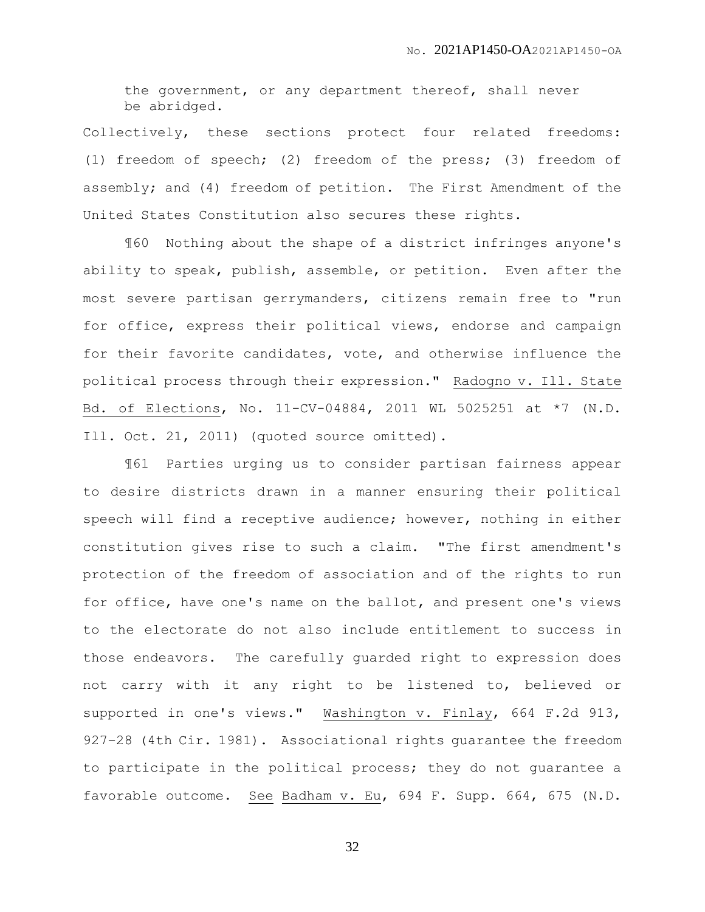the government, or any department thereof, shall never be abridged.

Collectively, these sections protect four related freedoms: (1) freedom of speech; (2) freedom of the press; (3) freedom of assembly; and (4) freedom of petition. The First Amendment of the United States Constitution also secures these rights.

¶60 Nothing about the shape of a district infringes anyone's ability to speak, publish, assemble, or petition. Even after the most severe partisan gerrymanders, citizens remain free to "run for office, express their political views, endorse and campaign for their favorite candidates, vote, and otherwise influence the political process through their expression." Radogno v. Ill. State Bd. of Elections, No. 11-CV-04884, 2011 WL 5025251 at \*7 (N.D. Ill. Oct. 21, 2011) (quoted source omitted).

¶61 Parties urging us to consider partisan fairness appear to desire districts drawn in a manner ensuring their political speech will find a receptive audience; however, nothing in either constitution gives rise to such a claim. "The first amendment's protection of the freedom of association and of the rights to run for office, have one's name on the ballot, and present one's views to the electorate do not also include entitlement to success in those endeavors. The carefully guarded right to expression does not carry with it any right to be listened to, believed or supported in one's views." Washington v. Finlay, 664 F.2d 913, 927–28 (4th Cir. 1981). Associational rights guarantee the freedom to participate in the political process; they do not guarantee a favorable outcome. See Badham v. Eu, 694 F. Supp. 664, 675 (N.D.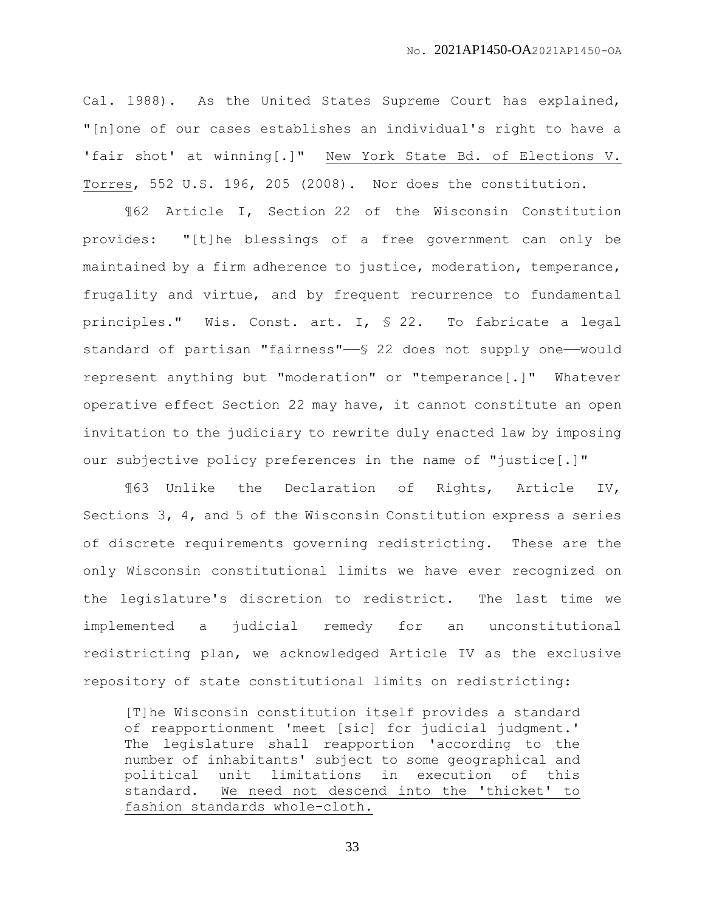Cal. 1988). As the United States Supreme Court has explained, "[n]one of our cases establishes an individual's right to have a 'fair shot' at winning[.]" New York State Bd. of Elections V. Torres, 552 U.S. 196, 205 (2008). Nor does the constitution.

¶62 Article I, Section 22 of the Wisconsin Constitution provides: "[t]he blessings of a free government can only be maintained by a firm adherence to justice, moderation, temperance, frugality and virtue, and by frequent recurrence to fundamental principles." Wis. Const. art. I, § 22. To fabricate a legal standard of partisan "fairness"— $\S$  22 does not supply one—would represent anything but "moderation" or "temperance[.]" Whatever operative effect Section 22 may have, it cannot constitute an open invitation to the judiciary to rewrite duly enacted law by imposing our subjective policy preferences in the name of "justice[.]"

¶63 Unlike the Declaration of Rights, Article IV, Sections 3, 4, and 5 of the Wisconsin Constitution express a series of discrete requirements governing redistricting. These are the only Wisconsin constitutional limits we have ever recognized on the legislature's discretion to redistrict. The last time we implemented a judicial remedy for an unconstitutional redistricting plan, we acknowledged Article IV as the exclusive repository of state constitutional limits on redistricting:

[T]he Wisconsin constitution itself provides a standard of reapportionment 'meet [sic] for judicial judgment.' The legislature shall reapportion 'according to the number of inhabitants' subject to some geographical and political unit limitations in execution of this standard. We need not descend into the 'thicket' to fashion standards whole-cloth.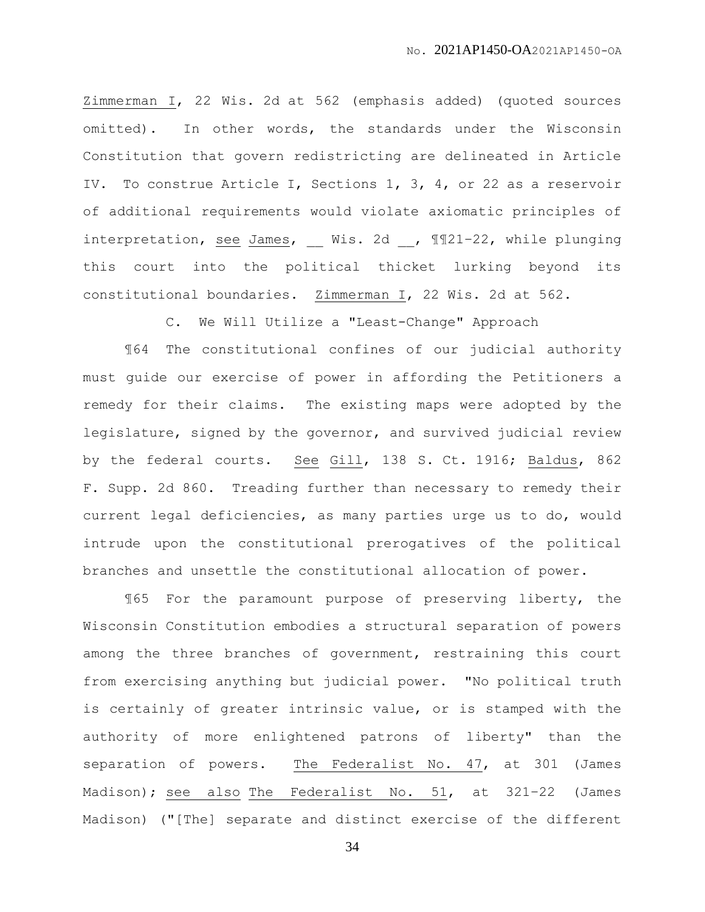Zimmerman I, 22 Wis. 2d at 562 (emphasis added) (quoted sources omitted). In other words, the standards under the Wisconsin Constitution that govern redistricting are delineated in Article IV. To construe Article I, Sections 1, 3, 4, or 22 as a reservoir of additional requirements would violate axiomatic principles of interpretation, see James, Wis. 2d , ¶¶21-22, while plunging this court into the political thicket lurking beyond its constitutional boundaries. Zimmerman I, 22 Wis. 2d at 562.

C. We Will Utilize a "Least-Change" Approach

¶64 The constitutional confines of our judicial authority must guide our exercise of power in affording the Petitioners a remedy for their claims. The existing maps were adopted by the legislature, signed by the governor, and survived judicial review by the federal courts. See Gill, 138 S. Ct. 1916; Baldus, 862 F. Supp. 2d 860. Treading further than necessary to remedy their current legal deficiencies, as many parties urge us to do, would intrude upon the constitutional prerogatives of the political branches and unsettle the constitutional allocation of power.

¶65 For the paramount purpose of preserving liberty, the Wisconsin Constitution embodies a structural separation of powers among the three branches of government, restraining this court from exercising anything but judicial power. "No political truth is certainly of greater intrinsic value, or is stamped with the authority of more enlightened patrons of liberty" than the separation of powers. The Federalist No. 47, at 301 (James Madison); see also The Federalist No. 51, at 321-22 (James Madison) ("[The] separate and distinct exercise of the different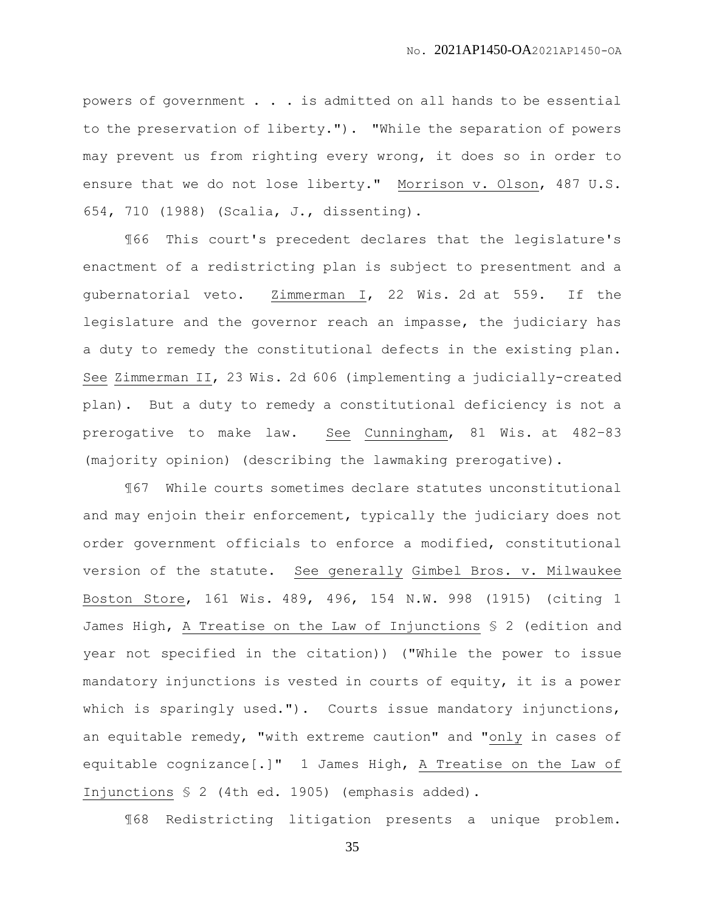powers of government . . . is admitted on all hands to be essential to the preservation of liberty."). "While the separation of powers may prevent us from righting every wrong, it does so in order to ensure that we do not lose liberty." Morrison v. Olson, 487 U.S. 654, 710 (1988) (Scalia, J., dissenting).

¶66 This court's precedent declares that the legislature's enactment of a redistricting plan is subject to presentment and a gubernatorial veto. Zimmerman I, 22 Wis. 2d at 559. If the legislature and the governor reach an impasse, the judiciary has a duty to remedy the constitutional defects in the existing plan. See Zimmerman II, 23 Wis. 2d 606 (implementing a judicially-created plan). But a duty to remedy a constitutional deficiency is not a prerogative to make law. See Cunningham, 81 Wis. at 482–83 (majority opinion) (describing the lawmaking prerogative).

¶67 While courts sometimes declare statutes unconstitutional and may enjoin their enforcement, typically the judiciary does not order government officials to enforce a modified, constitutional version of the statute. See generally Gimbel Bros. v. Milwaukee Boston Store, 161 Wis. 489, 496, 154 N.W. 998 (1915) (citing 1 James High, A Treatise on the Law of Injunctions § 2 (edition and year not specified in the citation)) ("While the power to issue mandatory injunctions is vested in courts of equity, it is a power which is sparingly used."). Courts issue mandatory injunctions, an equitable remedy, "with extreme caution" and "only in cases of equitable cognizance[.]" 1 James High, A Treatise on the Law of Injunctions § 2 (4th ed. 1905) (emphasis added).

¶68 Redistricting litigation presents a unique problem.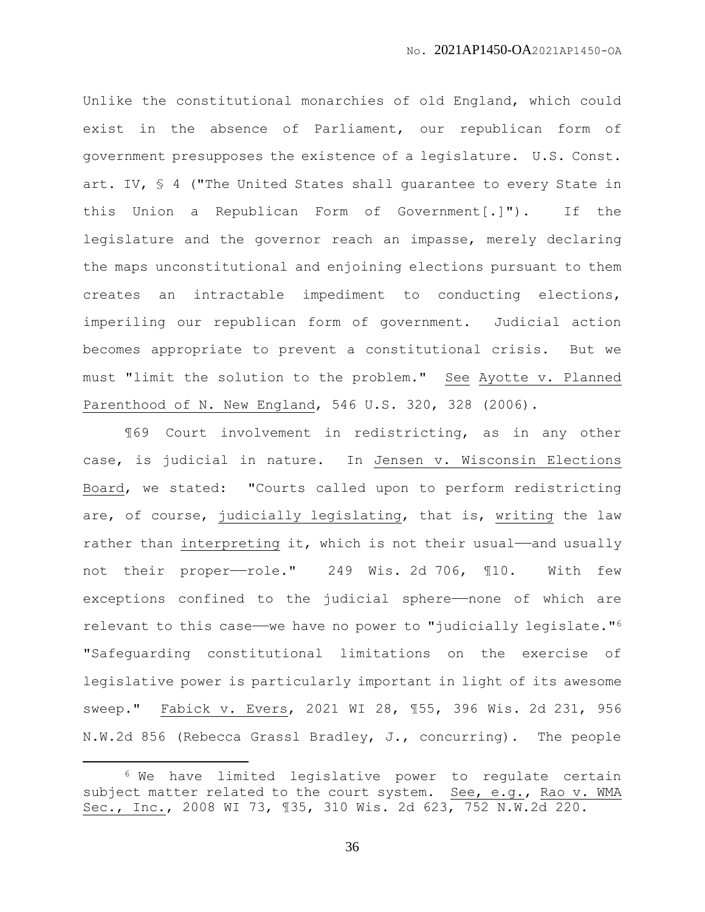Unlike the constitutional monarchies of old England, which could exist in the absence of Parliament, our republican form of government presupposes the existence of a legislature. U.S. Const. art. IV, § 4 ("The United States shall guarantee to every State in this Union a Republican Form of Government[.]"). If the legislature and the governor reach an impasse, merely declaring the maps unconstitutional and enjoining elections pursuant to them creates an intractable impediment to conducting elections, imperiling our republican form of government. Judicial action becomes appropriate to prevent a constitutional crisis. But we must "limit the solution to the problem." See Ayotte v. Planned Parenthood of N. New England, 546 U.S. 320, 328 (2006).

¶69 Court involvement in redistricting, as in any other case, is judicial in nature. In Jensen v. Wisconsin Elections Board, we stated: "Courts called upon to perform redistricting are, of course, judicially legislating, that is, writing the law rather than interpreting it, which is not their usual—and usually not their proper---role." 249 Wis. 2d 706, 110. With few exceptions confined to the judicial sphere——none of which are relevant to this case—we have no power to "judicially legislate."<sup>6</sup> "Safeguarding constitutional limitations on the exercise of legislative power is particularly important in light of its awesome sweep." Fabick v. Evers, 2021 WI 28, ¶55, 396 Wis. 2d 231, 956 N.W.2d 856 (Rebecca Grassl Bradley, J., concurring). The people

 $\overline{a}$ 

<sup>6</sup> We have limited legislative power to regulate certain subject matter related to the court system. See, e.g., Rao v. WMA Sec., Inc., 2008 WI 73, ¶35, 310 Wis. 2d 623, 752 N.W.2d 220.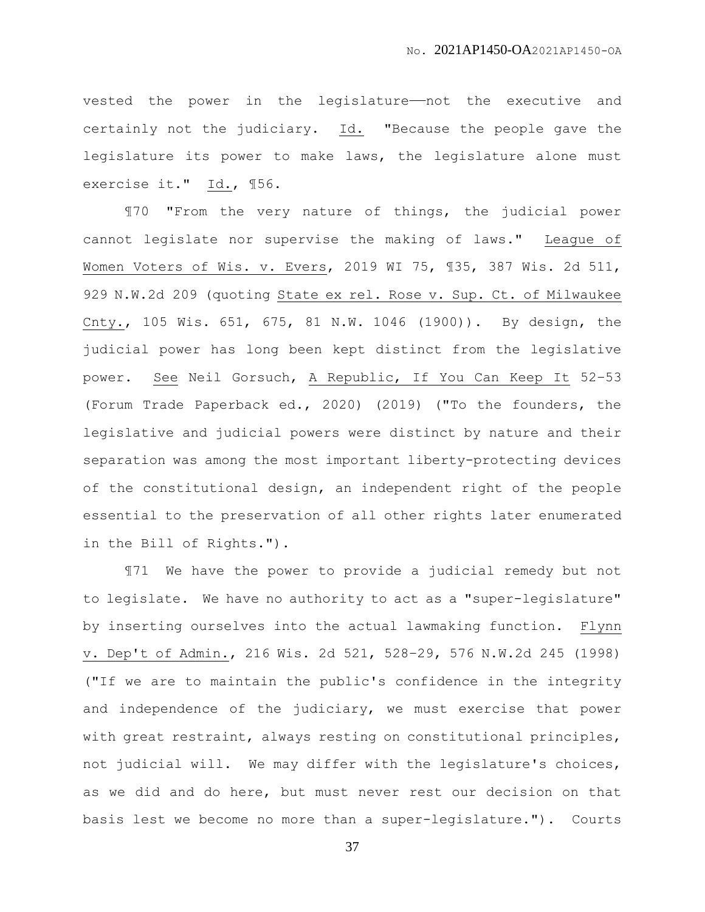vested the power in the legislature——not the executive and certainly not the judiciary. Id. "Because the people gave the legislature its power to make laws, the legislature alone must exercise it." Id., ¶56.

¶70 "From the very nature of things, the judicial power cannot legislate nor supervise the making of laws." League of Women Voters of Wis. v. Evers, 2019 WI 75, ¶35, 387 Wis. 2d 511, 929 N.W.2d 209 (quoting State ex rel. Rose v. Sup. Ct. of Milwaukee Cnty., 105 Wis. 651, 675, 81 N.W. 1046 (1900)). By design, the judicial power has long been kept distinct from the legislative power. See Neil Gorsuch, A Republic, If You Can Keep It 52–53 (Forum Trade Paperback ed., 2020) (2019) ("To the founders, the legislative and judicial powers were distinct by nature and their separation was among the most important liberty-protecting devices of the constitutional design, an independent right of the people essential to the preservation of all other rights later enumerated in the Bill of Rights.").

¶71 We have the power to provide a judicial remedy but not to legislate. We have no authority to act as a "super-legislature" by inserting ourselves into the actual lawmaking function. Flynn v. Dep't of Admin., 216 Wis. 2d 521, 528–29, 576 N.W.2d 245 (1998) ("If we are to maintain the public's confidence in the integrity and independence of the judiciary, we must exercise that power with great restraint, always resting on constitutional principles, not judicial will. We may differ with the legislature's choices, as we did and do here, but must never rest our decision on that basis lest we become no more than a super-legislature."). Courts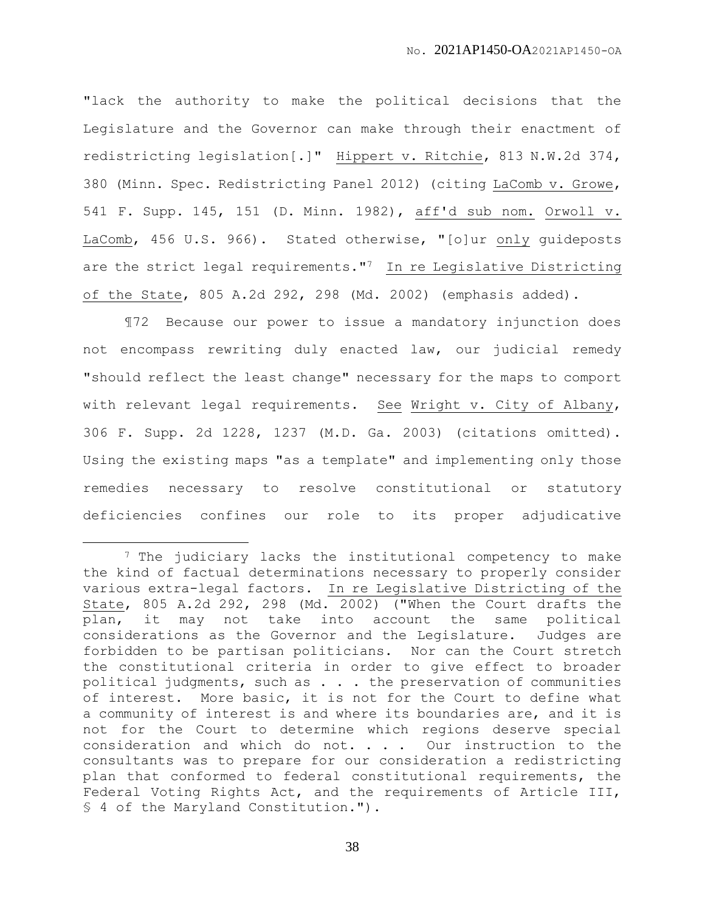"lack the authority to make the political decisions that the Legislature and the Governor can make through their enactment of redistricting legislation[.]" Hippert v. Ritchie, 813 N.W.2d 374, 380 (Minn. Spec. Redistricting Panel 2012) (citing LaComb v. Growe, 541 F. Supp. 145, 151 (D. Minn. 1982), aff'd sub nom. Orwoll v. LaComb, 456 U.S. 966). Stated otherwise, "[o]ur only guideposts are the strict legal requirements."7 In re Legislative Districting of the State, 805 A.2d 292, 298 (Md. 2002) (emphasis added).

¶72 Because our power to issue a mandatory injunction does not encompass rewriting duly enacted law, our judicial remedy "should reflect the least change" necessary for the maps to comport with relevant legal requirements. See Wright v. City of Albany, 306 F. Supp. 2d 1228, 1237 (M.D. Ga. 2003) (citations omitted). Using the existing maps "as a template" and implementing only those remedies necessary to resolve constitutional or statutory deficiencies confines our role to its proper adjudicative

 $\overline{a}$ 

<sup>&</sup>lt;sup>7</sup> The judiciary lacks the institutional competency to make the kind of factual determinations necessary to properly consider various extra-legal factors. In re Legislative Districting of the State, 805 A.2d 292, 298 (Md. 2002) ("When the Court drafts the plan, it may not take into account the same political considerations as the Governor and the Legislature. Judges are forbidden to be partisan politicians. Nor can the Court stretch the constitutional criteria in order to give effect to broader political judgments, such as . . . the preservation of communities of interest. More basic, it is not for the Court to define what a community of interest is and where its boundaries are, and it is not for the Court to determine which regions deserve special consideration and which do not. . . . Our instruction to the consultants was to prepare for our consideration a redistricting plan that conformed to federal constitutional requirements, the Federal Voting Rights Act, and the requirements of Article III, § 4 of the Maryland Constitution.").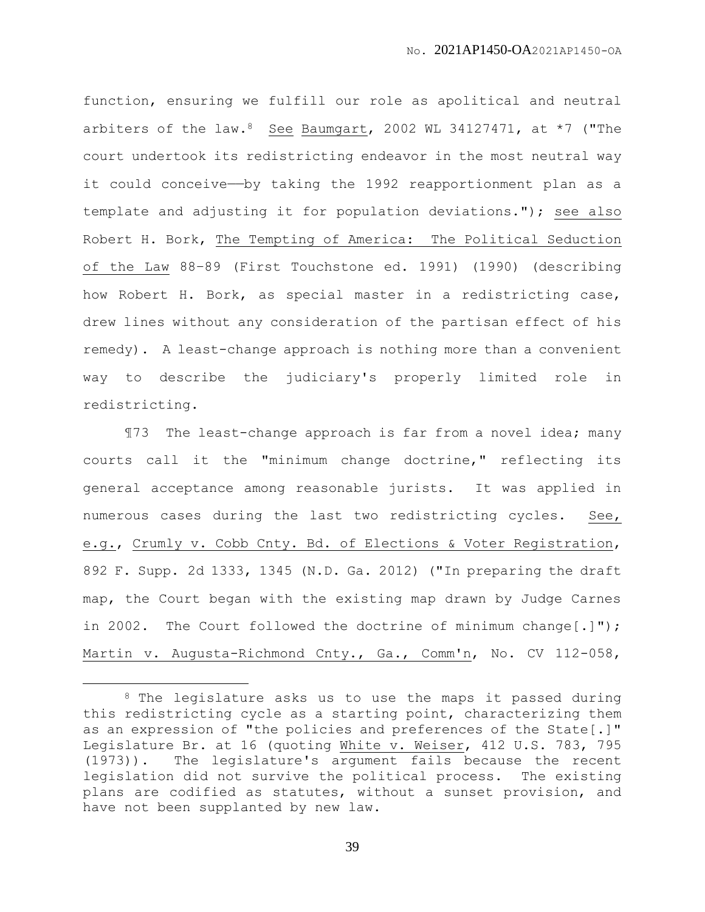function, ensuring we fulfill our role as apolitical and neutral arbiters of the law. <sup>8</sup> See Baumgart, 2002 WL 34127471, at  $*7$  ("The court undertook its redistricting endeavor in the most neutral way it could conceive—by taking the 1992 reapportionment plan as a template and adjusting it for population deviations."); see also Robert H. Bork, The Tempting of America: The Political Seduction of the Law 88–89 (First Touchstone ed. 1991) (1990) (describing how Robert H. Bork, as special master in a redistricting case, drew lines without any consideration of the partisan effect of his remedy). A least-change approach is nothing more than a convenient way to describe the judiciary's properly limited role in redistricting.

¶73 The least-change approach is far from a novel idea; many courts call it the "minimum change doctrine," reflecting its general acceptance among reasonable jurists. It was applied in numerous cases during the last two redistricting cycles. See, e.g., Crumly v. Cobb Cnty. Bd. of Elections & Voter Registration, 892 F. Supp. 2d 1333, 1345 (N.D. Ga. 2012) ("In preparing the draft map, the Court began with the existing map drawn by Judge Carnes in 2002. The Court followed the doctrine of minimum change[.]"); Martin v. Augusta-Richmond Cnty., Ga., Comm'n, No. CV 112-058,

 $\overline{a}$ 

<sup>8</sup> The legislature asks us to use the maps it passed during this redistricting cycle as a starting point, characterizing them as an expression of "the policies and preferences of the State[.]" Legislature Br. at 16 (quoting White v. Weiser, 412 U.S. 783, 795 (1973)). The legislature's argument fails because the recent legislation did not survive the political process. The existing plans are codified as statutes, without a sunset provision, and have not been supplanted by new law.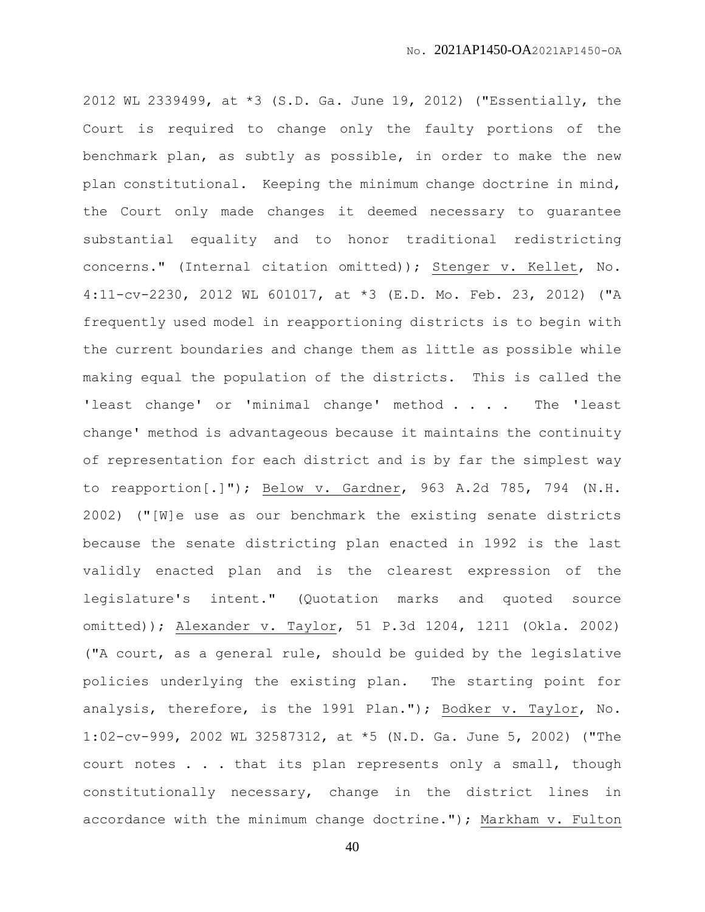2012 WL 2339499, at \*3 (S.D. Ga. June 19, 2012) ("Essentially, the Court is required to change only the faulty portions of the benchmark plan, as subtly as possible, in order to make the new plan constitutional. Keeping the minimum change doctrine in mind, the Court only made changes it deemed necessary to guarantee substantial equality and to honor traditional redistricting concerns." (Internal citation omitted)); Stenger v. Kellet, No. 4:11-cv-2230, 2012 WL 601017, at \*3 (E.D. Mo. Feb. 23, 2012) ("A frequently used model in reapportioning districts is to begin with the current boundaries and change them as little as possible while making equal the population of the districts. This is called the 'least change' or 'minimal change' method . . . . The 'least change' method is advantageous because it maintains the continuity of representation for each district and is by far the simplest way to reapportion[.]"); Below v. Gardner, 963 A.2d 785, 794 (N.H. 2002) ("[W]e use as our benchmark the existing senate districts because the senate districting plan enacted in 1992 is the last validly enacted plan and is the clearest expression of the legislature's intent." (Quotation marks and quoted source omitted)); Alexander v. Taylor, 51 P.3d 1204, 1211 (Okla. 2002) ("A court, as a general rule, should be guided by the legislative policies underlying the existing plan. The starting point for analysis, therefore, is the 1991 Plan."); Bodker v. Taylor, No. 1:02-cv-999, 2002 WL 32587312, at \*5 (N.D. Ga. June 5, 2002) ("The court notes . . . that its plan represents only a small, though constitutionally necessary, change in the district lines in accordance with the minimum change doctrine."); Markham v. Fulton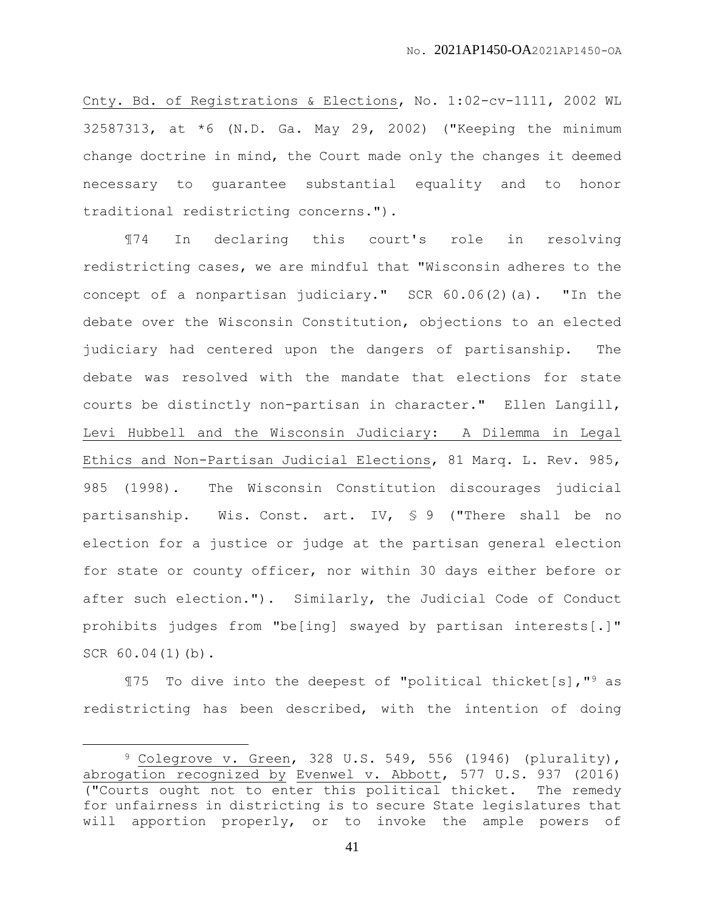Cnty. Bd. of Registrations & Elections, No. 1:02-cv-1111, 2002 WL 32587313, at \*6 (N.D. Ga. May 29, 2002) ("Keeping the minimum change doctrine in mind, the Court made only the changes it deemed necessary to guarantee substantial equality and to honor traditional redistricting concerns.").

¶74 In declaring this court's role in resolving redistricting cases, we are mindful that "Wisconsin adheres to the concept of a nonpartisan judiciary." SCR 60.06(2)(a). "In the debate over the Wisconsin Constitution, objections to an elected judiciary had centered upon the dangers of partisanship. The debate was resolved with the mandate that elections for state courts be distinctly non-partisan in character." Ellen Langill, Levi Hubbell and the Wisconsin Judiciary: A Dilemma in Legal Ethics and Non-Partisan Judicial Elections, 81 Marq. L. Rev. 985, 985 (1998). The Wisconsin Constitution discourages judicial partisanship. Wis. Const. art. IV, § 9 ("There shall be no election for a justice or judge at the partisan general election for state or county officer, nor within 30 days either before or after such election."). Similarly, the Judicial Code of Conduct prohibits judges from "be[ing] swayed by partisan interests[.]" SCR 60.04(1)(b).

¶75 To dive into the deepest of "political thicket[s],"<sup>9</sup> as redistricting has been described, with the intention of doing

 $9$  Colegrove v. Green, 328 U.S. 549, 556 (1946) (plurality), abrogation recognized by Evenwel v. Abbott, 577 U.S. 937 (2016) ("Courts ought not to enter this political thicket. The remedy for unfairness in districting is to secure State legislatures that will apportion properly, or to invoke the ample powers of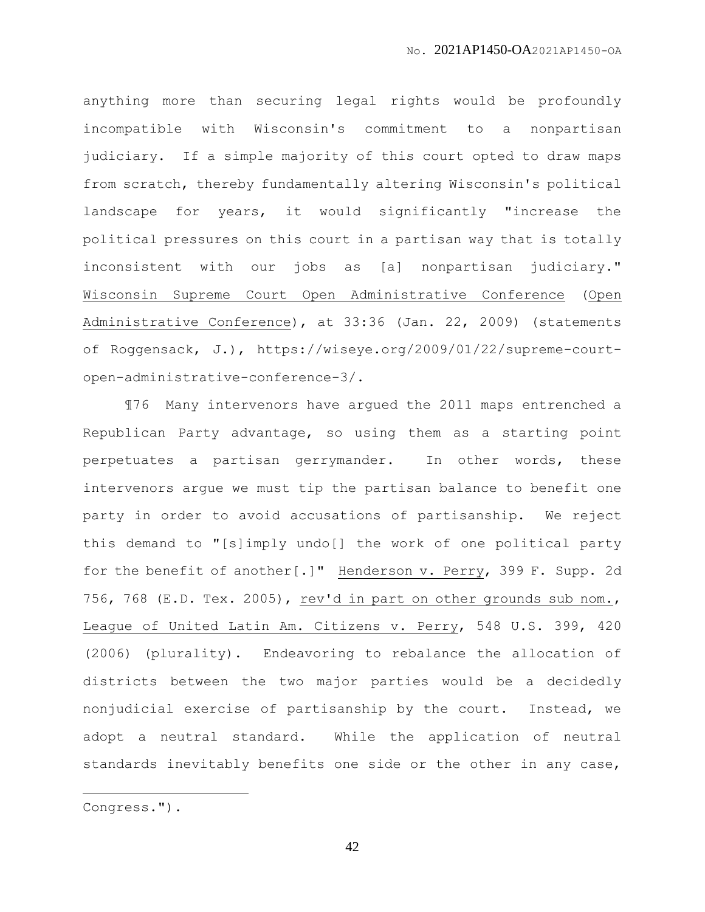anything more than securing legal rights would be profoundly incompatible with Wisconsin's commitment to a nonpartisan judiciary. If a simple majority of this court opted to draw maps from scratch, thereby fundamentally altering Wisconsin's political landscape for years, it would significantly "increase the political pressures on this court in a partisan way that is totally inconsistent with our jobs as [a] nonpartisan judiciary." Wisconsin Supreme Court Open Administrative Conference (Open Administrative Conference), at 33:36 (Jan. 22, 2009) (statements of Roggensack, J.), https://wiseye.org/2009/01/22/supreme-courtopen-administrative-conference-3/.

¶76 Many intervenors have argued the 2011 maps entrenched a Republican Party advantage, so using them as a starting point perpetuates a partisan gerrymander. In other words, these intervenors argue we must tip the partisan balance to benefit one party in order to avoid accusations of partisanship. We reject this demand to "[s]imply undo[] the work of one political party for the benefit of another[.]" Henderson v. Perry, 399 F. Supp. 2d 756, 768 (E.D. Tex. 2005), rev'd in part on other grounds sub nom., League of United Latin Am. Citizens v. Perry, 548 U.S. 399, 420 (2006) (plurality). Endeavoring to rebalance the allocation of districts between the two major parties would be a decidedly nonjudicial exercise of partisanship by the court. Instead, we adopt a neutral standard. While the application of neutral standards inevitably benefits one side or the other in any case,

 $\overline{a}$ 

Congress.").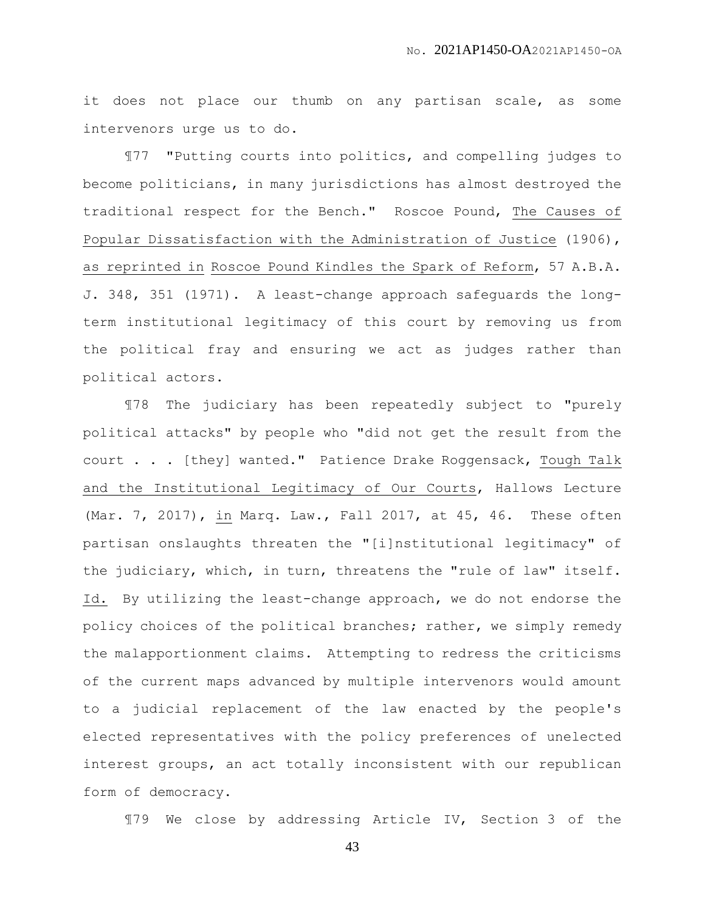it does not place our thumb on any partisan scale, as some intervenors urge us to do.

¶77 "Putting courts into politics, and compelling judges to become politicians, in many jurisdictions has almost destroyed the traditional respect for the Bench." Roscoe Pound, The Causes of Popular Dissatisfaction with the Administration of Justice (1906), as reprinted in Roscoe Pound Kindles the Spark of Reform, 57 A.B.A. J. 348, 351 (1971). A least-change approach safeguards the longterm institutional legitimacy of this court by removing us from the political fray and ensuring we act as judges rather than political actors.

¶78 The judiciary has been repeatedly subject to "purely political attacks" by people who "did not get the result from the court . . . [they] wanted." Patience Drake Roggensack, Tough Talk and the Institutional Legitimacy of Our Courts, Hallows Lecture (Mar. 7, 2017), in Marq. Law., Fall 2017, at 45, 46. These often partisan onslaughts threaten the "[i]nstitutional legitimacy" of the judiciary, which, in turn, threatens the "rule of law" itself. Id. By utilizing the least-change approach, we do not endorse the policy choices of the political branches; rather, we simply remedy the malapportionment claims. Attempting to redress the criticisms of the current maps advanced by multiple intervenors would amount to a judicial replacement of the law enacted by the people's elected representatives with the policy preferences of unelected interest groups, an act totally inconsistent with our republican form of democracy.

¶79 We close by addressing Article IV, Section 3 of the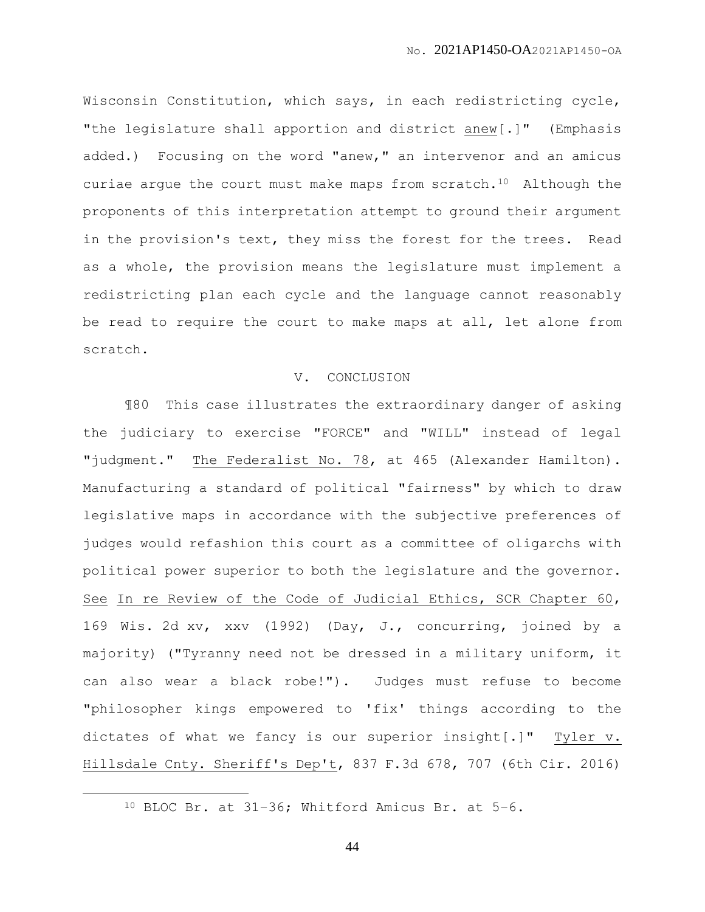Wisconsin Constitution, which says, in each redistricting cycle, "the legislature shall apportion and district anew[.]" (Emphasis added.) Focusing on the word "anew," an intervenor and an amicus curiae argue the court must make maps from scratch.10 Although the proponents of this interpretation attempt to ground their argument in the provision's text, they miss the forest for the trees. Read as a whole, the provision means the legislature must implement a redistricting plan each cycle and the language cannot reasonably be read to require the court to make maps at all, let alone from scratch.

## V. CONCLUSION

¶80 This case illustrates the extraordinary danger of asking the judiciary to exercise "FORCE" and "WILL" instead of legal "judgment." The Federalist No. 78, at 465 (Alexander Hamilton). Manufacturing a standard of political "fairness" by which to draw legislative maps in accordance with the subjective preferences of judges would refashion this court as a committee of oligarchs with political power superior to both the legislature and the governor. See In re Review of the Code of Judicial Ethics, SCR Chapter 60, 169 Wis. 2d xv, xxv (1992) (Day, J., concurring, joined by a majority) ("Tyranny need not be dressed in a military uniform, it can also wear a black robe!"). Judges must refuse to become "philosopher kings empowered to 'fix' things according to the dictates of what we fancy is our superior insight[.]" Tyler v. Hillsdale Cnty. Sheriff's Dep't, 837 F.3d 678, 707 (6th Cir. 2016)

 $\overline{a}$ 

<sup>10</sup> BLOC Br. at 31–36; Whitford Amicus Br. at 5–6.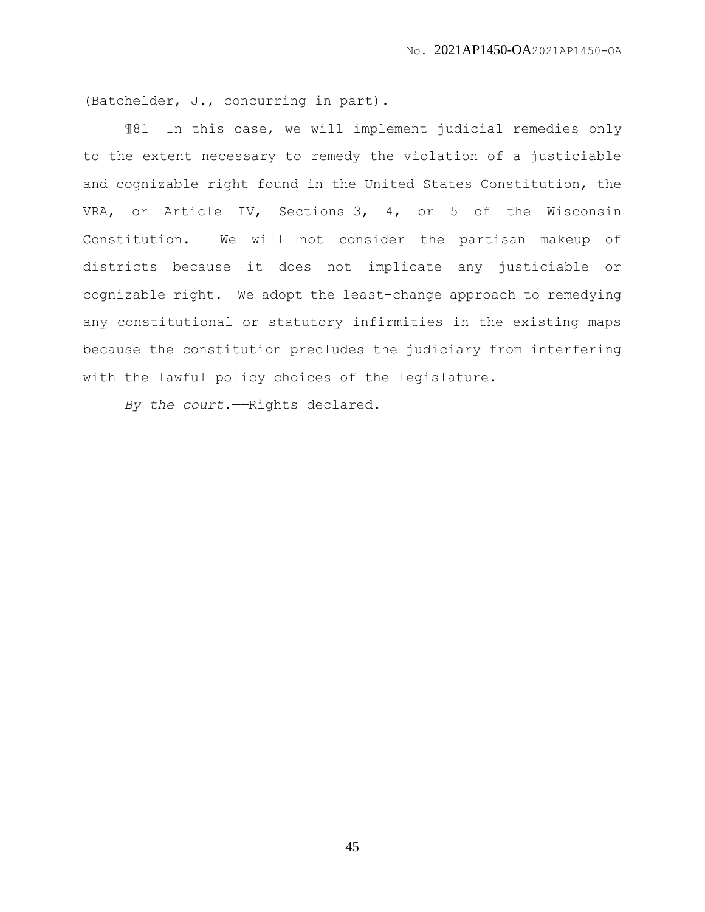(Batchelder, J., concurring in part).

¶81 In this case, we will implement judicial remedies only to the extent necessary to remedy the violation of a justiciable and cognizable right found in the United States Constitution, the VRA, or Article IV, Sections 3, 4, or 5 of the Wisconsin Constitution. We will not consider the partisan makeup of districts because it does not implicate any justiciable or cognizable right. We adopt the least-change approach to remedying any constitutional or statutory infirmities in the existing maps because the constitution precludes the judiciary from interfering with the lawful policy choices of the legislature.

*By the court*.——Rights declared.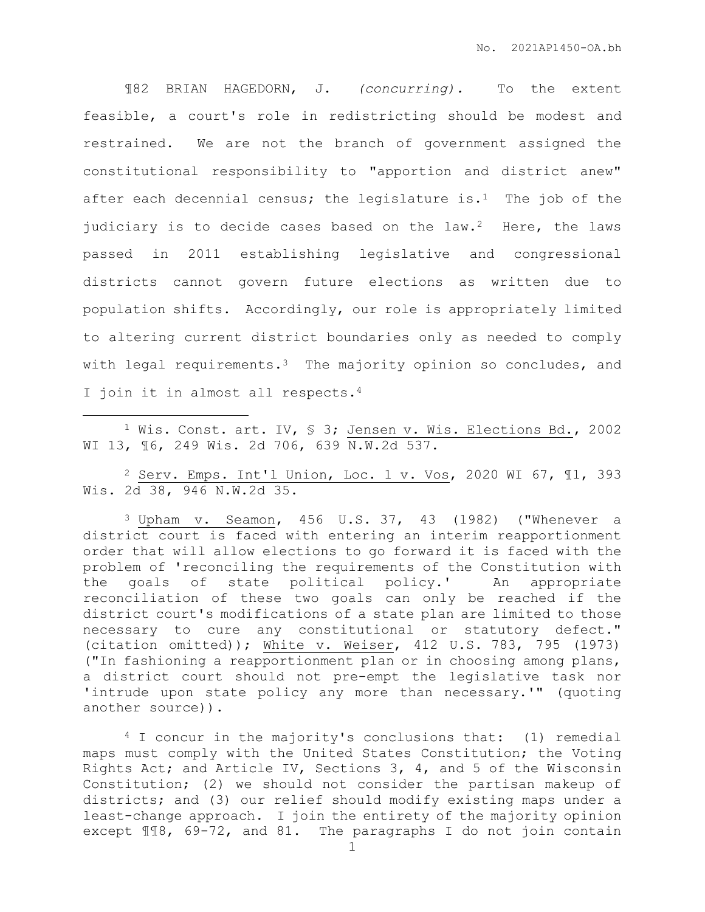¶82 BRIAN HAGEDORN, J. *(concurring).* To the extent feasible, a court's role in redistricting should be modest and restrained. We are not the branch of government assigned the constitutional responsibility to "apportion and district anew" after each decennial census; the legislature is.<sup>1</sup> The job of the judiciary is to decide cases based on the law.<sup>2</sup> Here, the laws passed in 2011 establishing legislative and congressional districts cannot govern future elections as written due to population shifts. Accordingly, our role is appropriately limited to altering current district boundaries only as needed to comply with legal requirements.<sup>3</sup> The majority opinion so concludes, and I join it in almost all respects.<sup>4</sup>

<sup>1</sup> Wis. Const. art. IV, § 3; Jensen v. Wis. Elections Bd., 2002 WI 13, ¶6, 249 Wis. 2d 706, 639 N.W.2d 537.

 $\overline{a}$ 

<sup>2</sup> Serv. Emps. Int'l Union, Loc. 1 v. Vos, 2020 WI 67, ¶1, 393 Wis. 2d 38, 946 N.W.2d 35.

<sup>3</sup> Upham v. Seamon, 456 U.S. 37, 43 (1982) ("Whenever a district court is faced with entering an interim reapportionment order that will allow elections to go forward it is faced with the problem of 'reconciling the requirements of the Constitution with the goals of state political policy.' An appropriate reconciliation of these two goals can only be reached if the district court's modifications of a state plan are limited to those necessary to cure any constitutional or statutory defect." (citation omitted)); White v. Weiser, 412 U.S. 783, 795 (1973) ("In fashioning a reapportionment plan or in choosing among plans, a district court should not pre-empt the legislative task nor 'intrude upon state policy any more than necessary.'" (quoting another source)).

<sup>4</sup> I concur in the majority's conclusions that: (1) remedial maps must comply with the United States Constitution; the Voting Rights Act; and Article IV, Sections 3, 4, and 5 of the Wisconsin Constitution; (2) we should not consider the partisan makeup of districts; and (3) our relief should modify existing maps under a least-change approach. I join the entirety of the majority opinion except ¶¶8, 69-72, and 81. The paragraphs I do not join contain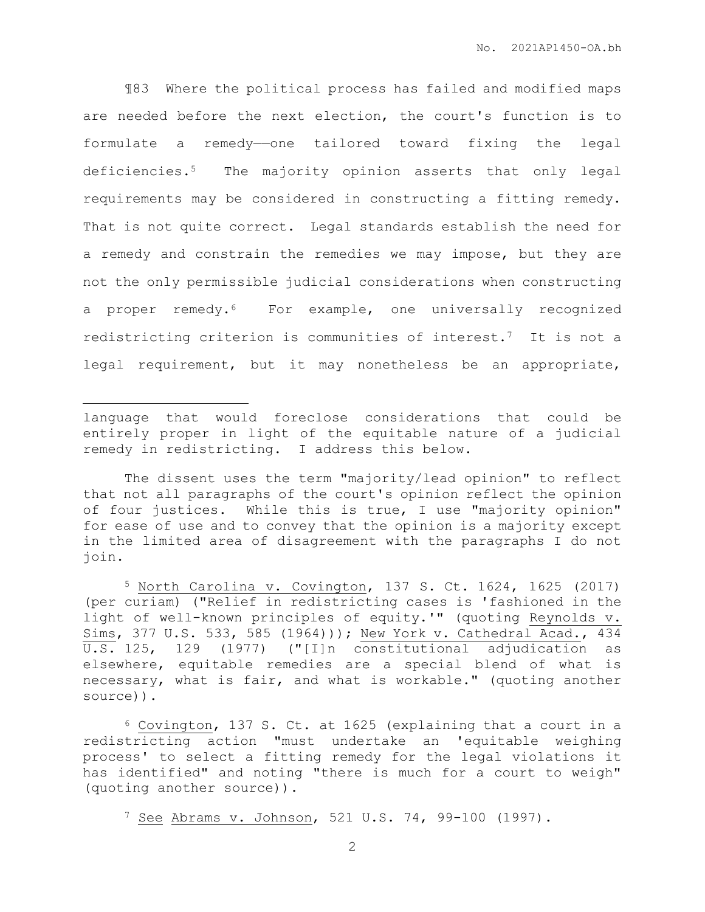¶83 Where the political process has failed and modified maps are needed before the next election, the court's function is to formulate a remedy——one tailored toward fixing the legal deficiencies.5 The majority opinion asserts that only legal requirements may be considered in constructing a fitting remedy. That is not quite correct. Legal standards establish the need for a remedy and constrain the remedies we may impose, but they are not the only permissible judicial considerations when constructing a proper remedy.6 For example, one universally recognized redistricting criterion is communities of interest.7 It is not a legal requirement, but it may nonetheless be an appropriate,

language that would foreclose considerations that could be entirely proper in light of the equitable nature of a judicial remedy in redistricting. I address this below.

 $\overline{a}$ 

The dissent uses the term "majority/lead opinion" to reflect that not all paragraphs of the court's opinion reflect the opinion of four justices. While this is true, I use "majority opinion" for ease of use and to convey that the opinion is a majority except in the limited area of disagreement with the paragraphs I do not join.

<sup>5</sup> North Carolina v. Covington, 137 S. Ct. 1624, 1625 (2017) (per curiam) ("Relief in redistricting cases is 'fashioned in the light of well-known principles of equity.'" (quoting Reynolds v. Sims, 377 U.S. 533, 585 (1964))); New York v. Cathedral Acad., 434 U.S. 125, 129 (1977) ("[I]n constitutional adjudication as elsewhere, equitable remedies are a special blend of what is necessary, what is fair, and what is workable." (quoting another source)).

<sup>6</sup> Covington, 137 S. Ct. at 1625 (explaining that a court in a redistricting action "must undertake an 'equitable weighing process' to select a fitting remedy for the legal violations it has identified" and noting "there is much for a court to weigh" (quoting another source)).

<sup>7</sup> See Abrams v. Johnson, 521 U.S. 74, 99-100 (1997).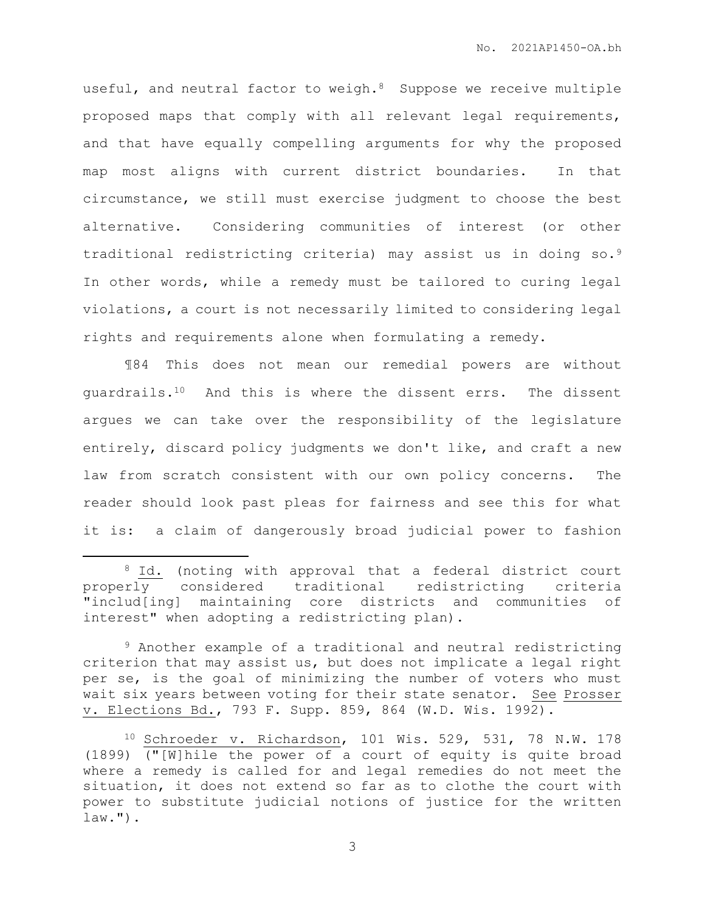useful, and neutral factor to weigh.<sup>8</sup> Suppose we receive multiple proposed maps that comply with all relevant legal requirements, and that have equally compelling arguments for why the proposed map most aligns with current district boundaries. In that circumstance, we still must exercise judgment to choose the best alternative. Considering communities of interest (or other traditional redistricting criteria) may assist us in doing so.<sup>9</sup> In other words, while a remedy must be tailored to curing legal violations, a court is not necessarily limited to considering legal rights and requirements alone when formulating a remedy.

¶84 This does not mean our remedial powers are without guardrails.10 And this is where the dissent errs. The dissent argues we can take over the responsibility of the legislature entirely, discard policy judgments we don't like, and craft a new law from scratch consistent with our own policy concerns. The reader should look past pleas for fairness and see this for what it is: a claim of dangerously broad judicial power to fashion

 $\overline{a}$ 

<sup>&</sup>lt;sup>8</sup> Id. (noting with approval that a federal district court properly considered traditional redistricting criteria "includ[ing] maintaining core districts and communities of interest" when adopting a redistricting plan).

<sup>9</sup> Another example of a traditional and neutral redistricting criterion that may assist us, but does not implicate a legal right per se, is the goal of minimizing the number of voters who must wait six years between voting for their state senator. See Prosser v. Elections Bd., 793 F. Supp. 859, 864 (W.D. Wis. 1992).

<sup>10</sup> Schroeder v. Richardson, 101 Wis. 529, 531, 78 N.W. 178 (1899) ("[W]hile the power of a court of equity is quite broad where a remedy is called for and legal remedies do not meet the situation, it does not extend so far as to clothe the court with power to substitute judicial notions of justice for the written  $law."$ ).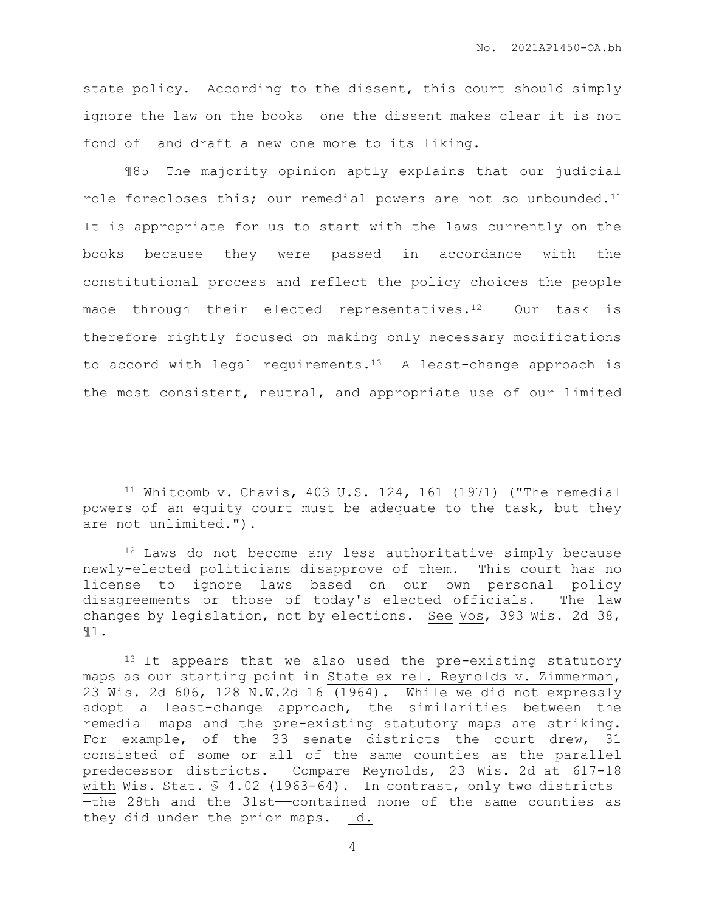state policy. According to the dissent, this court should simply ignore the law on the books——one the dissent makes clear it is not fond of—and draft a new one more to its liking.

¶85 The majority opinion aptly explains that our judicial role forecloses this; our remedial powers are not so unbounded.<sup>11</sup> It is appropriate for us to start with the laws currently on the books because they were passed in accordance with the constitutional process and reflect the policy choices the people made through their elected representatives.<sup>12</sup> Our task is therefore rightly focused on making only necessary modifications to accord with legal requirements.13 A least-change approach is the most consistent, neutral, and appropriate use of our limited

 $\overline{a}$ 

<sup>11</sup> Whitcomb v. Chavis, 403 U.S. 124, 161 (1971) ("The remedial powers of an equity court must be adequate to the task, but they are not unlimited.").

<sup>&</sup>lt;sup>12</sup> Laws do not become any less authoritative simply because newly-elected politicians disapprove of them. This court has no license to ignore laws based on our own personal policy disagreements or those of today's elected officials. The law changes by legislation, not by elections. See Vos, 393 Wis. 2d 38, ¶1.

<sup>13</sup> It appears that we also used the pre-existing statutory maps as our starting point in State ex rel. Reynolds v. Zimmerman, 23 Wis. 2d 606, 128 N.W.2d 16 (1964). While we did not expressly adopt a least-change approach, the similarities between the remedial maps and the pre-existing statutory maps are striking. For example, of the 33 senate districts the court drew, 31 consisted of some or all of the same counties as the parallel predecessor districts. Compare Reynolds, 23 Wis. 2d at 617-18 with Wis. Stat. § 4.02 (1963-64). In contrast, only two districts-—the 28th and the 31st——contained none of the same counties as they did under the prior maps. Id.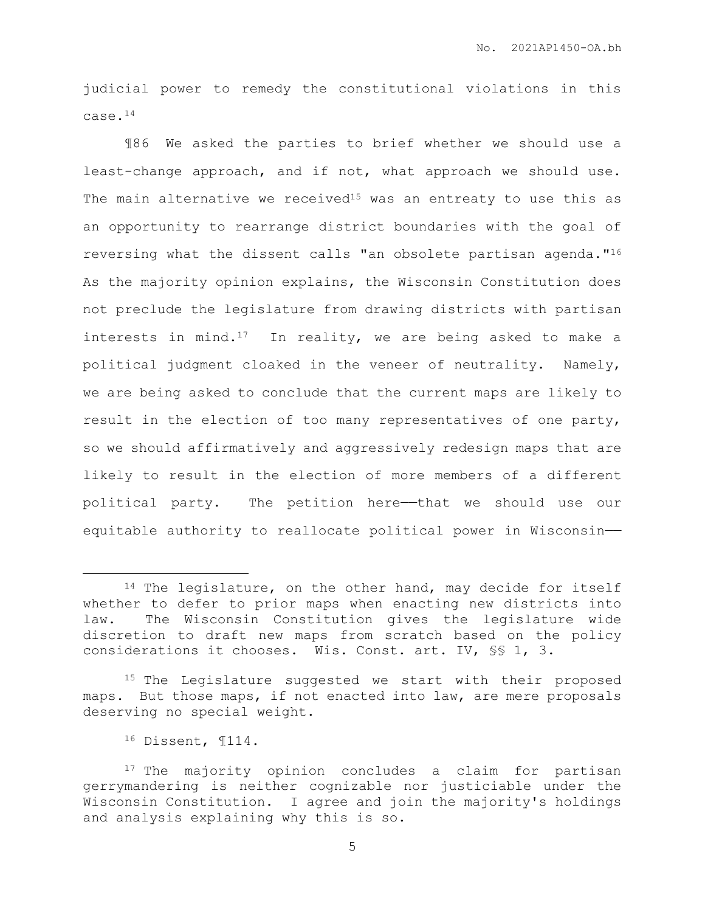judicial power to remedy the constitutional violations in this case.<sup>14</sup>

¶86 We asked the parties to brief whether we should use a least-change approach, and if not, what approach we should use. The main alternative we received<sup>15</sup> was an entreaty to use this as an opportunity to rearrange district boundaries with the goal of reversing what the dissent calls "an obsolete partisan agenda."<sup>16</sup> As the majority opinion explains, the Wisconsin Constitution does not preclude the legislature from drawing districts with partisan interests in mind.<sup>17</sup> In reality, we are being asked to make a political judgment cloaked in the veneer of neutrality. Namely, we are being asked to conclude that the current maps are likely to result in the election of too many representatives of one party, so we should affirmatively and aggressively redesign maps that are likely to result in the election of more members of a different political party. The petition here—that we should use our equitable authority to reallocate political power in Wisconsin——

<sup>15</sup> The Legislature suggested we start with their proposed maps. But those maps, if not enacted into law, are mere proposals deserving no special weight.

<sup>16</sup> Dissent, ¶114.

<sup>&</sup>lt;sup>14</sup> The legislature, on the other hand, may decide for itself whether to defer to prior maps when enacting new districts into law. The Wisconsin Constitution gives the legislature wide discretion to draft new maps from scratch based on the policy considerations it chooses. Wis. Const. art. IV, §§ 1, 3.

<sup>&</sup>lt;sup>17</sup> The majority opinion concludes a claim for partisan gerrymandering is neither cognizable nor justiciable under the Wisconsin Constitution. I agree and join the majority's holdings and analysis explaining why this is so.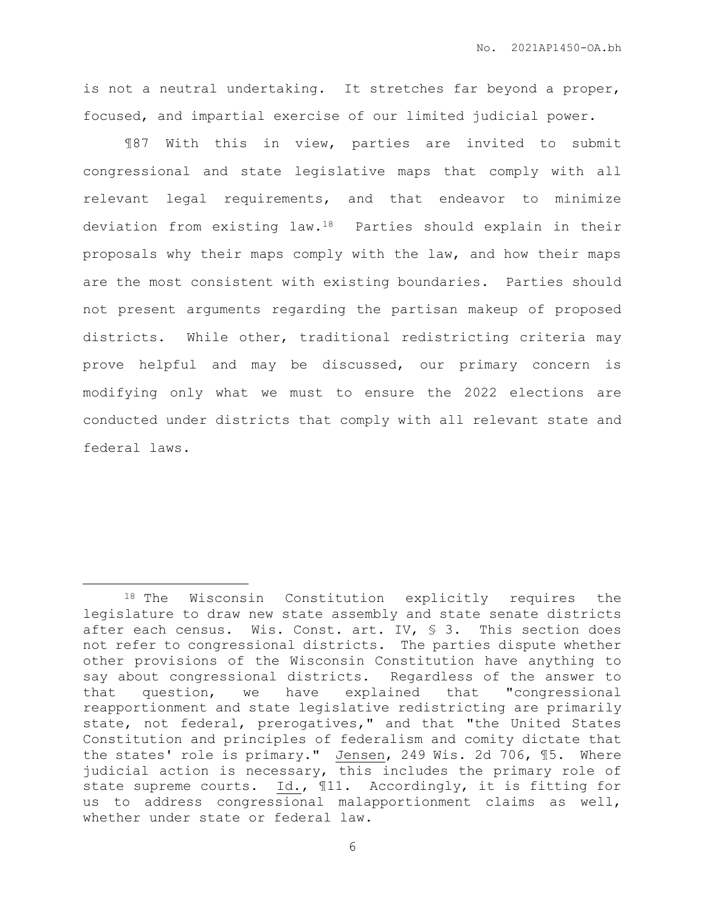is not a neutral undertaking. It stretches far beyond a proper, focused, and impartial exercise of our limited judicial power.

¶87 With this in view, parties are invited to submit congressional and state legislative maps that comply with all relevant legal requirements, and that endeavor to minimize deviation from existing law.18 Parties should explain in their proposals why their maps comply with the law, and how their maps are the most consistent with existing boundaries. Parties should not present arguments regarding the partisan makeup of proposed districts. While other, traditional redistricting criteria may prove helpful and may be discussed, our primary concern is modifying only what we must to ensure the 2022 elections are conducted under districts that comply with all relevant state and federal laws.

<sup>18</sup> The Wisconsin Constitution explicitly requires the legislature to draw new state assembly and state senate districts after each census. Wis. Const. art. IV,  $\frac{1}{5}$  3. This section does not refer to congressional districts. The parties dispute whether other provisions of the Wisconsin Constitution have anything to say about congressional districts. Regardless of the answer to that question, we have explained that "congressional reapportionment and state legislative redistricting are primarily state, not federal, prerogatives," and that "the United States Constitution and principles of federalism and comity dictate that the states' role is primary." Jensen, 249 Wis. 2d 706, ¶5. Where judicial action is necessary, this includes the primary role of state supreme courts. Id., ¶11. Accordingly, it is fitting for us to address congressional malapportionment claims as well, whether under state or federal law.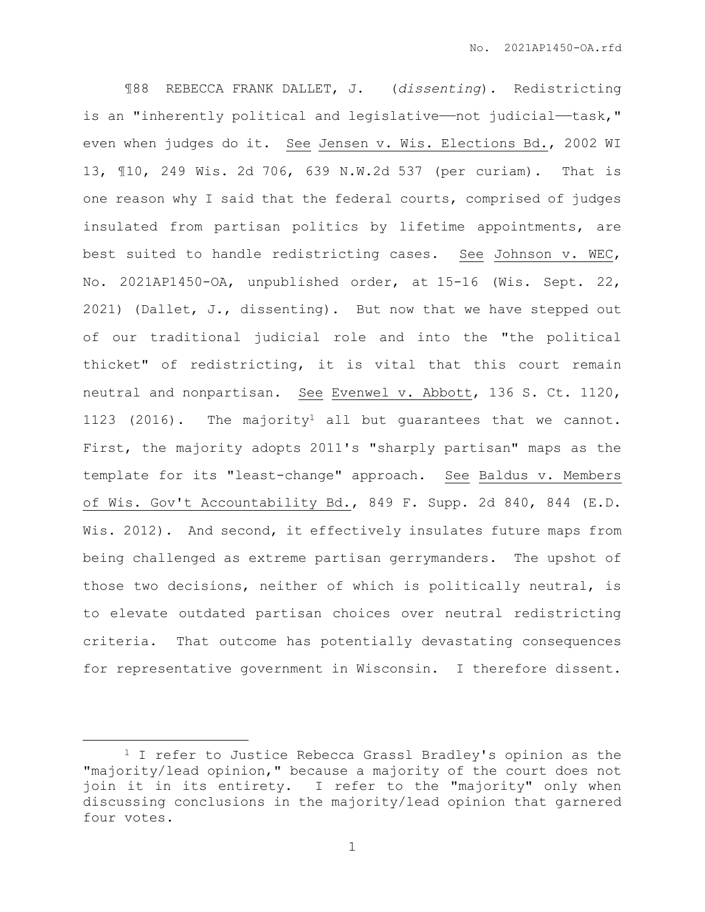¶88 REBECCA FRANK DALLET, J. (*dissenting*). Redistricting is an "inherently political and legislative—not judicial—task," even when judges do it. See Jensen v. Wis. Elections Bd., 2002 WI 13, ¶10, 249 Wis. 2d 706, 639 N.W.2d 537 (per curiam). That is one reason why I said that the federal courts, comprised of judges insulated from partisan politics by lifetime appointments, are best suited to handle redistricting cases. See Johnson v. WEC, No. 2021AP1450-OA, unpublished order, at 15-16 (Wis. Sept. 22, 2021) (Dallet, J., dissenting). But now that we have stepped out of our traditional judicial role and into the "the political thicket" of redistricting, it is vital that this court remain neutral and nonpartisan. See Evenwel v. Abbott, 136 S. Ct. 1120, 1123 (2016). The majority<sup>1</sup> all but quarantees that we cannot. First, the majority adopts 2011's "sharply partisan" maps as the template for its "least-change" approach. See Baldus v. Members of Wis. Gov't Accountability Bd., 849 F. Supp. 2d 840, 844 (E.D. Wis. 2012). And second, it effectively insulates future maps from being challenged as extreme partisan gerrymanders. The upshot of those two decisions, neither of which is politically neutral, is to elevate outdated partisan choices over neutral redistricting criteria. That outcome has potentially devastating consequences for representative government in Wisconsin. I therefore dissent.

<sup>&</sup>lt;sup>1</sup> I refer to Justice Rebecca Grassl Bradley's opinion as the "majority/lead opinion," because a majority of the court does not join it in its entirety. I refer to the "majority" only when discussing conclusions in the majority/lead opinion that garnered four votes.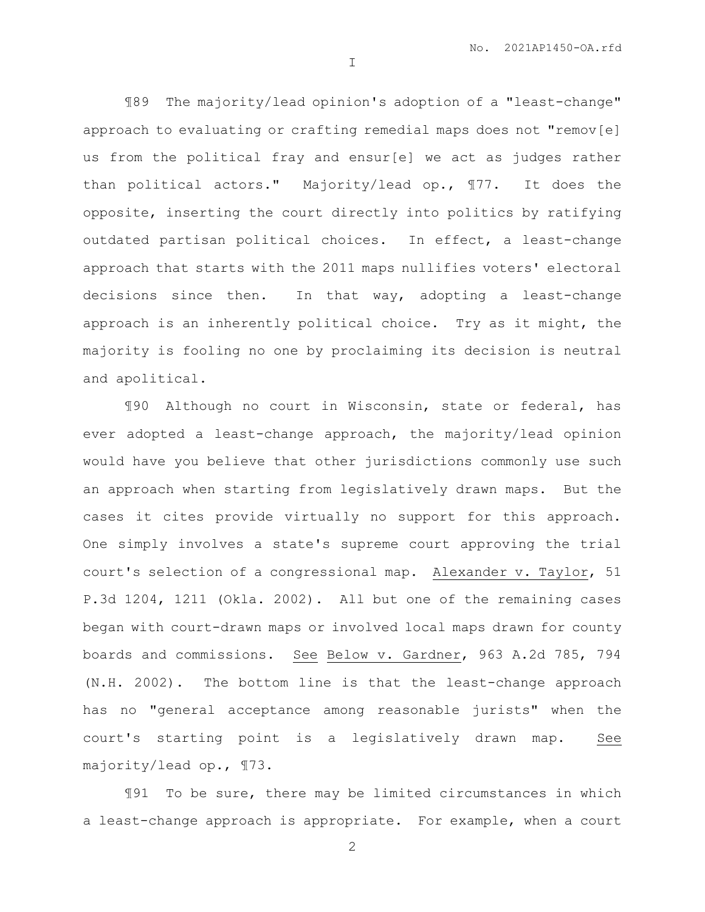¶89 The majority/lead opinion's adoption of a "least-change" approach to evaluating or crafting remedial maps does not "remov[e] us from the political fray and ensur[e] we act as judges rather than political actors." Majority/lead op., ¶77. It does the opposite, inserting the court directly into politics by ratifying outdated partisan political choices. In effect, a least-change approach that starts with the 2011 maps nullifies voters' electoral decisions since then. In that way, adopting a least-change approach is an inherently political choice. Try as it might, the majority is fooling no one by proclaiming its decision is neutral and apolitical.

I

¶90 Although no court in Wisconsin, state or federal, has ever adopted a least-change approach, the majority/lead opinion would have you believe that other jurisdictions commonly use such an approach when starting from legislatively drawn maps. But the cases it cites provide virtually no support for this approach. One simply involves a state's supreme court approving the trial court's selection of a congressional map. Alexander v. Taylor, 51 P.3d 1204, 1211 (Okla. 2002). All but one of the remaining cases began with court-drawn maps or involved local maps drawn for county boards and commissions. See Below v. Gardner, 963 A.2d 785, 794 (N.H. 2002). The bottom line is that the least-change approach has no "general acceptance among reasonable jurists" when the court's starting point is a legislatively drawn map. See majority/lead op., ¶73.

¶91 To be sure, there may be limited circumstances in which a least-change approach is appropriate. For example, when a court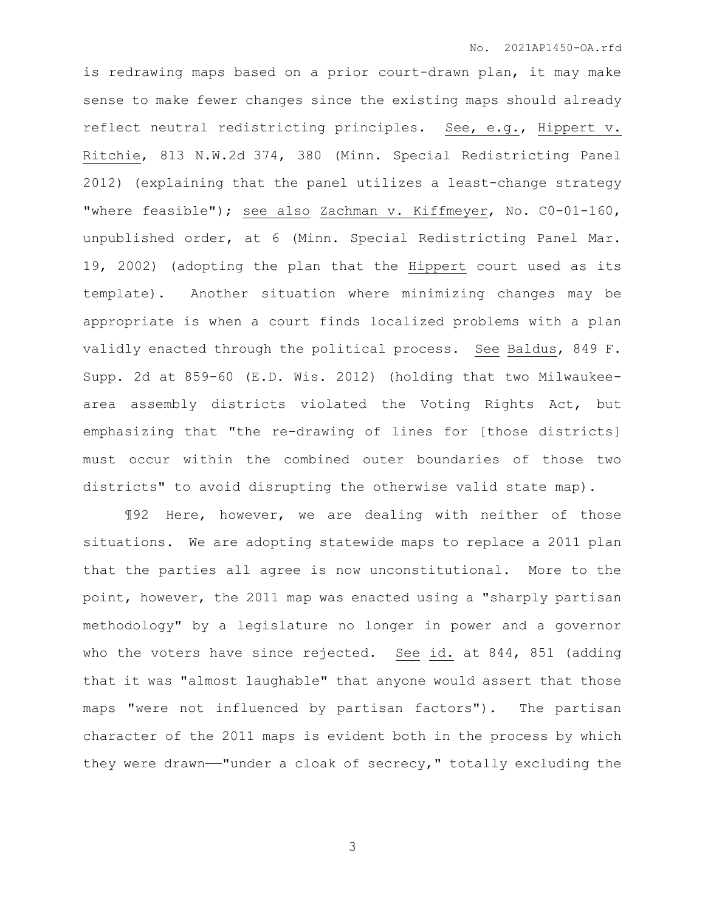is redrawing maps based on a prior court-drawn plan, it may make sense to make fewer changes since the existing maps should already reflect neutral redistricting principles. See, e.g., Hippert v. Ritchie, 813 N.W.2d 374, 380 (Minn. Special Redistricting Panel 2012) (explaining that the panel utilizes a least-change strategy "where feasible"); see also Zachman v. Kiffmeyer, No. C0-01-160, unpublished order, at 6 (Minn. Special Redistricting Panel Mar. 19, 2002) (adopting the plan that the Hippert court used as its template). Another situation where minimizing changes may be appropriate is when a court finds localized problems with a plan validly enacted through the political process. See Baldus, 849 F. Supp. 2d at 859-60 (E.D. Wis. 2012) (holding that two Milwaukeearea assembly districts violated the Voting Rights Act, but emphasizing that "the re-drawing of lines for [those districts] must occur within the combined outer boundaries of those two districts" to avoid disrupting the otherwise valid state map).

¶92 Here, however, we are dealing with neither of those situations. We are adopting statewide maps to replace a 2011 plan that the parties all agree is now unconstitutional. More to the point, however, the 2011 map was enacted using a "sharply partisan methodology" by a legislature no longer in power and a governor who the voters have since rejected. See id. at 844, 851 (adding that it was "almost laughable" that anyone would assert that those maps "were not influenced by partisan factors"). The partisan character of the 2011 maps is evident both in the process by which they were drawn——"under a cloak of secrecy," totally excluding the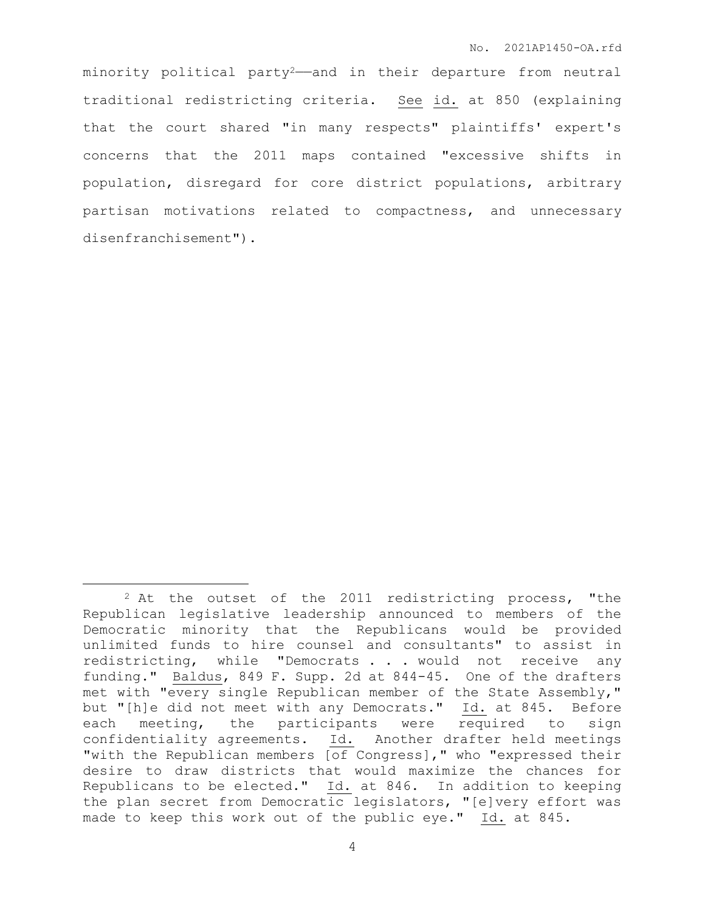minority political party<sup>2</sup>—and in their departure from neutral traditional redistricting criteria. See id. at 850 (explaining that the court shared "in many respects" plaintiffs' expert's concerns that the 2011 maps contained "excessive shifts in population, disregard for core district populations, arbitrary partisan motivations related to compactness, and unnecessary disenfranchisement").

<sup>&</sup>lt;sup>2</sup> At the outset of the 2011 redistricting process, "the Republican legislative leadership announced to members of the Democratic minority that the Republicans would be provided unlimited funds to hire counsel and consultants" to assist in redistricting, while "Democrats . . . would not receive any funding." Baldus, 849 F. Supp. 2d at 844-45. One of the drafters met with "every single Republican member of the State Assembly," but "[h]e did not meet with any Democrats." Id. at 845. Before each meeting, the participants were required to sign confidentiality agreements. Id. Another drafter held meetings "with the Republican members [of Congress]," who "expressed their desire to draw districts that would maximize the chances for Republicans to be elected." Id. at 846. In addition to keeping the plan secret from Democratic legislators, "[e]very effort was made to keep this work out of the public eye." Id. at 845.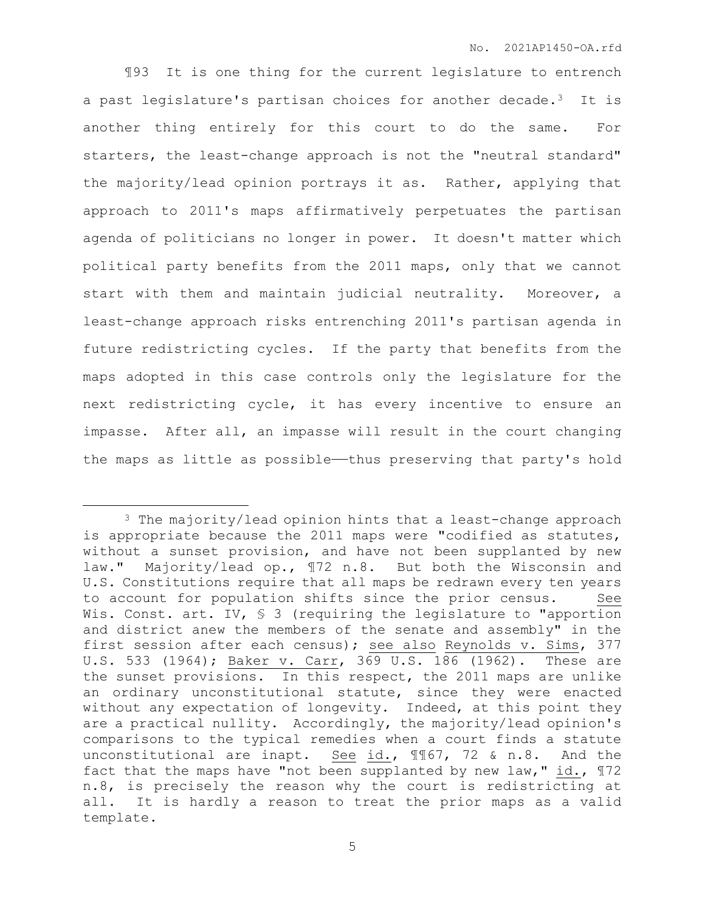¶93 It is one thing for the current legislature to entrench a past legislature's partisan choices for another decade.3 It is another thing entirely for this court to do the same. For starters, the least-change approach is not the "neutral standard" the majority/lead opinion portrays it as. Rather, applying that approach to 2011's maps affirmatively perpetuates the partisan agenda of politicians no longer in power. It doesn't matter which political party benefits from the 2011 maps, only that we cannot start with them and maintain judicial neutrality. Moreover, a least-change approach risks entrenching 2011's partisan agenda in future redistricting cycles. If the party that benefits from the maps adopted in this case controls only the legislature for the next redistricting cycle, it has every incentive to ensure an impasse. After all, an impasse will result in the court changing the maps as little as possible—thus preserving that party's hold

<sup>&</sup>lt;sup>3</sup> The majority/lead opinion hints that a least-change approach is appropriate because the 2011 maps were "codified as statutes, without a sunset provision, and have not been supplanted by new law." Majority/lead op., ¶72 n.8. But both the Wisconsin and U.S. Constitutions require that all maps be redrawn every ten years to account for population shifts since the prior census. Wis. Const. art. IV, § 3 (requiring the legislature to "apportion and district anew the members of the senate and assembly" in the first session after each census); see also Reynolds v. Sims, 377 U.S. 533 (1964); Baker v. Carr, 369 U.S. 186 (1962). These are the sunset provisions. In this respect, the 2011 maps are unlike an ordinary unconstitutional statute, since they were enacted without any expectation of longevity. Indeed, at this point they are a practical nullity. Accordingly, the majority/lead opinion's comparisons to the typical remedies when a court finds a statute unconstitutional are inapt. See id., 1167, 72 & n.8. And the fact that the maps have "not been supplanted by new law," id.,  $\mathbb{I}72$ n.8, is precisely the reason why the court is redistricting at all. It is hardly a reason to treat the prior maps as a valid template.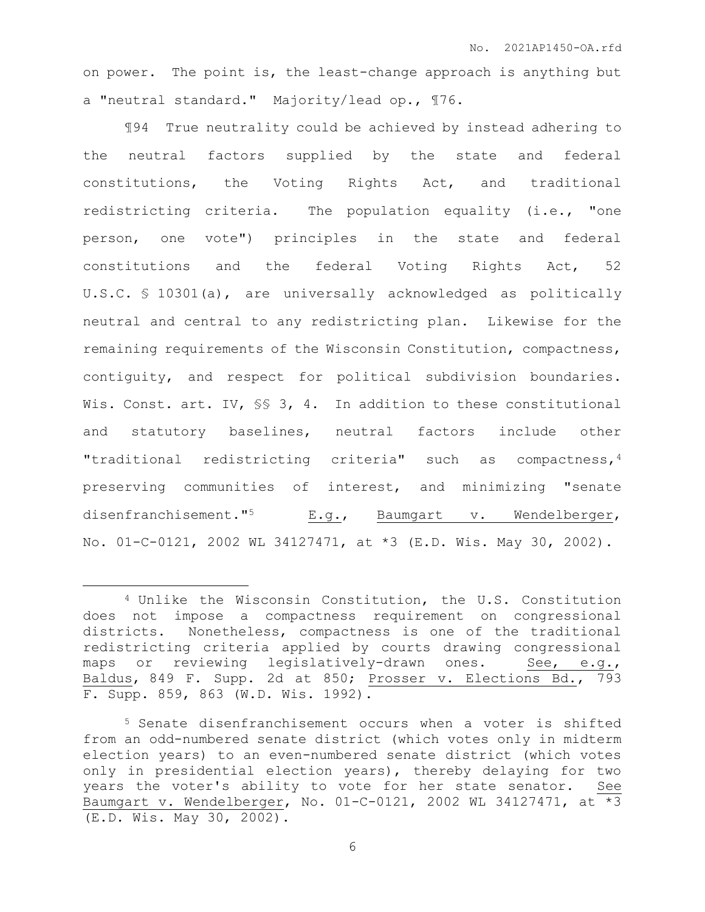on power. The point is, the least-change approach is anything but a "neutral standard." Majority/lead op., ¶76.

¶94 True neutrality could be achieved by instead adhering to the neutral factors supplied by the state and federal constitutions, the Voting Rights Act, and traditional redistricting criteria. The population equality (i.e., "one person, one vote") principles in the state and federal constitutions and the federal Voting Rights Act, 52 U.S.C. § 10301(a), are universally acknowledged as politically neutral and central to any redistricting plan. Likewise for the remaining requirements of the Wisconsin Constitution, compactness, contiguity, and respect for political subdivision boundaries. Wis. Const. art. IV, SS 3, 4. In addition to these constitutional and statutory baselines, neutral factors include other "traditional redistricting criteria" such as compactness,<sup>4</sup> preserving communities of interest, and minimizing "senate disenfranchisement."<sup>5</sup> E.g., Baumgart v. Wendelberger, No. 01-C-0121, 2002 WL 34127471, at \*3 (E.D. Wis. May 30, 2002).

 $\overline{a}$ 

<sup>4</sup> Unlike the Wisconsin Constitution, the U.S. Constitution does not impose a compactness requirement on congressional districts. Nonetheless, compactness is one of the traditional redistricting criteria applied by courts drawing congressional maps or reviewing legislatively-drawn ones. See, e.g., Baldus, 849 F. Supp. 2d at 850; Prosser v. Elections Bd., 793 F. Supp. 859, 863 (W.D. Wis. 1992).

<sup>5</sup> Senate disenfranchisement occurs when a voter is shifted from an odd-numbered senate district (which votes only in midterm election years) to an even-numbered senate district (which votes only in presidential election years), thereby delaying for two years the voter's ability to vote for her state senator. See Baumgart v. Wendelberger, No. 01-C-0121, 2002 WL 34127471, at \*3 (E.D. Wis. May 30, 2002).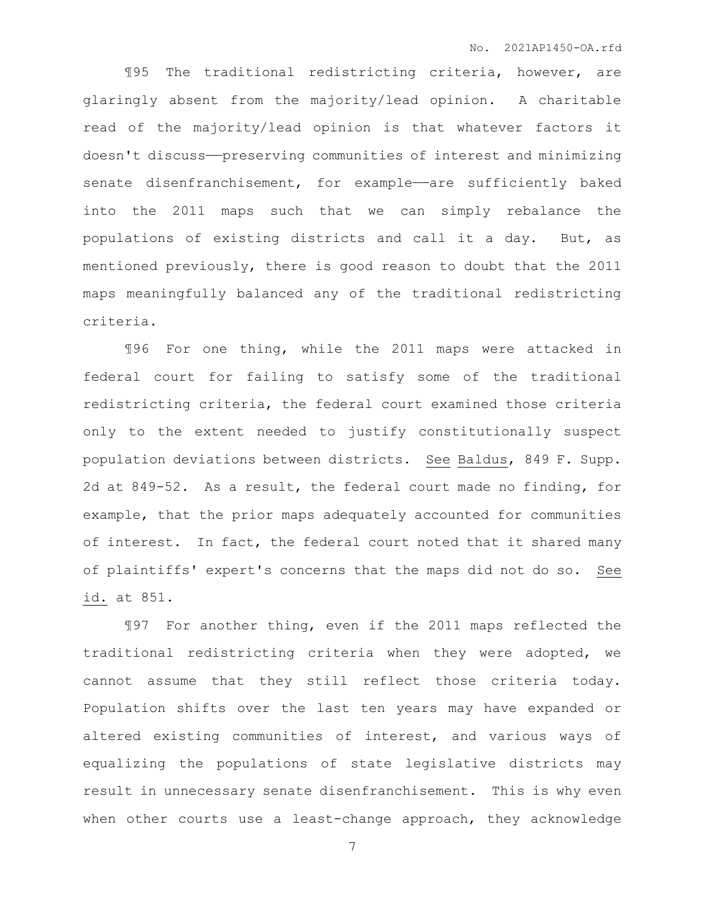¶95 The traditional redistricting criteria, however, are glaringly absent from the majority/lead opinion. A charitable read of the majority/lead opinion is that whatever factors it doesn't discuss——preserving communities of interest and minimizing senate disenfranchisement, for example—are sufficiently baked into the 2011 maps such that we can simply rebalance the populations of existing districts and call it a day. But, as mentioned previously, there is good reason to doubt that the 2011 maps meaningfully balanced any of the traditional redistricting criteria.

¶96 For one thing, while the 2011 maps were attacked in federal court for failing to satisfy some of the traditional redistricting criteria, the federal court examined those criteria only to the extent needed to justify constitutionally suspect population deviations between districts. See Baldus, 849 F. Supp. 2d at 849-52. As a result, the federal court made no finding, for example, that the prior maps adequately accounted for communities of interest. In fact, the federal court noted that it shared many of plaintiffs' expert's concerns that the maps did not do so. See id. at 851.

¶97 For another thing, even if the 2011 maps reflected the traditional redistricting criteria when they were adopted, we cannot assume that they still reflect those criteria today. Population shifts over the last ten years may have expanded or altered existing communities of interest, and various ways of equalizing the populations of state legislative districts may result in unnecessary senate disenfranchisement. This is why even when other courts use a least-change approach, they acknowledge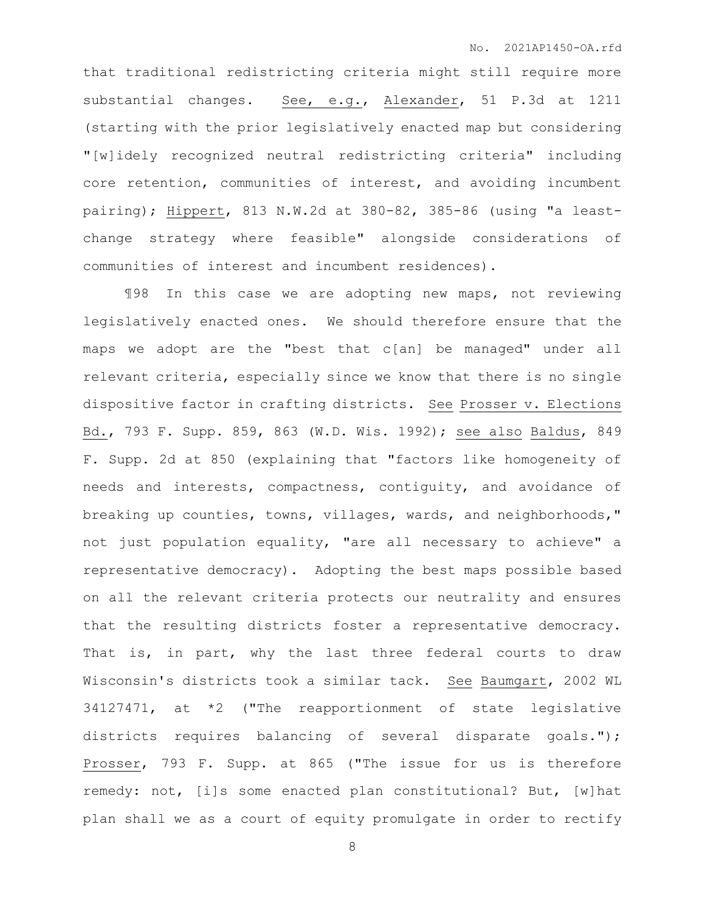that traditional redistricting criteria might still require more substantial changes. See, e.g., Alexander, 51 P.3d at 1211 (starting with the prior legislatively enacted map but considering "[w]idely recognized neutral redistricting criteria" including core retention, communities of interest, and avoiding incumbent pairing); Hippert, 813 N.W.2d at 380-82, 385-86 (using "a leastchange strategy where feasible" alongside considerations of communities of interest and incumbent residences).

¶98 In this case we are adopting new maps, not reviewing legislatively enacted ones. We should therefore ensure that the maps we adopt are the "best that c[an] be managed" under all relevant criteria, especially since we know that there is no single dispositive factor in crafting districts. See Prosser v. Elections Bd., 793 F. Supp. 859, 863 (W.D. Wis. 1992); see also Baldus, 849 F. Supp. 2d at 850 (explaining that "factors like homogeneity of needs and interests, compactness, contiguity, and avoidance of breaking up counties, towns, villages, wards, and neighborhoods," not just population equality, "are all necessary to achieve" a representative democracy). Adopting the best maps possible based on all the relevant criteria protects our neutrality and ensures that the resulting districts foster a representative democracy. That is, in part, why the last three federal courts to draw Wisconsin's districts took a similar tack. See Baumgart, 2002 WL 34127471, at \*2 ("The reapportionment of state legislative districts requires balancing of several disparate goals."); Prosser, 793 F. Supp. at 865 ("The issue for us is therefore remedy: not, [i]s some enacted plan constitutional? But, [w]hat plan shall we as a court of equity promulgate in order to rectify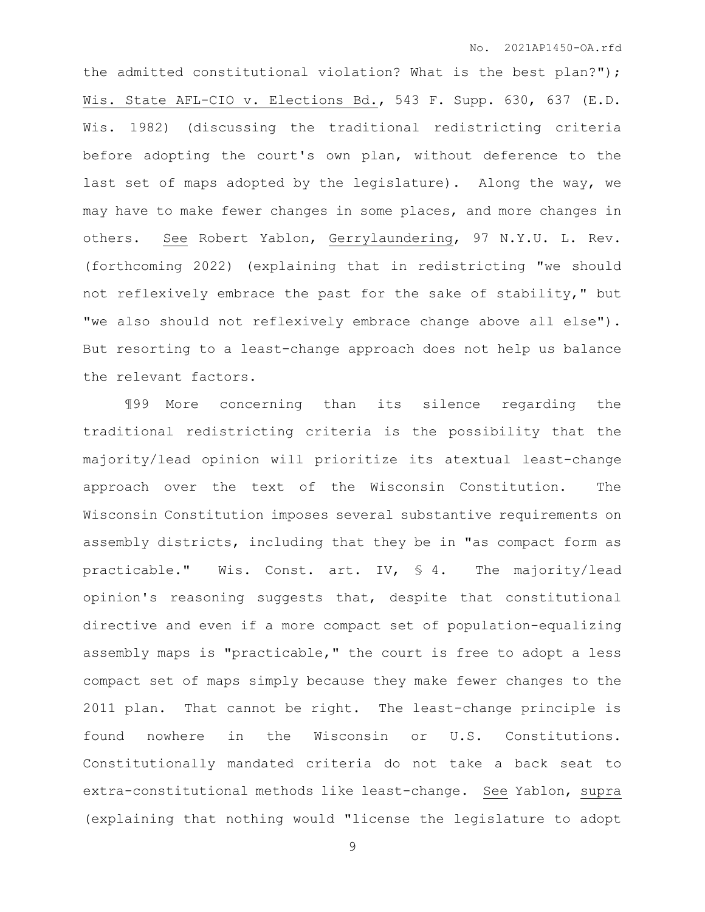the admitted constitutional violation? What is the best plan?"); Wis. State AFL-CIO v. Elections Bd., 543 F. Supp. 630, 637 (E.D. Wis. 1982) (discussing the traditional redistricting criteria before adopting the court's own plan, without deference to the last set of maps adopted by the legislature). Along the way, we may have to make fewer changes in some places, and more changes in others. See Robert Yablon, Gerrylaundering, 97 N.Y.U. L. Rev. (forthcoming 2022) (explaining that in redistricting "we should not reflexively embrace the past for the sake of stability," but "we also should not reflexively embrace change above all else"). But resorting to a least-change approach does not help us balance the relevant factors.

¶99 More concerning than its silence regarding the traditional redistricting criteria is the possibility that the majority/lead opinion will prioritize its atextual least-change approach over the text of the Wisconsin Constitution. The Wisconsin Constitution imposes several substantive requirements on assembly districts, including that they be in "as compact form as practicable." Wis. Const. art. IV, § 4. The majority/lead opinion's reasoning suggests that, despite that constitutional directive and even if a more compact set of population-equalizing assembly maps is "practicable," the court is free to adopt a less compact set of maps simply because they make fewer changes to the 2011 plan. That cannot be right. The least-change principle is found nowhere in the Wisconsin or U.S. Constitutions. Constitutionally mandated criteria do not take a back seat to extra-constitutional methods like least-change. See Yablon, supra (explaining that nothing would "license the legislature to adopt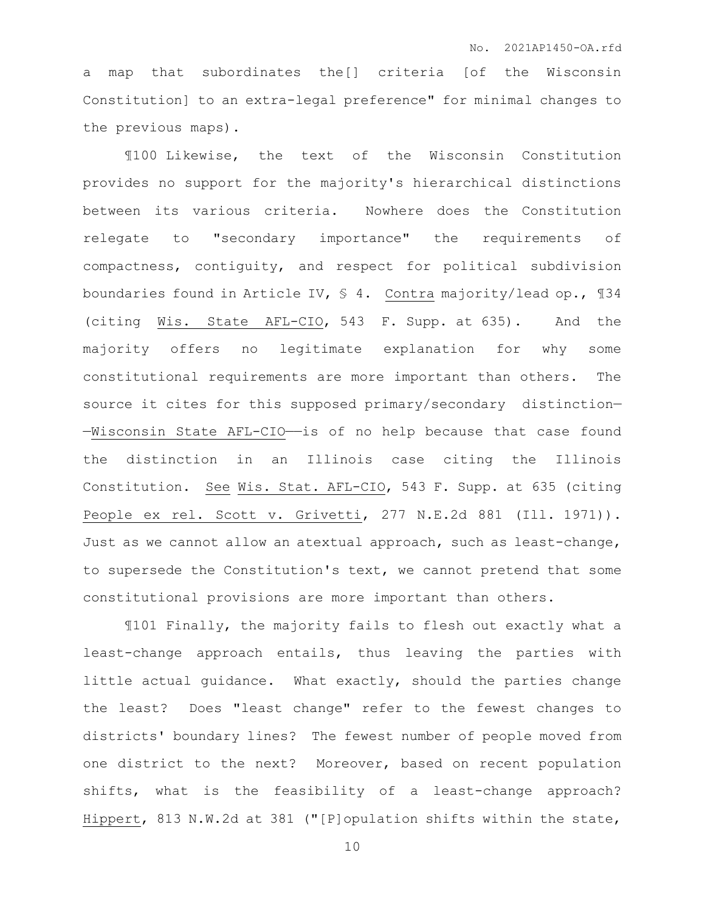a map that subordinates the[] criteria [of the Wisconsin Constitution] to an extra-legal preference" for minimal changes to the previous maps).

¶100 Likewise, the text of the Wisconsin Constitution provides no support for the majority's hierarchical distinctions between its various criteria. Nowhere does the Constitution relegate to "secondary importance" the requirements of compactness, contiguity, and respect for political subdivision boundaries found in Article IV, § 4. Contra majority/lead op., ¶34 (citing Wis. State AFL-CIO, 543 F. Supp. at 635). And the majority offers no legitimate explanation for why some constitutional requirements are more important than others. The source it cites for this supposed primary/secondary distinction— —Wisconsin State AFL-CIO——is of no help because that case found the distinction in an Illinois case citing the Illinois Constitution. See Wis. Stat. AFL-CIO, 543 F. Supp. at 635 (citing People ex rel. Scott v. Grivetti, 277 N.E.2d 881 (Ill. 1971)). Just as we cannot allow an atextual approach, such as least-change, to supersede the Constitution's text, we cannot pretend that some constitutional provisions are more important than others.

¶101 Finally, the majority fails to flesh out exactly what a least-change approach entails, thus leaving the parties with little actual guidance. What exactly, should the parties change the least? Does "least change" refer to the fewest changes to districts' boundary lines? The fewest number of people moved from one district to the next? Moreover, based on recent population shifts, what is the feasibility of a least-change approach? Hippert, 813 N.W.2d at 381 ("[P]opulation shifts within the state,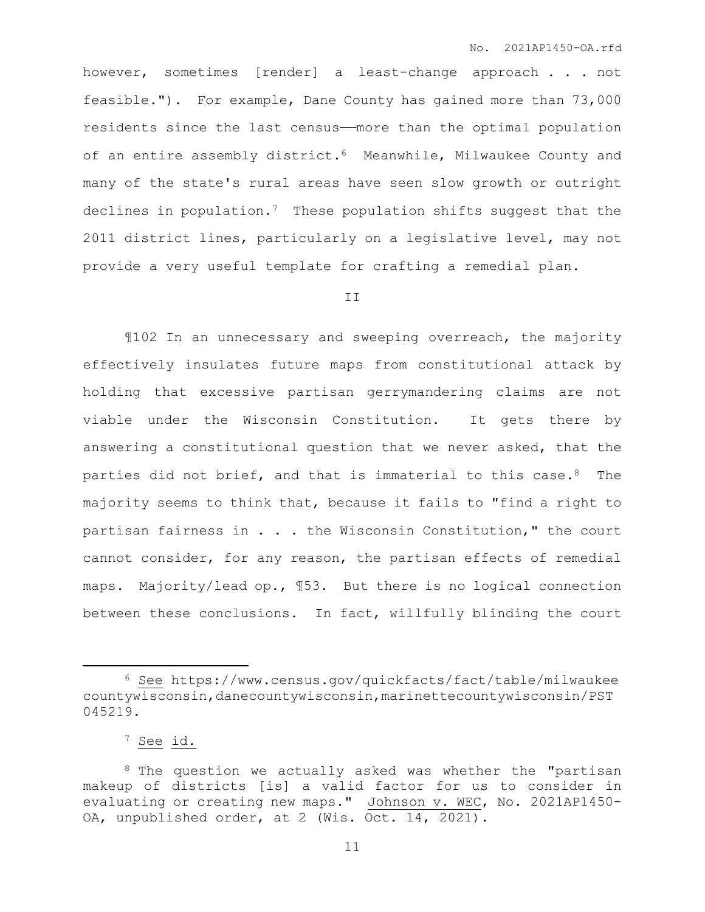however, sometimes [render] a least-change approach . . . not feasible."). For example, Dane County has gained more than 73,000 residents since the last census——more than the optimal population of an entire assembly district.<sup>6</sup> Meanwhile, Milwaukee County and many of the state's rural areas have seen slow growth or outright declines in population.7 These population shifts suggest that the 2011 district lines, particularly on a legislative level, may not provide a very useful template for crafting a remedial plan.

## II

¶102 In an unnecessary and sweeping overreach, the majority effectively insulates future maps from constitutional attack by holding that excessive partisan gerrymandering claims are not viable under the Wisconsin Constitution. It gets there by answering a constitutional question that we never asked, that the parties did not brief, and that is immaterial to this case.<sup>8</sup> The majority seems to think that, because it fails to "find a right to partisan fairness in . . . the Wisconsin Constitution," the court cannot consider, for any reason, the partisan effects of remedial maps. Majority/lead op., ¶53. But there is no logical connection between these conclusions. In fact, willfully blinding the court

<sup>6</sup> See https://www.census.gov/quickfacts/fact/table/milwaukee countywisconsin,danecountywisconsin,marinettecountywisconsin/PST 045219.

<sup>7</sup> See id.

<sup>&</sup>lt;sup>8</sup> The question we actually asked was whether the "partisan makeup of districts [is] a valid factor for us to consider in evaluating or creating new maps." Johnson v. WEC, No. 2021AP1450- OA, unpublished order, at 2 (Wis. Oct. 14, 2021).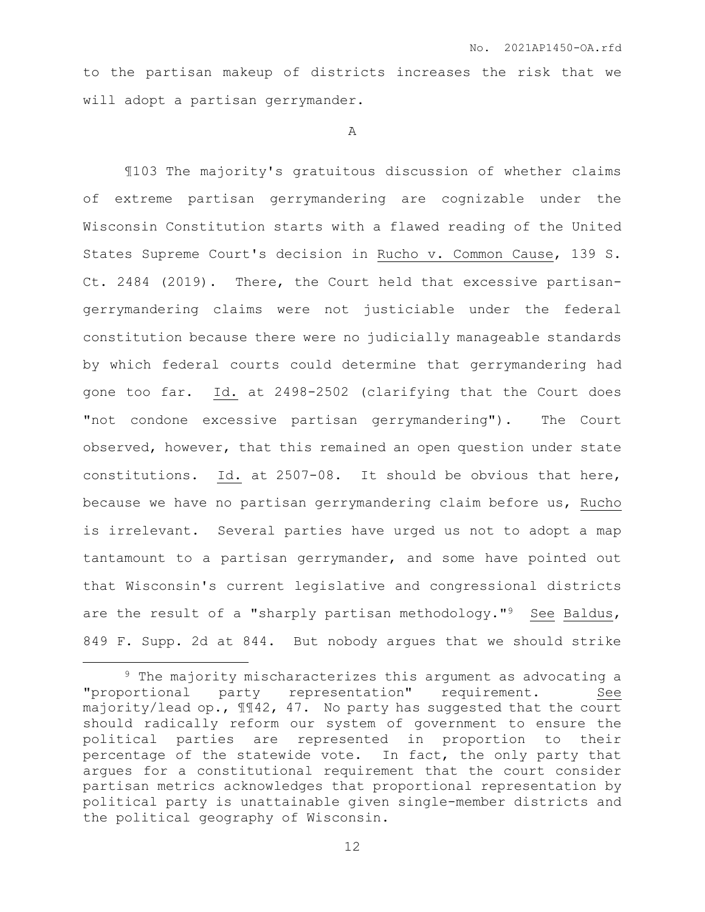to the partisan makeup of districts increases the risk that we will adopt a partisan gerrymander.

A

¶103 The majority's gratuitous discussion of whether claims of extreme partisan gerrymandering are cognizable under the Wisconsin Constitution starts with a flawed reading of the United States Supreme Court's decision in Rucho v. Common Cause, 139 S. Ct. 2484 (2019). There, the Court held that excessive partisangerrymandering claims were not justiciable under the federal constitution because there were no judicially manageable standards by which federal courts could determine that gerrymandering had gone too far. Id. at 2498-2502 (clarifying that the Court does "not condone excessive partisan gerrymandering"). The Court observed, however, that this remained an open question under state constitutions. Id. at 2507-08. It should be obvious that here, because we have no partisan gerrymandering claim before us, Rucho is irrelevant. Several parties have urged us not to adopt a map tantamount to a partisan gerrymander, and some have pointed out that Wisconsin's current legislative and congressional districts are the result of a "sharply partisan methodology."<sup>9</sup> See Baldus, 849 F. Supp. 2d at 844. But nobody argues that we should strike

<sup>9</sup> The majority mischaracterizes this argument as advocating a "proportional party representation" requirement. See majority/lead op.,  $\text{M42}$ , 47. No party has suggested that the court should radically reform our system of government to ensure the political parties are represented in proportion to their percentage of the statewide vote. In fact, the only party that argues for a constitutional requirement that the court consider partisan metrics acknowledges that proportional representation by political party is unattainable given single-member districts and the political geography of Wisconsin.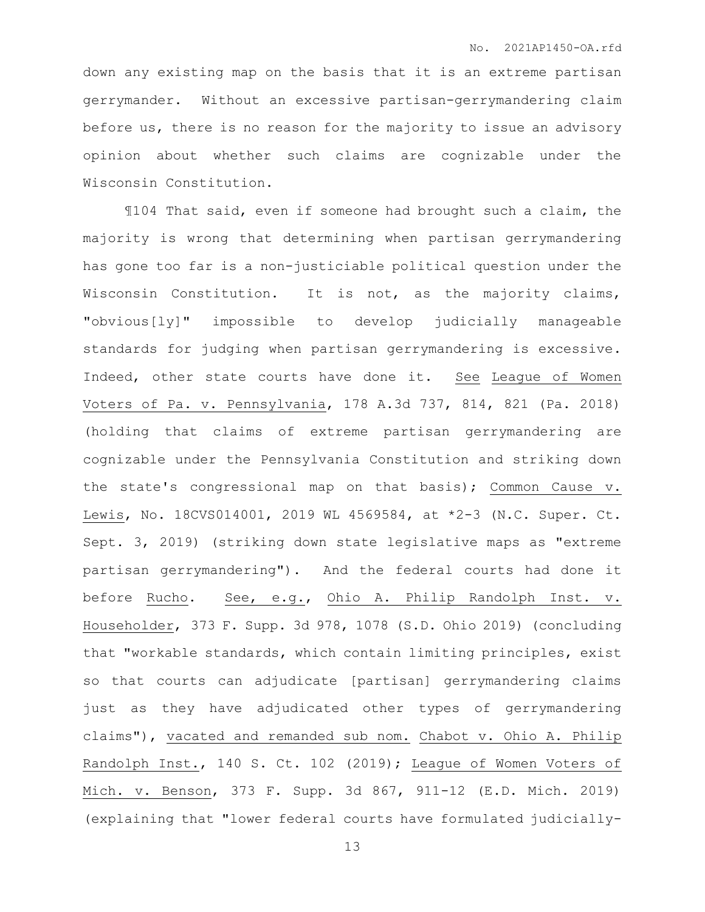down any existing map on the basis that it is an extreme partisan gerrymander. Without an excessive partisan-gerrymandering claim before us, there is no reason for the majority to issue an advisory opinion about whether such claims are cognizable under the Wisconsin Constitution.

¶104 That said, even if someone had brought such a claim, the majority is wrong that determining when partisan gerrymandering has gone too far is a non-justiciable political question under the Wisconsin Constitution. It is not, as the majority claims, "obvious[ly]" impossible to develop judicially manageable standards for judging when partisan gerrymandering is excessive. Indeed, other state courts have done it. See League of Women Voters of Pa. v. Pennsylvania, 178 A.3d 737, 814, 821 (Pa. 2018) (holding that claims of extreme partisan gerrymandering are cognizable under the Pennsylvania Constitution and striking down the state's congressional map on that basis); Common Cause v. Lewis, No. 18CVS014001, 2019 WL 4569584, at \*2-3 (N.C. Super. Ct. Sept. 3, 2019) (striking down state legislative maps as "extreme partisan gerrymandering"). And the federal courts had done it before Rucho. See, e.g., Ohio A. Philip Randolph Inst. v. Householder, 373 F. Supp. 3d 978, 1078 (S.D. Ohio 2019) (concluding that "workable standards, which contain limiting principles, exist so that courts can adjudicate [partisan] gerrymandering claims just as they have adjudicated other types of gerrymandering claims"), vacated and remanded sub nom. Chabot v. Ohio A. Philip Randolph Inst., 140 S. Ct. 102 (2019); League of Women Voters of Mich. v. Benson, 373 F. Supp. 3d 867, 911-12 (E.D. Mich. 2019) (explaining that "lower federal courts have formulated judicially-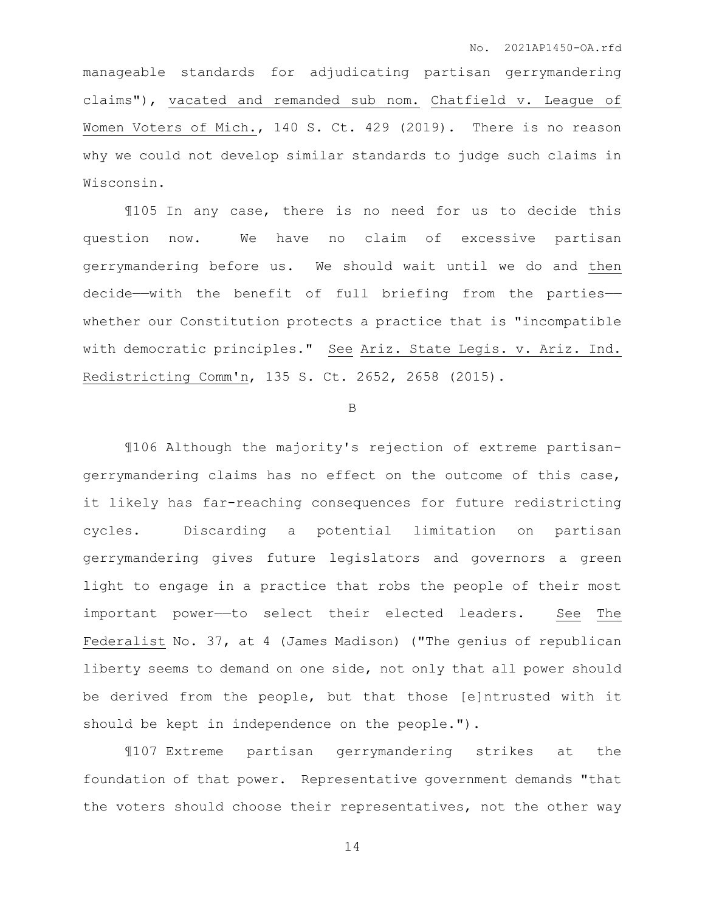manageable standards for adjudicating partisan gerrymandering claims"), vacated and remanded sub nom. Chatfield v. League of Women Voters of Mich., 140 S. Ct. 429 (2019). There is no reason why we could not develop similar standards to judge such claims in Wisconsin.

¶105 In any case, there is no need for us to decide this question now. We have no claim of excessive partisan gerrymandering before us. We should wait until we do and then decide—with the benefit of full briefing from the parties whether our Constitution protects a practice that is "incompatible with democratic principles." See Ariz. State Legis. v. Ariz. Ind. Redistricting Comm'n, 135 S. Ct. 2652, 2658 (2015).

B

¶106 Although the majority's rejection of extreme partisangerrymandering claims has no effect on the outcome of this case, it likely has far-reaching consequences for future redistricting cycles. Discarding a potential limitation on partisan gerrymandering gives future legislators and governors a green light to engage in a practice that robs the people of their most important power—to select their elected leaders. See The Federalist No. 37, at 4 (James Madison) ("The genius of republican liberty seems to demand on one side, not only that all power should be derived from the people, but that those [e]ntrusted with it should be kept in independence on the people.").

¶107 Extreme partisan gerrymandering strikes at the foundation of that power. Representative government demands "that the voters should choose their representatives, not the other way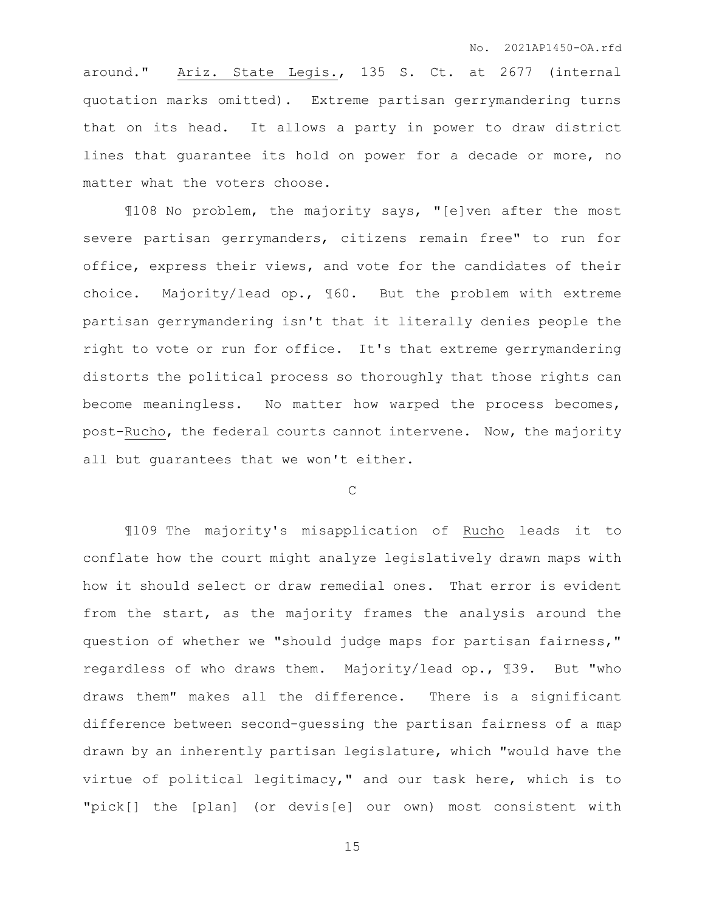around." Ariz. State Legis., 135 S. Ct. at 2677 (internal quotation marks omitted). Extreme partisan gerrymandering turns that on its head. It allows a party in power to draw district lines that guarantee its hold on power for a decade or more, no matter what the voters choose.

¶108 No problem, the majority says, "[e]ven after the most severe partisan gerrymanders, citizens remain free" to run for office, express their views, and vote for the candidates of their choice. Majority/lead op., ¶60. But the problem with extreme partisan gerrymandering isn't that it literally denies people the right to vote or run for office. It's that extreme gerrymandering distorts the political process so thoroughly that those rights can become meaningless. No matter how warped the process becomes, post-Rucho, the federal courts cannot intervene. Now, the majority all but guarantees that we won't either.

C

¶109 The majority's misapplication of Rucho leads it to conflate how the court might analyze legislatively drawn maps with how it should select or draw remedial ones. That error is evident from the start, as the majority frames the analysis around the question of whether we "should judge maps for partisan fairness," regardless of who draws them. Majority/lead op., ¶39. But "who draws them" makes all the difference. There is a significant difference between second-guessing the partisan fairness of a map drawn by an inherently partisan legislature, which "would have the virtue of political legitimacy," and our task here, which is to "pick[] the [plan] (or devis[e] our own) most consistent with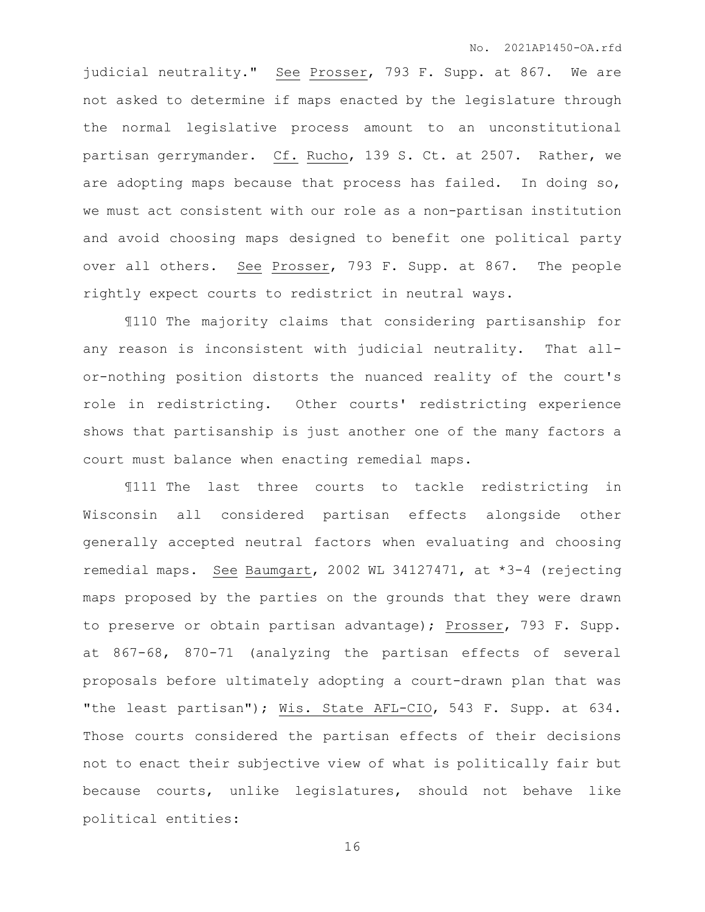judicial neutrality." See Prosser, 793 F. Supp. at 867. We are not asked to determine if maps enacted by the legislature through the normal legislative process amount to an unconstitutional partisan gerrymander. Cf. Rucho, 139 S. Ct. at 2507. Rather, we are adopting maps because that process has failed. In doing so, we must act consistent with our role as a non-partisan institution and avoid choosing maps designed to benefit one political party over all others. See Prosser, 793 F. Supp. at 867. The people rightly expect courts to redistrict in neutral ways.

¶110 The majority claims that considering partisanship for any reason is inconsistent with judicial neutrality. That allor-nothing position distorts the nuanced reality of the court's role in redistricting. Other courts' redistricting experience shows that partisanship is just another one of the many factors a court must balance when enacting remedial maps.

¶111 The last three courts to tackle redistricting in Wisconsin all considered partisan effects alongside other generally accepted neutral factors when evaluating and choosing remedial maps. See Baumgart, 2002 WL 34127471, at \*3-4 (rejecting maps proposed by the parties on the grounds that they were drawn to preserve or obtain partisan advantage); Prosser, 793 F. Supp. at 867-68, 870-71 (analyzing the partisan effects of several proposals before ultimately adopting a court-drawn plan that was "the least partisan"); Wis. State AFL-CIO, 543 F. Supp. at 634. Those courts considered the partisan effects of their decisions not to enact their subjective view of what is politically fair but because courts, unlike legislatures, should not behave like political entities: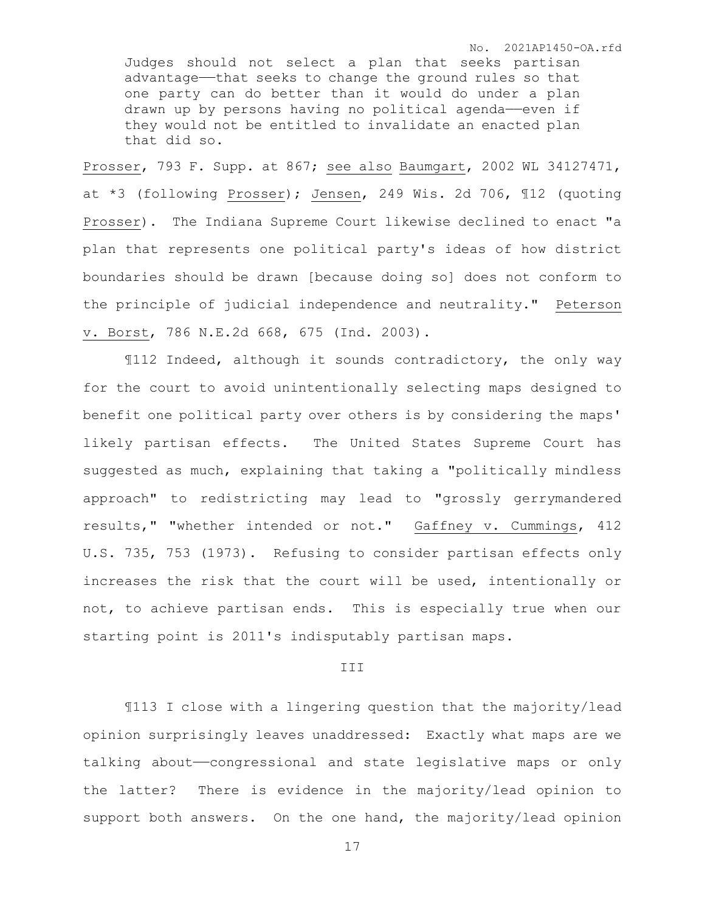No. 2021AP1450-OA.rfd

Judges should not select a plan that seeks partisan advantage——that seeks to change the ground rules so that one party can do better than it would do under a plan drawn up by persons having no political agenda—even if they would not be entitled to invalidate an enacted plan that did so.

Prosser, 793 F. Supp. at 867; see also Baumgart, 2002 WL 34127471, at \*3 (following Prosser); Jensen, 249 Wis. 2d 706, ¶12 (quoting Prosser). The Indiana Supreme Court likewise declined to enact "a plan that represents one political party's ideas of how district boundaries should be drawn [because doing so] does not conform to the principle of judicial independence and neutrality." Peterson v. Borst, 786 N.E.2d 668, 675 (Ind. 2003).

¶112 Indeed, although it sounds contradictory, the only way for the court to avoid unintentionally selecting maps designed to benefit one political party over others is by considering the maps' likely partisan effects. The United States Supreme Court has suggested as much, explaining that taking a "politically mindless approach" to redistricting may lead to "grossly gerrymandered results," "whether intended or not." Gaffney v. Cummings, 412 U.S. 735, 753 (1973). Refusing to consider partisan effects only increases the risk that the court will be used, intentionally or not, to achieve partisan ends. This is especially true when our starting point is 2011's indisputably partisan maps.

## III

¶113 I close with a lingering question that the majority/lead opinion surprisingly leaves unaddressed: Exactly what maps are we talking about—congressional and state legislative maps or only the latter? There is evidence in the majority/lead opinion to support both answers. On the one hand, the majority/lead opinion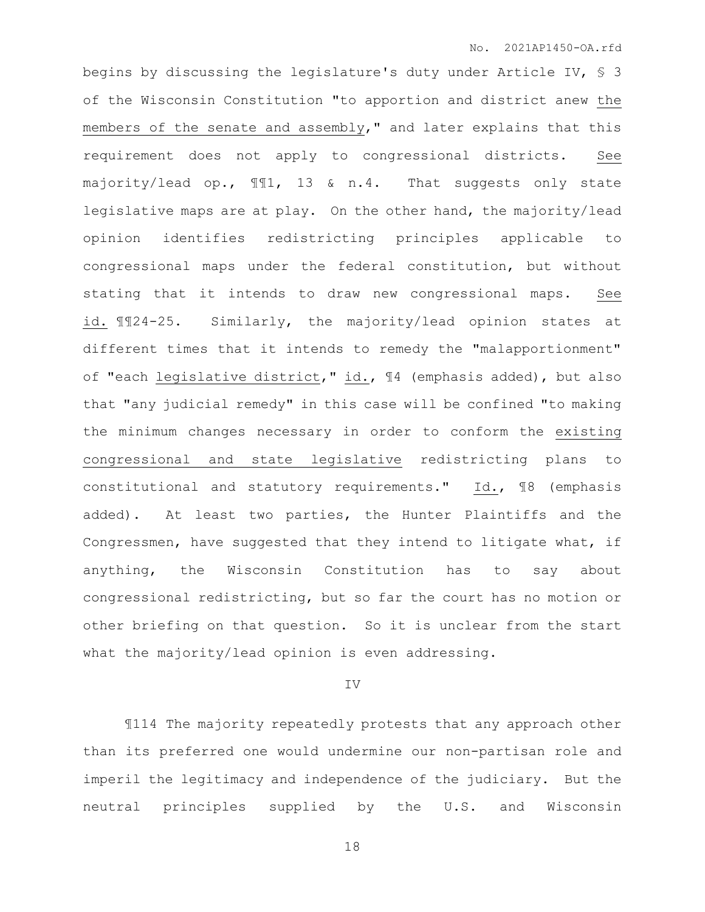begins by discussing the legislature's duty under Article IV, § 3 of the Wisconsin Constitution "to apportion and district anew the members of the senate and assembly," and later explains that this requirement does not apply to congressional districts. See majority/lead op., ¶¶1, 13 & n.4. That suggests only state legislative maps are at play. On the other hand, the majority/lead opinion identifies redistricting principles applicable to congressional maps under the federal constitution, but without stating that it intends to draw new congressional maps. See id. ¶¶24-25. Similarly, the majority/lead opinion states at different times that it intends to remedy the "malapportionment" of "each legislative district," id., ¶4 (emphasis added), but also that "any judicial remedy" in this case will be confined "to making the minimum changes necessary in order to conform the existing congressional and state legislative redistricting plans to constitutional and statutory requirements." Id., ¶8 (emphasis added). At least two parties, the Hunter Plaintiffs and the Congressmen, have suggested that they intend to litigate what, if anything, the Wisconsin Constitution has to say about congressional redistricting, but so far the court has no motion or other briefing on that question. So it is unclear from the start what the majority/lead opinion is even addressing.

## IV

¶114 The majority repeatedly protests that any approach other than its preferred one would undermine our non-partisan role and imperil the legitimacy and independence of the judiciary. But the neutral principles supplied by the U.S. and Wisconsin

18